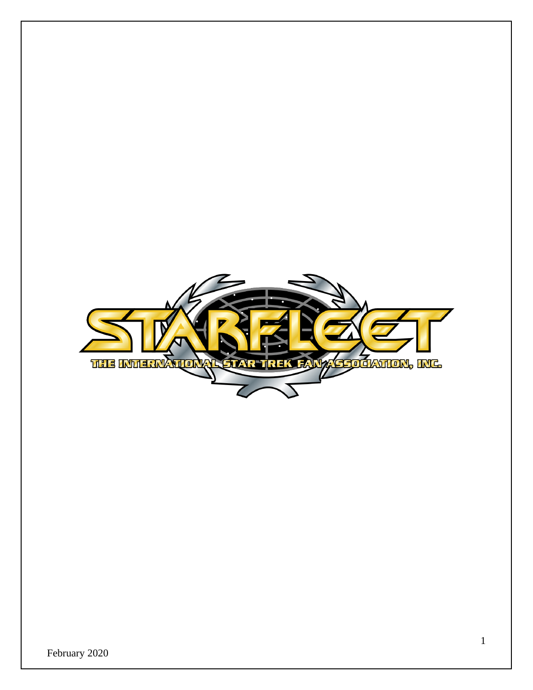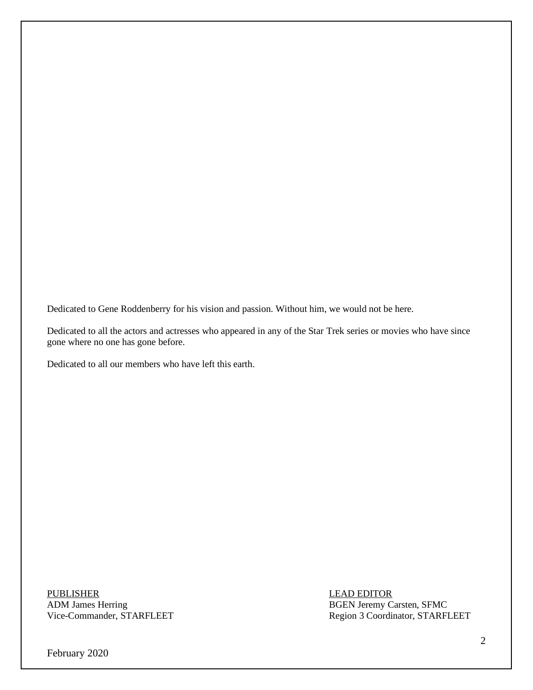Dedicated to Gene Roddenberry for his vision and passion. Without him, we would not be here.

Dedicated to all the actors and actresses who appeared in any of the Star Trek series or movies who have since gone where no one has gone before.

Dedicated to all our members who have left this earth.

PUBLISHER LEAD EDITOR ADM James Herring<br>
Vice-Commander, STARFLEET<br>
Region 3 Coordinator, STARFLEET

Region 3 Coordinator, STARFLEET

February 2020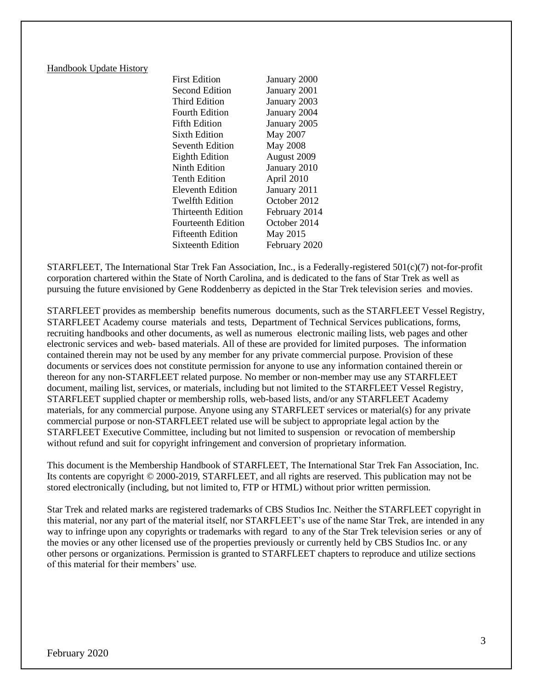#### Handbook Update History

First Edition January 2000 Second Edition January 2001 Third Edition January 2003 Fourth Edition January 2004 Fifth Edition January 2005 Sixth Edition May 2007 Seventh Edition May 2008 Eighth Edition August 2009 Ninth Edition January 2010 Tenth Edition April 2010 Eleventh Edition January 2011 Twelfth Edition October 2012 Thirteenth Edition February 2014 Fourteenth Edition October 2014 Fifteenth Edition May 2015 Sixteenth Edition February 2020

STARFLEET, The International Star Trek Fan Association, Inc., is a Federally-registered 501(c)(7) not-for-profit corporation chartered within the State of North Carolina, and is dedicated to the fans of Star Trek as well as pursuing the future envisioned by Gene Roddenberry as depicted in the Star Trek television series and movies.

STARFLEET provides as membership benefits numerous documents, such as the STARFLEET Vessel Registry, STARFLEET Academy course materials and tests, Department of Technical Services publications, forms, recruiting handbooks and other documents, as well as numerous electronic mailing lists, web pages and other electronic services and web- based materials. All of these are provided for limited purposes. The information contained therein may not be used by any member for any private commercial purpose. Provision of these documents or services does not constitute permission for anyone to use any information contained therein or thereon for any non-STARFLEET related purpose. No member or non-member may use any STARFLEET document, mailing list, services, or materials, including but not limited to the STARFLEET Vessel Registry, STARFLEET supplied chapter or membership rolls, web-based lists, and/or any STARFLEET Academy materials, for any commercial purpose. Anyone using any STARFLEET services or material(s) for any private commercial purpose or non-STARFLEET related use will be subject to appropriate legal action by the STARFLEET Executive Committee, including but not limited to suspension or revocation of membership without refund and suit for copyright infringement and conversion of proprietary information.

This document is the Membership Handbook of STARFLEET, The International Star Trek Fan Association, Inc. Its contents are copyright © 2000-2019, STARFLEET, and all rights are reserved. This publication may not be stored electronically (including, but not limited to, FTP or HTML) without prior written permission.

Star Trek and related marks are registered trademarks of CBS Studios Inc. Neither the STARFLEET copyright in this material, nor any part of the material itself, nor STARFLEET's use of the name Star Trek, are intended in any way to infringe upon any copyrights or trademarks with regard to any of the Star Trek television series or any of the movies or any other licensed use of the properties previously or currently held by CBS Studios Inc. or any other persons or organizations. Permission is granted to STARFLEET chapters to reproduce and utilize sections of this material for their members' use.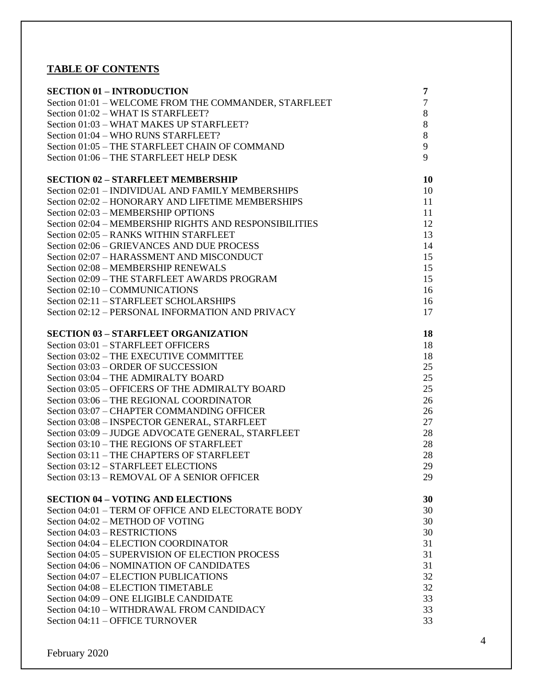# **TABLE OF CONTENTS**

| <b>SECTION 01 - INTRODUCTION</b>                       | 7  |
|--------------------------------------------------------|----|
| Section 01:01 - WELCOME FROM THE COMMANDER, STARFLEET  | 7  |
| Section 01:02 - WHAT IS STARFLEET?                     | 8  |
| Section 01:03 - WHAT MAKES UP STARFLEET?               | 8  |
| Section 01:04 - WHO RUNS STARFLEET?                    | 8  |
| Section 01:05 - THE STARFLEET CHAIN OF COMMAND         | 9  |
| Section 01:06 - THE STARFLEET HELP DESK                | 9  |
| <b>SECTION 02 - STARFLEET MEMBERSHIP</b>               | 10 |
| Section 02:01 - INDIVIDUAL AND FAMILY MEMBERSHIPS      | 10 |
| Section 02:02 - HONORARY AND LIFETIME MEMBERSHIPS      | 11 |
| Section 02:03 - MEMBERSHIP OPTIONS                     | 11 |
| Section 02:04 - MEMBERSHIP RIGHTS AND RESPONSIBILITIES | 12 |
| Section 02:05 - RANKS WITHIN STARFLEET                 | 13 |
| Section 02:06 – GRIEVANCES AND DUE PROCESS             | 14 |
| Section 02:07 - HARASSMENT AND MISCONDUCT              | 15 |
| Section 02:08 - MEMBERSHIP RENEWALS                    | 15 |
| Section 02:09 - THE STARFLEET AWARDS PROGRAM           | 15 |
| Section 02:10 - COMMUNICATIONS                         | 16 |
| Section 02:11 - STARFLEET SCHOLARSHIPS                 | 16 |
| Section 02:12 - PERSONAL INFORMATION AND PRIVACY       | 17 |
| <b>SECTION 03 - STARFLEET ORGANIZATION</b>             | 18 |
| Section 03:01 - STARFLEET OFFICERS                     | 18 |
| Section 03:02 - THE EXECUTIVE COMMITTEE                | 18 |
| Section 03:03 - ORDER OF SUCCESSION                    | 25 |
| Section 03:04 - THE ADMIRALTY BOARD                    | 25 |
| Section 03:05 - OFFICERS OF THE ADMIRALTY BOARD        | 25 |
| Section 03:06 - THE REGIONAL COORDINATOR               | 26 |
| Section 03:07 - CHAPTER COMMANDING OFFICER             | 26 |
| Section 03:08 - INSPECTOR GENERAL, STARFLEET           | 27 |
| Section 03:09 - JUDGE ADVOCATE GENERAL, STARFLEET      | 28 |
| Section 03:10 - THE REGIONS OF STARFLEET               | 28 |
| Section 03:11 – THE CHAPTERS OF STARFLEET              | 28 |
| Section 03:12 - STARFLEET ELECTIONS                    | 29 |
| Section 03:13 - REMOVAL OF A SENIOR OFFICER            | 29 |
| <b>SECTION 04 - VOTING AND ELECTIONS</b>               | 30 |
| Section 04:01 - TERM OF OFFICE AND ELECTORATE BODY     | 30 |
| Section 04:02 – METHOD OF VOTING                       | 30 |
| Section 04:03 - RESTRICTIONS                           | 30 |
| Section 04:04 - ELECTION COORDINATOR                   | 31 |
| Section 04:05 - SUPERVISION OF ELECTION PROCESS        | 31 |
| Section 04:06 – NOMINATION OF CANDIDATES               | 31 |
| Section 04:07 – ELECTION PUBLICATIONS                  | 32 |
| Section 04:08 - ELECTION TIMETABLE                     | 32 |
| Section 04:09 - ONE ELIGIBLE CANDIDATE                 | 33 |
| Section 04:10 - WITHDRAWAL FROM CANDIDACY              | 33 |
| Section 04:11 - OFFICE TURNOVER                        | 33 |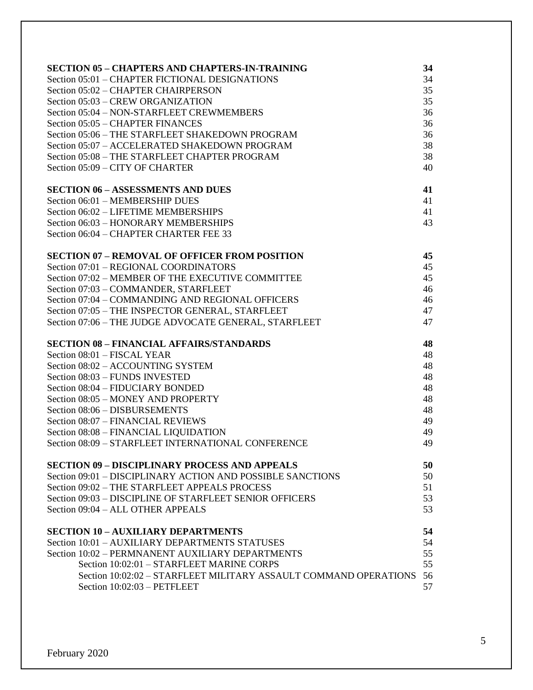| <b>SECTION 05 - CHAPTERS AND CHAPTERS-IN-TRAINING</b>            | 34 |
|------------------------------------------------------------------|----|
| Section 05:01 - CHAPTER FICTIONAL DESIGNATIONS                   | 34 |
| Section 05:02 – CHAPTER CHAIRPERSON                              | 35 |
| Section 05:03 - CREW ORGANIZATION                                | 35 |
| Section 05:04 - NON-STARFLEET CREWMEMBERS                        | 36 |
| Section 05:05 – CHAPTER FINANCES                                 | 36 |
| Section 05:06 - THE STARFLEET SHAKEDOWN PROGRAM                  | 36 |
| Section 05:07 - ACCELERATED SHAKEDOWN PROGRAM                    | 38 |
| Section 05:08 - THE STARFLEET CHAPTER PROGRAM                    | 38 |
| Section 05:09 - CITY OF CHARTER                                  | 40 |
|                                                                  |    |
| <b>SECTION 06 - ASSESSMENTS AND DUES</b>                         | 41 |
| Section 06:01 - MEMBERSHIP DUES                                  | 41 |
| Section 06:02 - LIFETIME MEMBERSHIPS                             | 41 |
| Section 06:03 - HONORARY MEMBERSHIPS                             | 43 |
| Section 06:04 - CHAPTER CHARTER FEE 33                           |    |
| <b>SECTION 07 - REMOVAL OF OFFICER FROM POSITION</b>             | 45 |
| Section 07:01 - REGIONAL COORDINATORS                            | 45 |
| Section 07:02 - MEMBER OF THE EXECUTIVE COMMITTEE                | 45 |
| Section 07:03 - COMMANDER, STARFLEET                             | 46 |
| Section 07:04 - COMMANDING AND REGIONAL OFFICERS                 | 46 |
|                                                                  | 47 |
| Section 07:05 - THE INSPECTOR GENERAL, STARFLEET                 | 47 |
| Section 07:06 - THE JUDGE ADVOCATE GENERAL, STARFLEET            |    |
| <b>SECTION 08 - FINANCIAL AFFAIRS/STANDARDS</b>                  | 48 |
| Section 08:01 - FISCAL YEAR                                      | 48 |
| Section 08:02 - ACCOUNTING SYSTEM                                | 48 |
| Section 08:03 - FUNDS INVESTED                                   | 48 |
| Section 08:04 - FIDUCIARY BONDED                                 | 48 |
| Section 08:05 - MONEY AND PROPERTY                               | 48 |
| Section 08:06 - DISBURSEMENTS                                    | 48 |
| Section 08:07 - FINANCIAL REVIEWS                                | 49 |
| Section 08:08 - FINANCIAL LIQUIDATION                            | 49 |
| Section 08:09 - STARFLEET INTERNATIONAL CONFERENCE               | 49 |
|                                                                  |    |
| <b>SECTION 09 - DISCIPLINARY PROCESS AND APPEALS</b>             | 50 |
| Section 09:01 – DISCIPLINARY ACTION AND POSSIBLE SANCTIONS       | 50 |
| Section 09:02 - THE STARFLEET APPEALS PROCESS                    | 51 |
| Section 09:03 - DISCIPLINE OF STARFLEET SENIOR OFFICERS          | 53 |
| Section 09:04 - ALL OTHER APPEALS                                | 53 |
| <b>SECTION 10 - AUXILIARY DEPARTMENTS</b>                        | 54 |
| Section 10:01 – AUXILIARY DEPARTMENTS STATUSES                   | 54 |
| Section 10:02 - PERMNANENT AUXILIARY DEPARTMENTS                 | 55 |
| Section 10:02:01 - STARFLEET MARINE CORPS                        | 55 |
| Section 10:02:02 - STARFLEET MILITARY ASSAULT COMMAND OPERATIONS | 56 |
| Section 10:02:03 - PETFLEET                                      | 57 |
|                                                                  |    |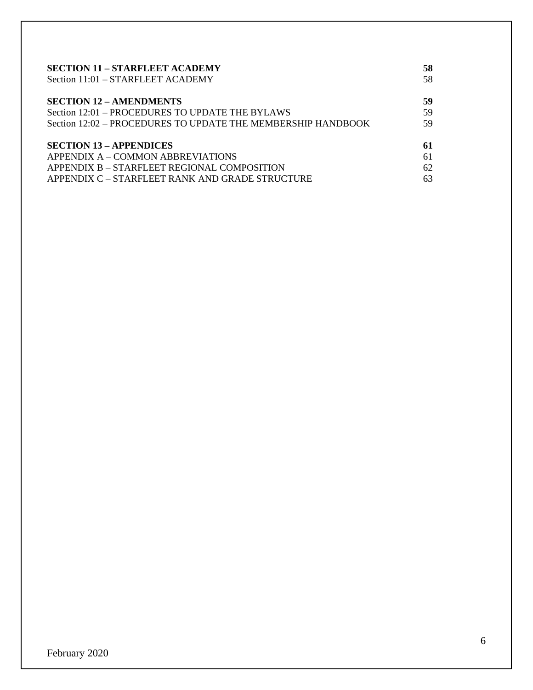| <b>SECTION 11 – STARFLEET ACADEMY</b>                        | 58 |
|--------------------------------------------------------------|----|
| Section 11:01 - STARFLEET ACADEMY                            | 58 |
| <b>SECTION 12 - AMENDMENTS</b>                               | 59 |
| Section 12:01 – PROCEDURES TO UPDATE THE BYLAWS              | 59 |
| Section 12:02 - PROCEDURES TO UPDATE THE MEMBERSHIP HANDBOOK | 59 |
| <b>SECTION 13 - APPENDICES</b>                               | 61 |
| APPENDIX A – COMMON ABBREVIATIONS                            | 61 |
| APPENDIX B – STARFLEET REGIONAL COMPOSITION                  | 62 |
| APPENDIX C – STARFLEET RANK AND GRADE STRUCTURE              | 63 |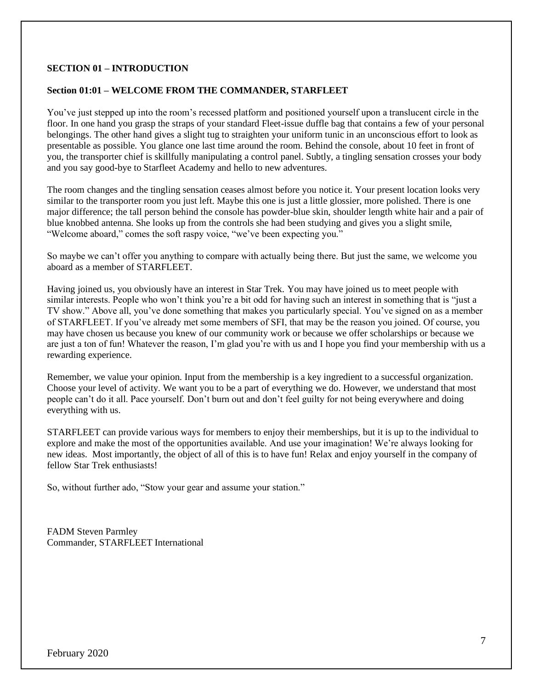## **SECTION 01 – INTRODUCTION**

#### **Section 01:01 – WELCOME FROM THE COMMANDER, STARFLEET**

You've just stepped up into the room's recessed platform and positioned yourself upon a translucent circle in the floor. In one hand you grasp the straps of your standard Fleet-issue duffle bag that contains a few of your personal belongings. The other hand gives a slight tug to straighten your uniform tunic in an unconscious effort to look as presentable as possible. You glance one last time around the room. Behind the console, about 10 feet in front of you, the transporter chief is skillfully manipulating a control panel. Subtly, a tingling sensation crosses your body and you say good-bye to Starfleet Academy and hello to new adventures.

The room changes and the tingling sensation ceases almost before you notice it. Your present location looks very similar to the transporter room you just left. Maybe this one is just a little glossier, more polished. There is one major difference; the tall person behind the console has powder-blue skin, shoulder length white hair and a pair of blue knobbed antenna. She looks up from the controls she had been studying and gives you a slight smile, "Welcome aboard," comes the soft raspy voice, "we've been expecting you."

So maybe we can't offer you anything to compare with actually being there. But just the same, we welcome you aboard as a member of STARFLEET.

Having joined us, you obviously have an interest in Star Trek. You may have joined us to meet people with similar interests. People who won't think you're a bit odd for having such an interest in something that is "just a TV show." Above all, you've done something that makes you particularly special. You've signed on as a member of STARFLEET. If you've already met some members of SFI, that may be the reason you joined. Of course, you may have chosen us because you knew of our community work or because we offer scholarships or because we are just a ton of fun! Whatever the reason, I'm glad you're with us and I hope you find your membership with us a rewarding experience.

Remember, we value your opinion. Input from the membership is a key ingredient to a successful organization. Choose your level of activity. We want you to be a part of everything we do. However, we understand that most people can't do it all. Pace yourself. Don't burn out and don't feel guilty for not being everywhere and doing everything with us.

STARFLEET can provide various ways for members to enjoy their memberships, but it is up to the individual to explore and make the most of the opportunities available. And use your imagination! We're always looking for new ideas. Most importantly, the object of all of this is to have fun! Relax and enjoy yourself in the company of fellow Star Trek enthusiasts!

So, without further ado, "Stow your gear and assume your station."

FADM Steven Parmley Commander, STARFLEET International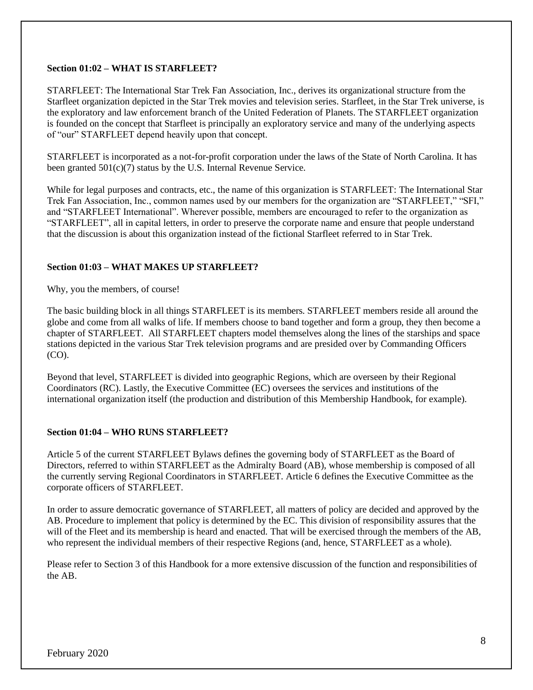#### **Section 01:02 – WHAT IS STARFLEET?**

STARFLEET: The International Star Trek Fan Association, Inc., derives its organizational structure from the Starfleet organization depicted in the Star Trek movies and television series. Starfleet, in the Star Trek universe, is the exploratory and law enforcement branch of the United Federation of Planets. The STARFLEET organization is founded on the concept that Starfleet is principally an exploratory service and many of the underlying aspects of "our" STARFLEET depend heavily upon that concept.

STARFLEET is incorporated as a not-for-profit corporation under the laws of the State of North Carolina. It has been granted 501(c)(7) status by the U.S. Internal Revenue Service.

While for legal purposes and contracts, etc., the name of this organization is STARFLEET: The International Star Trek Fan Association, Inc., common names used by our members for the organization are "STARFLEET," "SFI," and "STARFLEET International". Wherever possible, members are encouraged to refer to the organization as "STARFLEET", all in capital letters, in order to preserve the corporate name and ensure that people understand that the discussion is about this organization instead of the fictional Starfleet referred to in Star Trek.

## **Section 01:03 – WHAT MAKES UP STARFLEET?**

Why, you the members, of course!

The basic building block in all things STARFLEET is its members. STARFLEET members reside all around the globe and come from all walks of life. If members choose to band together and form a group, they then become a chapter of STARFLEET. All STARFLEET chapters model themselves along the lines of the starships and space stations depicted in the various Star Trek television programs and are presided over by Commanding Officers (CO).

Beyond that level, STARFLEET is divided into geographic Regions, which are overseen by their Regional Coordinators (RC). Lastly, the Executive Committee (EC) oversees the services and institutions of the international organization itself (the production and distribution of this Membership Handbook, for example).

## **Section 01:04 – WHO RUNS STARFLEET?**

Article 5 of the current STARFLEET Bylaws defines the governing body of STARFLEET as the Board of Directors, referred to within STARFLEET as the Admiralty Board (AB), whose membership is composed of all the currently serving Regional Coordinators in STARFLEET. Article 6 defines the Executive Committee as the corporate officers of STARFLEET.

In order to assure democratic governance of STARFLEET, all matters of policy are decided and approved by the AB. Procedure to implement that policy is determined by the EC. This division of responsibility assures that the will of the Fleet and its membership is heard and enacted. That will be exercised through the members of the AB, who represent the individual members of their respective Regions (and, hence, STARFLEET as a whole).

Please refer to Section 3 of this Handbook for a more extensive discussion of the function and responsibilities of the AB.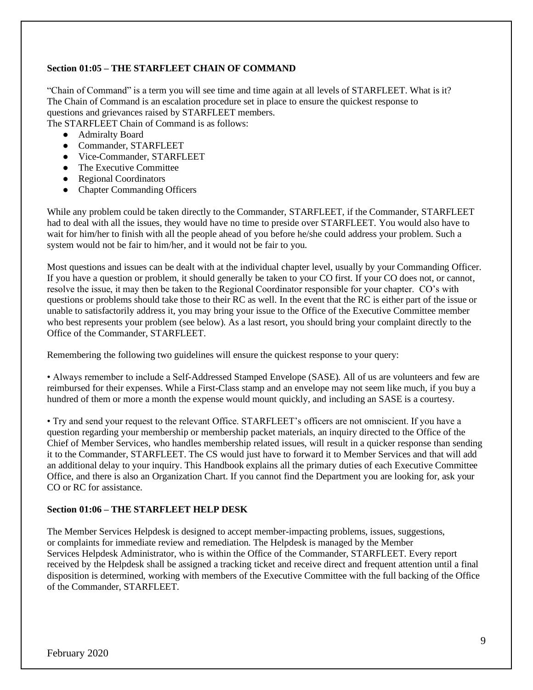## **Section 01:05 – THE STARFLEET CHAIN OF COMMAND**

"Chain of Command" is a term you will see time and time again at all levels of STARFLEET. What is it? The Chain of Command is an escalation procedure set in place to ensure the quickest response to questions and grievances raised by STARFLEET members. The STARFLEET Chain of Command is as follows:

● Admiralty Board

- Commander, STARFLEET
- Vice-Commander, STARFLEET
- The Executive Committee
- Regional Coordinators
- Chapter Commanding Officers

While any problem could be taken directly to the Commander, STARFLEET, if the Commander, STARFLEET had to deal with all the issues, they would have no time to preside over STARFLEET. You would also have to wait for him/her to finish with all the people ahead of you before he/she could address your problem. Such a system would not be fair to him/her, and it would not be fair to you.

Most questions and issues can be dealt with at the individual chapter level, usually by your Commanding Officer. If you have a question or problem, it should generally be taken to your CO first. If your CO does not, or cannot, resolve the issue, it may then be taken to the Regional Coordinator responsible for your chapter. CO's with questions or problems should take those to their RC as well. In the event that the RC is either part of the issue or unable to satisfactorily address it, you may bring your issue to the Office of the Executive Committee member who best represents your problem (see below). As a last resort, you should bring your complaint directly to the Office of the Commander, STARFLEET.

Remembering the following two guidelines will ensure the quickest response to your query:

• Always remember to include a Self-Addressed Stamped Envelope (SASE). All of us are volunteers and few are reimbursed for their expenses. While a First-Class stamp and an envelope may not seem like much, if you buy a hundred of them or more a month the expense would mount quickly, and including an SASE is a courtesy.

• Try and send your request to the relevant Office. STARFLEET's officers are not omniscient. If you have a question regarding your membership or membership packet materials, an inquiry directed to the Office of the Chief of Member Services, who handles membership related issues, will result in a quicker response than sending it to the Commander, STARFLEET. The CS would just have to forward it to Member Services and that will add an additional delay to your inquiry. This Handbook explains all the primary duties of each Executive Committee Office, and there is also an Organization Chart. If you cannot find the Department you are looking for, ask your CO or RC for assistance.

## **Section 01:06 – THE STARFLEET HELP DESK**

The Member Services Helpdesk is designed to accept member-impacting problems, issues, suggestions, or complaints for immediate review and remediation. The Helpdesk is managed by the Member Services Helpdesk Administrator, who is within the Office of the Commander, STARFLEET. Every report received by the Helpdesk shall be assigned a tracking ticket and receive direct and frequent attention until a final disposition is determined, working with members of the Executive Committee with the full backing of the Office of the Commander, STARFLEET.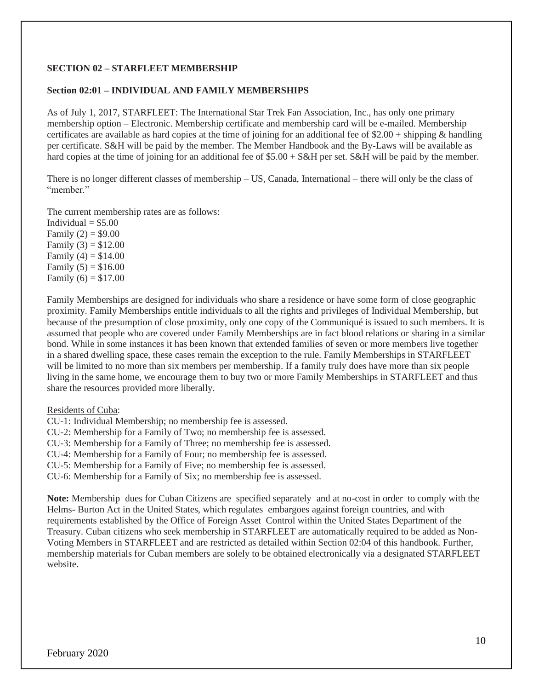## **SECTION 02 – STARFLEET MEMBERSHIP**

### **Section 02:01 – INDIVIDUAL AND FAMILY MEMBERSHIPS**

As of July 1, 2017, STARFLEET: The International Star Trek Fan Association, Inc., has only one primary membership option – Electronic. Membership certificate and membership card will be e-mailed. Membership certificates are available as hard copies at the time of joining for an additional fee of  $$2.00 + shipping$  & handling per certificate. S&H will be paid by the member. The Member Handbook and the By-Laws will be available as hard copies at the time of joining for an additional fee of \$5.00 + S&H per set. S&H will be paid by the member.

There is no longer different classes of membership – US, Canada, International – there will only be the class of "member"

The current membership rates are as follows: Individual  $= $5.00$ 

Family  $(2) = $9.00$ Family  $(3) = $12.00$ Family  $(4) = $14.00$ Family  $(5) = $16.00$ Family  $(6) = $17.00$ 

Family Memberships are designed for individuals who share a residence or have some form of close geographic proximity. Family Memberships entitle individuals to all the rights and privileges of Individual Membership, but because of the presumption of close proximity, only one copy of the Communiqué is issued to such members. It is assumed that people who are covered under Family Memberships are in fact blood relations or sharing in a similar bond. While in some instances it has been known that extended families of seven or more members live together in a shared dwelling space, these cases remain the exception to the rule. Family Memberships in STARFLEET will be limited to no more than six members per membership. If a family truly does have more than six people living in the same home, we encourage them to buy two or more Family Memberships in STARFLEET and thus share the resources provided more liberally.

Residents of Cuba:

CU-1: Individual Membership; no membership fee is assessed.

CU-2: Membership for a Family of Two; no membership fee is assessed.

CU-3: Membership for a Family of Three; no membership fee is assessed.

CU-4: Membership for a Family of Four; no membership fee is assessed.

CU-5: Membership for a Family of Five; no membership fee is assessed.

CU-6: Membership for a Family of Six; no membership fee is assessed.

**Note:** Membership dues for Cuban Citizens are specified separately and at no-cost in order to comply with the Helms- Burton Act in the United States, which regulates embargoes against foreign countries, and with requirements established by the Office of Foreign Asset Control within the United States Department of the Treasury. Cuban citizens who seek membership in STARFLEET are automatically required to be added as Non-Voting Members in STARFLEET and are restricted as detailed within Section 02:04 of this handbook. Further, membership materials for Cuban members are solely to be obtained electronically via a designated STARFLEET website.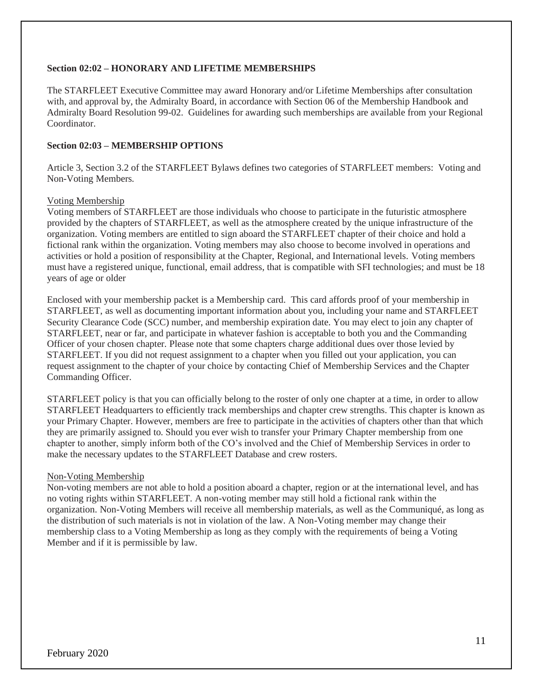### **Section 02:02 – HONORARY AND LIFETIME MEMBERSHIPS**

The STARFLEET Executive Committee may award Honorary and/or Lifetime Memberships after consultation with, and approval by, the Admiralty Board, in accordance with Section 06 of the Membership Handbook and Admiralty Board Resolution 99-02. Guidelines for awarding such memberships are available from your Regional Coordinator.

## **Section 02:03 – MEMBERSHIP OPTIONS**

Article 3, Section 3.2 of the STARFLEET Bylaws defines two categories of STARFLEET members: Voting and Non-Voting Members.

#### Voting Membership

Voting members of STARFLEET are those individuals who choose to participate in the futuristic atmosphere provided by the chapters of STARFLEET, as well as the atmosphere created by the unique infrastructure of the organization. Voting members are entitled to sign aboard the STARFLEET chapter of their choice and hold a fictional rank within the organization. Voting members may also choose to become involved in operations and activities or hold a position of responsibility at the Chapter, Regional, and International levels. Voting members must have a registered unique, functional, email address, that is compatible with SFI technologies; and must be 18 years of age or older

Enclosed with your membership packet is a Membership card. This card affords proof of your membership in STARFLEET, as well as documenting important information about you, including your name and STARFLEET Security Clearance Code (SCC) number, and membership expiration date. You may elect to join any chapter of STARFLEET, near or far, and participate in whatever fashion is acceptable to both you and the Commanding Officer of your chosen chapter. Please note that some chapters charge additional dues over those levied by STARFLEET. If you did not request assignment to a chapter when you filled out your application, you can request assignment to the chapter of your choice by contacting Chief of Membership Services and the Chapter Commanding Officer.

STARFLEET policy is that you can officially belong to the roster of only one chapter at a time, in order to allow STARFLEET Headquarters to efficiently track memberships and chapter crew strengths. This chapter is known as your Primary Chapter. However, members are free to participate in the activities of chapters other than that which they are primarily assigned to. Should you ever wish to transfer your Primary Chapter membership from one chapter to another, simply inform both of the CO's involved and the Chief of Membership Services in order to make the necessary updates to the STARFLEET Database and crew rosters.

## Non-Voting Membership

Non-voting members are not able to hold a position aboard a chapter, region or at the international level, and has no voting rights within STARFLEET. A non-voting member may still hold a fictional rank within the organization. Non-Voting Members will receive all membership materials, as well as the Communiqué, as long as the distribution of such materials is not in violation of the law. A Non-Voting member may change their membership class to a Voting Membership as long as they comply with the requirements of being a Voting Member and if it is permissible by law.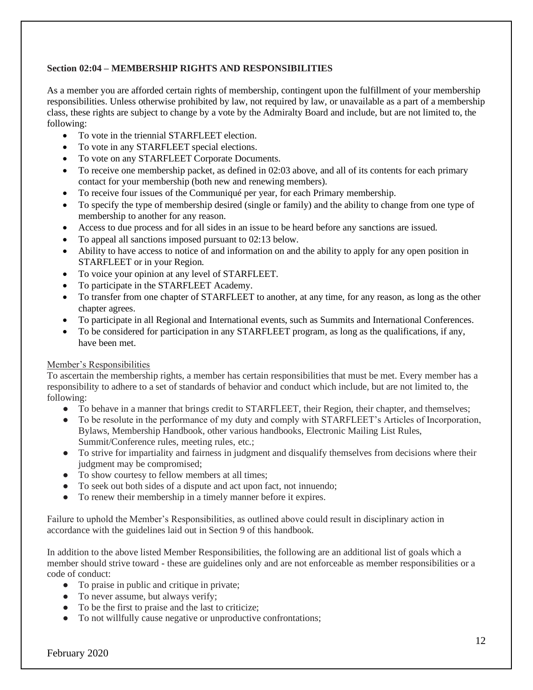## **Section 02:04 – MEMBERSHIP RIGHTS AND RESPONSIBILITIES**

As a member you are afforded certain rights of membership, contingent upon the fulfillment of your membership responsibilities. Unless otherwise prohibited by law, not required by law, or unavailable as a part of a membership class, these rights are subject to change by a vote by the Admiralty Board and include, but are not limited to, the following:

- To vote in the triennial STARFLEET election.
- To vote in any STARFLEET special elections.
- To vote on any STARFLEET Corporate Documents.
- To receive one membership packet, as defined in 02:03 above, and all of its contents for each primary contact for your membership (both new and renewing members).
- To receive four issues of the Communiqué per year, for each Primary membership.
- To specify the type of membership desired (single or family) and the ability to change from one type of membership to another for any reason.
- Access to due process and for all sides in an issue to be heard before any sanctions are issued.
- To appeal all sanctions imposed pursuant to 02:13 below.
- Ability to have access to notice of and information on and the ability to apply for any open position in STARFLEET or in your Region.
- To voice your opinion at any level of STARFLEET.
- To participate in the STARFLEET Academy.
- To transfer from one chapter of STARFLEET to another, at any time, for any reason, as long as the other chapter agrees.
- To participate in all Regional and International events, such as Summits and International Conferences.
- To be considered for participation in any STARFLEET program, as long as the qualifications, if any, have been met.

## Member's Responsibilities

To ascertain the membership rights, a member has certain responsibilities that must be met. Every member has a responsibility to adhere to a set of standards of behavior and conduct which include, but are not limited to, the following:

- To behave in a manner that brings credit to STARFLEET, their Region, their chapter, and themselves;
- To be resolute in the performance of my duty and comply with STARFLEET's Articles of Incorporation, Bylaws, Membership Handbook, other various handbooks, Electronic Mailing List Rules, Summit/Conference rules, meeting rules, etc.;
- To strive for impartiality and fairness in judgment and disqualify themselves from decisions where their judgment may be compromised;
- To show courtesy to fellow members at all times;
- To seek out both sides of a dispute and act upon fact, not innuendo;
- To renew their membership in a timely manner before it expires.

Failure to uphold the Member's Responsibilities, as outlined above could result in disciplinary action in accordance with the guidelines laid out in Section 9 of this handbook.

In addition to the above listed Member Responsibilities, the following are an additional list of goals which a member should strive toward - these are guidelines only and are not enforceable as member responsibilities or a code of conduct:

- To praise in public and critique in private;
- To never assume, but always verify;
- To be the first to praise and the last to criticize;
- To not willfully cause negative or unproductive confrontations;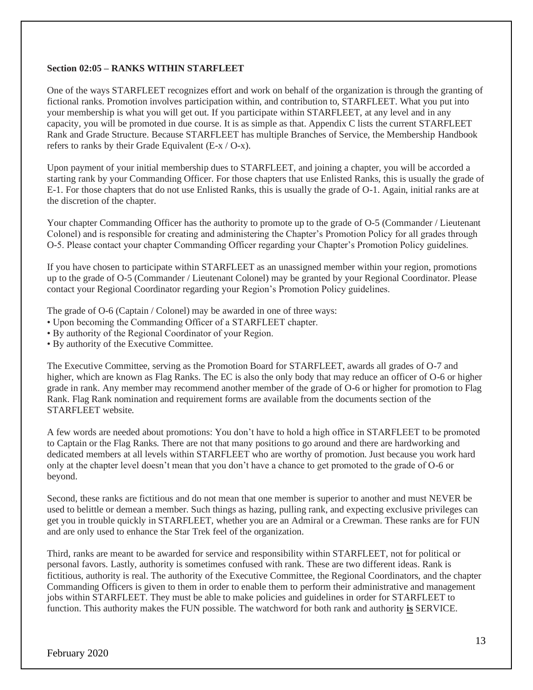### **Section 02:05 – RANKS WITHIN STARFLEET**

One of the ways STARFLEET recognizes effort and work on behalf of the organization is through the granting of fictional ranks. Promotion involves participation within, and contribution to, STARFLEET. What you put into your membership is what you will get out. If you participate within STARFLEET, at any level and in any capacity, you will be promoted in due course. It is as simple as that. Appendix C lists the current STARFLEET Rank and Grade Structure. Because STARFLEET has multiple Branches of Service, the Membership Handbook refers to ranks by their Grade Equivalent (E-x / O-x).

Upon payment of your initial membership dues to STARFLEET, and joining a chapter, you will be accorded a starting rank by your Commanding Officer. For those chapters that use Enlisted Ranks, this is usually the grade of E-1. For those chapters that do not use Enlisted Ranks, this is usually the grade of O-1. Again, initial ranks are at the discretion of the chapter.

Your chapter Commanding Officer has the authority to promote up to the grade of O-5 (Commander / Lieutenant Colonel) and is responsible for creating and administering the Chapter's Promotion Policy for all grades through O-5. Please contact your chapter Commanding Officer regarding your Chapter's Promotion Policy guidelines.

If you have chosen to participate within STARFLEET as an unassigned member within your region, promotions up to the grade of O-5 (Commander / Lieutenant Colonel) may be granted by your Regional Coordinator. Please contact your Regional Coordinator regarding your Region's Promotion Policy guidelines.

The grade of O-6 (Captain / Colonel) may be awarded in one of three ways:

- Upon becoming the Commanding Officer of a STARFLEET chapter.
- By authority of the Regional Coordinator of your Region.
- By authority of the Executive Committee.

The Executive Committee, serving as the Promotion Board for STARFLEET, awards all grades of O-7 and higher, which are known as Flag Ranks. The EC is also the only body that may reduce an officer of O-6 or higher grade in rank. Any member may recommend another member of the grade of O-6 or higher for promotion to Flag Rank. Flag Rank nomination and requirement forms are available from the documents section of the STARFLEET website.

A few words are needed about promotions: You don't have to hold a high office in STARFLEET to be promoted to Captain or the Flag Ranks. There are not that many positions to go around and there are hardworking and dedicated members at all levels within STARFLEET who are worthy of promotion. Just because you work hard only at the chapter level doesn't mean that you don't have a chance to get promoted to the grade of O-6 or beyond.

Second, these ranks are fictitious and do not mean that one member is superior to another and must NEVER be used to belittle or demean a member. Such things as hazing, pulling rank, and expecting exclusive privileges can get you in trouble quickly in STARFLEET, whether you are an Admiral or a Crewman. These ranks are for FUN and are only used to enhance the Star Trek feel of the organization.

Third, ranks are meant to be awarded for service and responsibility within STARFLEET, not for political or personal favors. Lastly, authority is sometimes confused with rank. These are two different ideas. Rank is fictitious, authority is real. The authority of the Executive Committee, the Regional Coordinators, and the chapter Commanding Officers is given to them in order to enable them to perform their administrative and management jobs within STARFLEET. They must be able to make policies and guidelines in order for STARFLEET to function. This authority makes the FUN possible. The watchword for both rank and authority **is** SERVICE.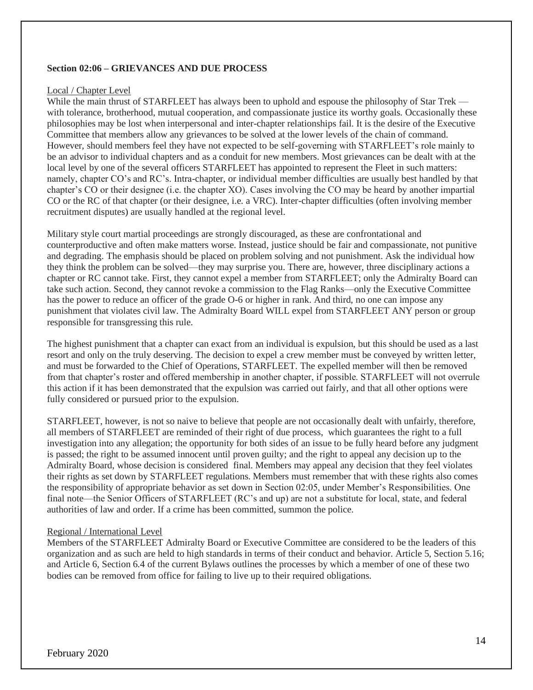### **Section 02:06 – GRIEVANCES AND DUE PROCESS**

#### Local / Chapter Level

While the main thrust of STARFLEET has always been to uphold and espouse the philosophy of Star Trek with tolerance, brotherhood, mutual cooperation, and compassionate justice its worthy goals. Occasionally these philosophies may be lost when interpersonal and inter-chapter relationships fail. It is the desire of the Executive Committee that members allow any grievances to be solved at the lower levels of the chain of command. However, should members feel they have not expected to be self-governing with STARFLEET's role mainly to be an advisor to individual chapters and as a conduit for new members. Most grievances can be dealt with at the local level by one of the several officers STARFLEET has appointed to represent the Fleet in such matters: namely, chapter CO's and RC's. Intra-chapter, or individual member difficulties are usually best handled by that chapter's CO or their designee (i.e. the chapter XO). Cases involving the CO may be heard by another impartial CO or the RC of that chapter (or their designee, i.e. a VRC). Inter-chapter difficulties (often involving member recruitment disputes) are usually handled at the regional level.

Military style court martial proceedings are strongly discouraged, as these are confrontational and counterproductive and often make matters worse. Instead, justice should be fair and compassionate, not punitive and degrading. The emphasis should be placed on problem solving and not punishment. Ask the individual how they think the problem can be solved—they may surprise you. There are, however, three disciplinary actions a chapter or RC cannot take. First, they cannot expel a member from STARFLEET; only the Admiralty Board can take such action. Second, they cannot revoke a commission to the Flag Ranks—only the Executive Committee has the power to reduce an officer of the grade O-6 or higher in rank. And third, no one can impose any punishment that violates civil law. The Admiralty Board WILL expel from STARFLEET ANY person or group responsible for transgressing this rule.

The highest punishment that a chapter can exact from an individual is expulsion, but this should be used as a last resort and only on the truly deserving. The decision to expel a crew member must be conveyed by written letter, and must be forwarded to the Chief of Operations, STARFLEET. The expelled member will then be removed from that chapter's roster and offered membership in another chapter, if possible. STARFLEET will not overrule this action if it has been demonstrated that the expulsion was carried out fairly, and that all other options were fully considered or pursued prior to the expulsion.

STARFLEET, however, is not so naive to believe that people are not occasionally dealt with unfairly, therefore, all members of STARFLEET are reminded of their right of due process, which guarantees the right to a full investigation into any allegation; the opportunity for both sides of an issue to be fully heard before any judgment is passed; the right to be assumed innocent until proven guilty; and the right to appeal any decision up to the Admiralty Board, whose decision is considered final. Members may appeal any decision that they feel violates their rights as set down by STARFLEET regulations. Members must remember that with these rights also comes the responsibility of appropriate behavior as set down in Section 02:05, under Member's Responsibilities. One final note—the Senior Officers of STARFLEET (RC's and up) are not a substitute for local, state, and federal authorities of law and order. If a crime has been committed, summon the police.

## Regional / International Level

Members of the STARFLEET Admiralty Board or Executive Committee are considered to be the leaders of this organization and as such are held to high standards in terms of their conduct and behavior. Article 5, Section 5.16; and Article 6, Section 6.4 of the current Bylaws outlines the processes by which a member of one of these two bodies can be removed from office for failing to live up to their required obligations.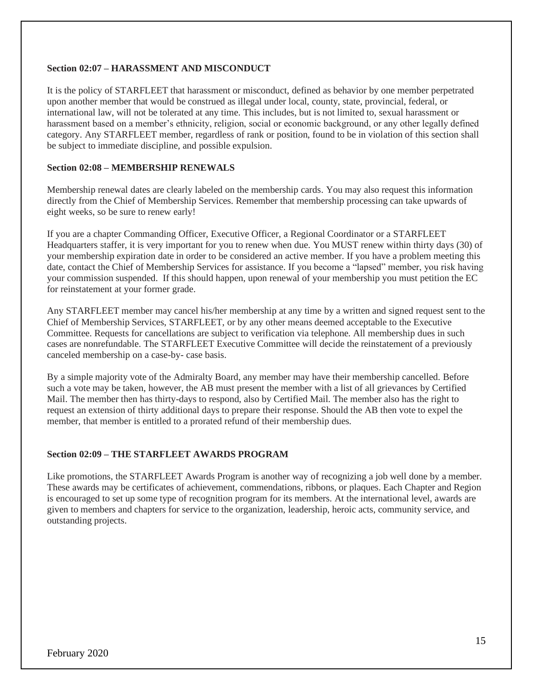## **Section 02:07 – HARASSMENT AND MISCONDUCT**

It is the policy of STARFLEET that harassment or misconduct, defined as behavior by one member perpetrated upon another member that would be construed as illegal under local, county, state, provincial, federal, or international law, will not be tolerated at any time. This includes, but is not limited to, sexual harassment or harassment based on a member's ethnicity, religion, social or economic background, or any other legally defined category. Any STARFLEET member, regardless of rank or position, found to be in violation of this section shall be subject to immediate discipline, and possible expulsion.

### **Section 02:08 – MEMBERSHIP RENEWALS**

Membership renewal dates are clearly labeled on the membership cards. You may also request this information directly from the Chief of Membership Services. Remember that membership processing can take upwards of eight weeks, so be sure to renew early!

If you are a chapter Commanding Officer, Executive Officer, a Regional Coordinator or a STARFLEET Headquarters staffer, it is very important for you to renew when due. You MUST renew within thirty days (30) of your membership expiration date in order to be considered an active member. If you have a problem meeting this date, contact the Chief of Membership Services for assistance. If you become a "lapsed" member, you risk having your commission suspended. If this should happen, upon renewal of your membership you must petition the EC for reinstatement at your former grade.

Any STARFLEET member may cancel his/her membership at any time by a written and signed request sent to the Chief of Membership Services, STARFLEET, or by any other means deemed acceptable to the Executive Committee. Requests for cancellations are subject to verification via telephone. All membership dues in such cases are nonrefundable. The STARFLEET Executive Committee will decide the reinstatement of a previously canceled membership on a case-by- case basis.

By a simple majority vote of the Admiralty Board, any member may have their membership cancelled. Before such a vote may be taken, however, the AB must present the member with a list of all grievances by Certified Mail. The member then has thirty-days to respond, also by Certified Mail. The member also has the right to request an extension of thirty additional days to prepare their response. Should the AB then vote to expel the member, that member is entitled to a prorated refund of their membership dues.

#### **Section 02:09 – THE STARFLEET AWARDS PROGRAM**

Like promotions, the STARFLEET Awards Program is another way of recognizing a job well done by a member. These awards may be certificates of achievement, commendations, ribbons, or plaques. Each Chapter and Region is encouraged to set up some type of recognition program for its members. At the international level, awards are given to members and chapters for service to the organization, leadership, heroic acts, community service, and outstanding projects.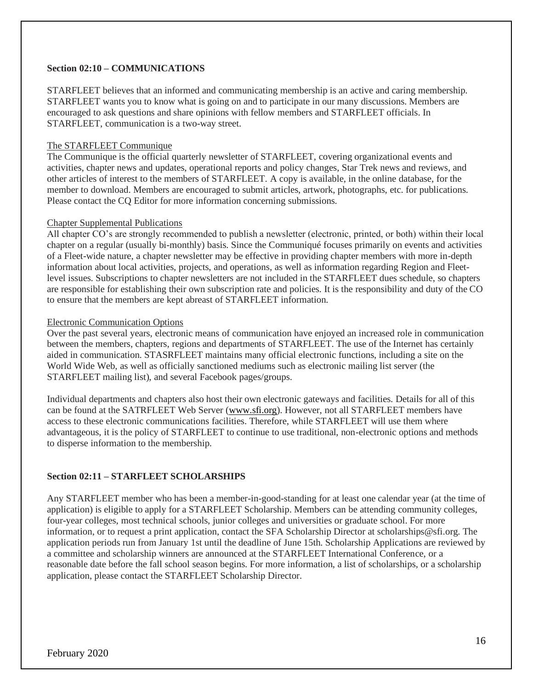## **Section 02:10 – COMMUNICATIONS**

STARFLEET believes that an informed and communicating membership is an active and caring membership. STARFLEET wants you to know what is going on and to participate in our many discussions. Members are encouraged to ask questions and share opinions with fellow members and STARFLEET officials. In STARFLEET, communication is a two-way street.

#### The STARFLEET Communique

The Communique is the official quarterly newsletter of STARFLEET, covering organizational events and activities, chapter news and updates, operational reports and policy changes, Star Trek news and reviews, and other articles of interest to the members of STARFLEET. A copy is available, in the online database, for the member to download. Members are encouraged to submit articles, artwork, photographs, etc. for publications. Please contact the CQ Editor for more information concerning submissions.

#### Chapter Supplemental Publications

All chapter CO's are strongly recommended to publish a newsletter (electronic, printed, or both) within their local chapter on a regular (usually bi-monthly) basis. Since the Communiqué focuses primarily on events and activities of a Fleet-wide nature, a chapter newsletter may be effective in providing chapter members with more in-depth information about local activities, projects, and operations, as well as information regarding Region and Fleetlevel issues. Subscriptions to chapter newsletters are not included in the STARFLEET dues schedule, so chapters are responsible for establishing their own subscription rate and policies. It is the responsibility and duty of the CO to ensure that the members are kept abreast of STARFLEET information.

#### Electronic Communication Options

Over the past several years, electronic means of communication have enjoyed an increased role in communication between the members, chapters, regions and departments of STARFLEET. The use of the Internet has certainly aided in communication. STASRFLEET maintains many official electronic functions, including a site on the World Wide Web, as well as officially sanctioned mediums such as electronic mailing list server (the STARFLEET mailing list), and several Facebook pages/groups.

Individual departments and chapters also host their own electronic gateways and facilities. Details for all of this can be found at the SATRFLEET Web Server [\(www.sfi.org\)](http://www.sfi.org/). However, not all STARFLEET members have access to these electronic communications facilities. Therefore, while STARFLEET will use them where advantageous, it is the policy of STARFLEET to continue to use traditional, non-electronic options and methods to disperse information to the membership.

## **Section 02:11 – STARFLEET SCHOLARSHIPS**

Any STARFLEET member who has been a member-in-good-standing for at least one calendar year (at the time of application) is eligible to apply for a STARFLEET Scholarship. Members can be attending community colleges, four-year colleges, most technical schools, junior colleges and universities or graduate school. For more information, or to request a print application, contact the SFA Scholarship Director at scholarships@sfi.org. The application periods run from January 1st until the deadline of June 15th. Scholarship Applications are reviewed by a committee and scholarship winners are announced at the STARFLEET International Conference, or a reasonable date before the fall school season begins. For more information, a list of scholarships, or a scholarship application, please contact the STARFLEET Scholarship Director.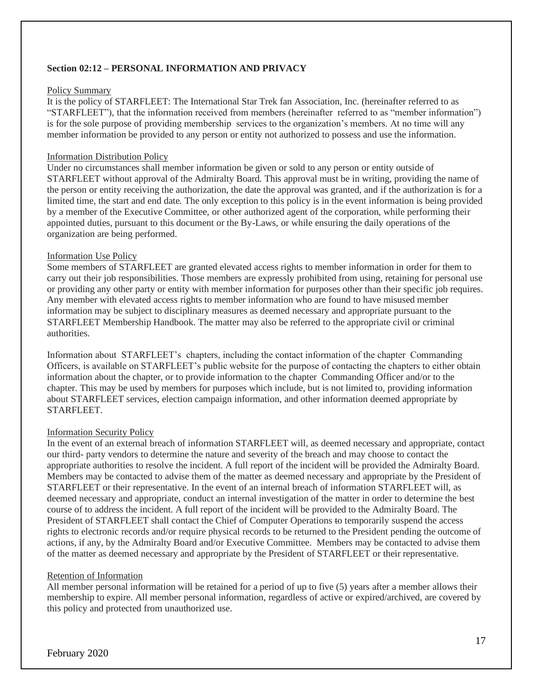## **Section 02:12 – PERSONAL INFORMATION AND PRIVACY**

#### Policy Summary

It is the policy of STARFLEET: The International Star Trek fan Association, Inc. (hereinafter referred to as "STARFLEET"), that the information received from members (hereinafter referred to as "member information") is for the sole purpose of providing membership services to the organization's members. At no time will any member information be provided to any person or entity not authorized to possess and use the information.

## Information Distribution Policy

Under no circumstances shall member information be given or sold to any person or entity outside of STARFLEET without approval of the Admiralty Board. This approval must be in writing, providing the name of the person or entity receiving the authorization, the date the approval was granted, and if the authorization is for a limited time, the start and end date. The only exception to this policy is in the event information is being provided by a member of the Executive Committee, or other authorized agent of the corporation, while performing their appointed duties, pursuant to this document or the By-Laws, or while ensuring the daily operations of the organization are being performed.

## Information Use Policy

Some members of STARFLEET are granted elevated access rights to member information in order for them to carry out their job responsibilities. Those members are expressly prohibited from using, retaining for personal use or providing any other party or entity with member information for purposes other than their specific job requires. Any member with elevated access rights to member information who are found to have misused member information may be subject to disciplinary measures as deemed necessary and appropriate pursuant to the STARFLEET Membership Handbook. The matter may also be referred to the appropriate civil or criminal authorities.

Information about STARFLEET's chapters, including the contact information of the chapter Commanding Officers, is available on STARFLEET's public website for the purpose of contacting the chapters to either obtain information about the chapter, or to provide information to the chapter Commanding Officer and/or to the chapter. This may be used by members for purposes which include, but is not limited to, providing information about STARFLEET services, election campaign information, and other information deemed appropriate by STARFLEET.

## Information Security Policy

In the event of an external breach of information STARFLEET will, as deemed necessary and appropriate, contact our third- party vendors to determine the nature and severity of the breach and may choose to contact the appropriate authorities to resolve the incident. A full report of the incident will be provided the Admiralty Board. Members may be contacted to advise them of the matter as deemed necessary and appropriate by the President of STARFLEET or their representative. In the event of an internal breach of information STARFLEET will, as deemed necessary and appropriate, conduct an internal investigation of the matter in order to determine the best course of to address the incident. A full report of the incident will be provided to the Admiralty Board. The President of STARFLEET shall contact the Chief of Computer Operations to temporarily suspend the access rights to electronic records and/or require physical records to be returned to the President pending the outcome of actions, if any, by the Admiralty Board and/or Executive Committee. Members may be contacted to advise them of the matter as deemed necessary and appropriate by the President of STARFLEET or their representative.

## Retention of Information

All member personal information will be retained for a period of up to five (5) years after a member allows their membership to expire. All member personal information, regardless of active or expired/archived, are covered by this policy and protected from unauthorized use.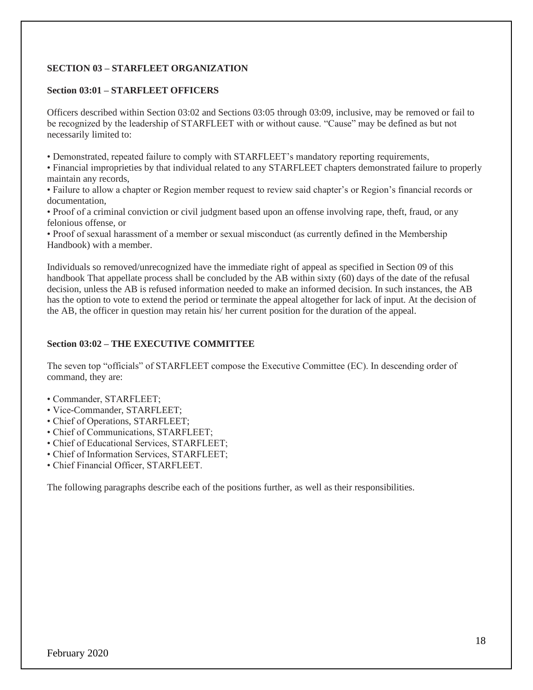## **SECTION 03 – STARFLEET ORGANIZATION**

## **Section 03:01 – STARFLEET OFFICERS**

Officers described within Section 03:02 and Sections 03:05 through 03:09, inclusive, may be removed or fail to be recognized by the leadership of STARFLEET with or without cause. "Cause" may be defined as but not necessarily limited to:

• Demonstrated, repeated failure to comply with STARFLEET's mandatory reporting requirements,

• Financial improprieties by that individual related to any STARFLEET chapters demonstrated failure to properly maintain any records,

• Failure to allow a chapter or Region member request to review said chapter's or Region's financial records or documentation,

• Proof of a criminal conviction or civil judgment based upon an offense involving rape, theft, fraud, or any felonious offense, or

• Proof of sexual harassment of a member or sexual misconduct (as currently defined in the Membership Handbook) with a member.

Individuals so removed/unrecognized have the immediate right of appeal as specified in Section 09 of this handbook That appellate process shall be concluded by the AB within sixty (60) days of the date of the refusal decision, unless the AB is refused information needed to make an informed decision. In such instances, the AB has the option to vote to extend the period or terminate the appeal altogether for lack of input. At the decision of the AB, the officer in question may retain his/ her current position for the duration of the appeal.

### **Section 03:02 – THE EXECUTIVE COMMITTEE**

The seven top "officials" of STARFLEET compose the Executive Committee (EC). In descending order of command, they are:

- Commander, STARFLEET;
- Vice-Commander, STARFLEET;
- Chief of Operations, STARFLEET;
- Chief of Communications, STARFLEET;
- Chief of Educational Services, STARFLEET;
- Chief of Information Services, STARFLEET;
- Chief Financial Officer, STARFLEET.

The following paragraphs describe each of the positions further, as well as their responsibilities.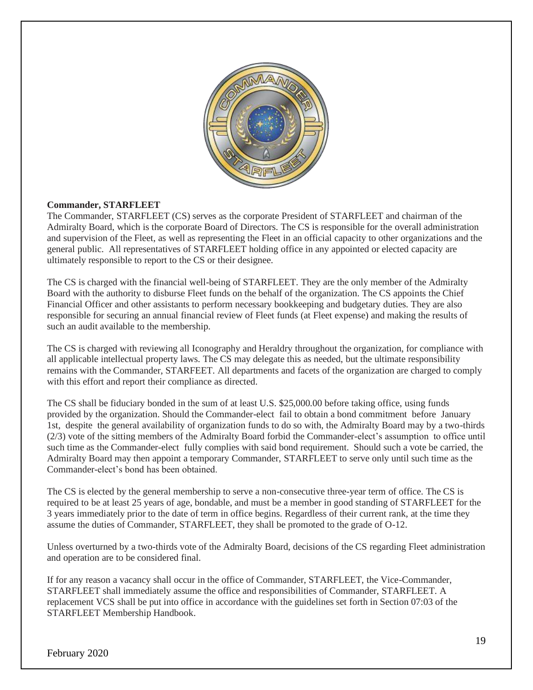

## **Commander, STARFLEET**

The Commander, STARFLEET (CS) serves as the corporate President of STARFLEET and chairman of the Admiralty Board, which is the corporate Board of Directors. The CS is responsible for the overall administration and supervision of the Fleet, as well as representing the Fleet in an official capacity to other organizations and the general public. All representatives of STARFLEET holding office in any appointed or elected capacity are ultimately responsible to report to the CS or their designee.

The CS is charged with the financial well-being of STARFLEET. They are the only member of the Admiralty Board with the authority to disburse Fleet funds on the behalf of the organization. The CS appoints the Chief Financial Officer and other assistants to perform necessary bookkeeping and budgetary duties. They are also responsible for securing an annual financial review of Fleet funds (at Fleet expense) and making the results of such an audit available to the membership.

The CS is charged with reviewing all Iconography and Heraldry throughout the organization, for compliance with all applicable intellectual property laws. The CS may delegate this as needed, but the ultimate responsibility remains with the Commander, STARFEET. All departments and facets of the organization are charged to comply with this effort and report their compliance as directed.

The CS shall be fiduciary bonded in the sum of at least U.S. \$25,000.00 before taking office, using funds provided by the organization. Should the Commander-elect fail to obtain a bond commitment before January 1st, despite the general availability of organization funds to do so with, the Admiralty Board may by a two-thirds (2/3) vote of the sitting members of the Admiralty Board forbid the Commander-elect's assumption to office until such time as the Commander-elect fully complies with said bond requirement. Should such a vote be carried, the Admiralty Board may then appoint a temporary Commander, STARFLEET to serve only until such time as the Commander-elect's bond has been obtained.

The CS is elected by the general membership to serve a non-consecutive three-year term of office. The CS is required to be at least 25 years of age, bondable, and must be a member in good standing of STARFLEET for the 3 years immediately prior to the date of term in office begins. Regardless of their current rank, at the time they assume the duties of Commander, STARFLEET, they shall be promoted to the grade of O-12.

Unless overturned by a two-thirds vote of the Admiralty Board, decisions of the CS regarding Fleet administration and operation are to be considered final.

If for any reason a vacancy shall occur in the office of Commander, STARFLEET, the Vice-Commander, STARFLEET shall immediately assume the office and responsibilities of Commander, STARFLEET. A replacement VCS shall be put into office in accordance with the guidelines set forth in Section 07:03 of the STARFLEET Membership Handbook.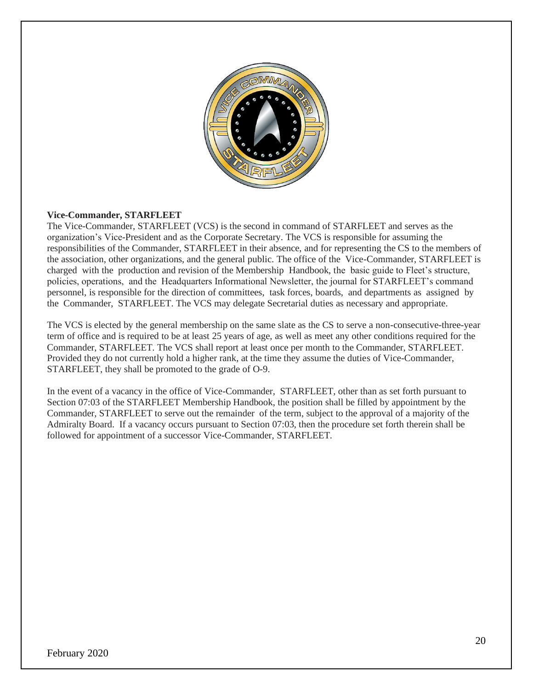

## **Vice-Commander, STARFLEET**

The Vice-Commander, STARFLEET (VCS) is the second in command of STARFLEET and serves as the organization's Vice-President and as the Corporate Secretary. The VCS is responsible for assuming the responsibilities of the Commander, STARFLEET in their absence, and for representing the CS to the members of the association, other organizations, and the general public. The office of the Vice-Commander, STARFLEET is charged with the production and revision of the Membership Handbook, the basic guide to Fleet's structure, policies, operations, and the Headquarters Informational Newsletter, the journal for STARFLEET's command personnel, is responsible for the direction of committees, task forces, boards, and departments as assigned by the Commander, STARFLEET. The VCS may delegate Secretarial duties as necessary and appropriate.

The VCS is elected by the general membership on the same slate as the CS to serve a non-consecutive-three-year term of office and is required to be at least 25 years of age, as well as meet any other conditions required for the Commander, STARFLEET. The VCS shall report at least once per month to the Commander, STARFLEET. Provided they do not currently hold a higher rank, at the time they assume the duties of Vice-Commander, STARFLEET, they shall be promoted to the grade of O-9.

In the event of a vacancy in the office of Vice-Commander, STARFLEET, other than as set forth pursuant to Section 07:03 of the STARFLEET Membership Handbook, the position shall be filled by appointment by the Commander, STARFLEET to serve out the remainder of the term, subject to the approval of a majority of the Admiralty Board. If a vacancy occurs pursuant to Section 07:03, then the procedure set forth therein shall be followed for appointment of a successor Vice-Commander, STARFLEET.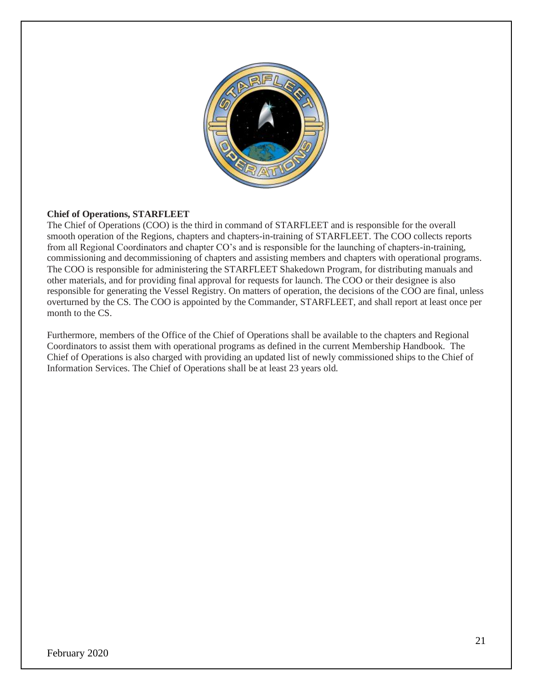

## **Chief of Operations, STARFLEET**

The Chief of Operations (COO) is the third in command of STARFLEET and is responsible for the overall smooth operation of the Regions, chapters and chapters-in-training of STARFLEET. The COO collects reports from all Regional Coordinators and chapter CO's and is responsible for the launching of chapters-in-training, commissioning and decommissioning of chapters and assisting members and chapters with operational programs. The COO is responsible for administering the STARFLEET Shakedown Program, for distributing manuals and other materials, and for providing final approval for requests for launch. The COO or their designee is also responsible for generating the Vessel Registry. On matters of operation, the decisions of the COO are final, unless overturned by the CS. The COO is appointed by the Commander, STARFLEET, and shall report at least once per month to the CS

Furthermore, members of the Office of the Chief of Operations shall be available to the chapters and Regional Coordinators to assist them with operational programs as defined in the current Membership Handbook. The Chief of Operations is also charged with providing an updated list of newly commissioned ships to the Chief of Information Services. The Chief of Operations shall be at least 23 years old.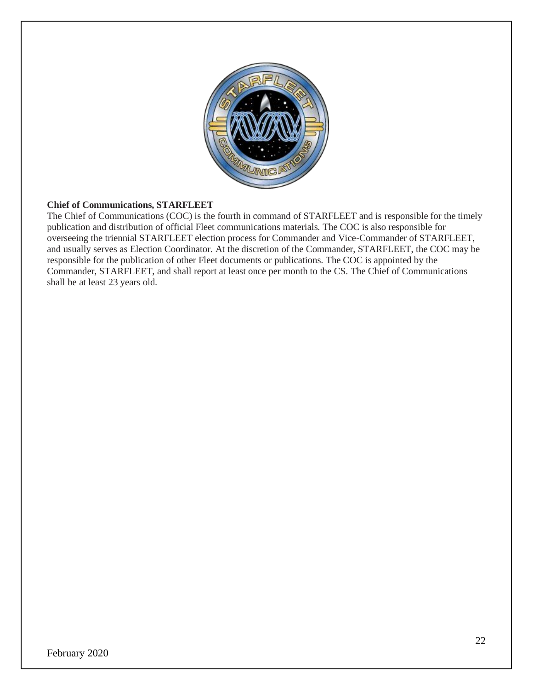

## **Chief of Communications, STARFLEET**

The Chief of Communications (COC) is the fourth in command of STARFLEET and is responsible for the timely publication and distribution of official Fleet communications materials. The COC is also responsible for overseeing the triennial STARFLEET election process for Commander and Vice-Commander of STARFLEET, and usually serves as Election Coordinator. At the discretion of the Commander, STARFLEET, the COC may be responsible for the publication of other Fleet documents or publications. The COC is appointed by the Commander, STARFLEET, and shall report at least once per month to the CS. The Chief of Communications shall be at least 23 years old.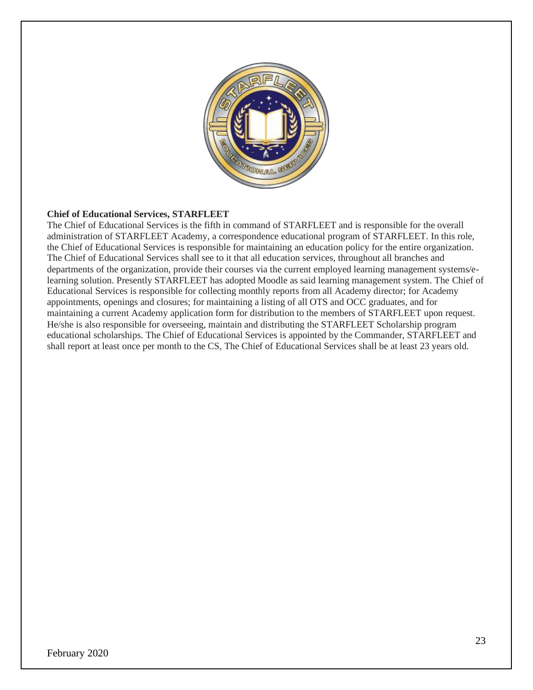

## **Chief of Educational Services, STARFLEET**

The Chief of Educational Services is the fifth in command of STARFLEET and is responsible for the overall administration of STARFLEET Academy, a correspondence educational program of STARFLEET. In this role, the Chief of Educational Services is responsible for maintaining an education policy for the entire organization. The Chief of Educational Services shall see to it that all education services, throughout all branches and departments of the organization, provide their courses via the current employed learning management systems/elearning solution. Presently STARFLEET has adopted Moodle as said learning management system. The Chief of Educational Services is responsible for collecting monthly reports from all Academy director; for Academy appointments, openings and closures; for maintaining a listing of all OTS and OCC graduates, and for maintaining a current Academy application form for distribution to the members of STARFLEET upon request. He/she is also responsible for overseeing, maintain and distributing the STARFLEET Scholarship program educational scholarships. The Chief of Educational Services is appointed by the Commander, STARFLEET and shall report at least once per month to the CS, The Chief of Educational Services shall be at least 23 years old.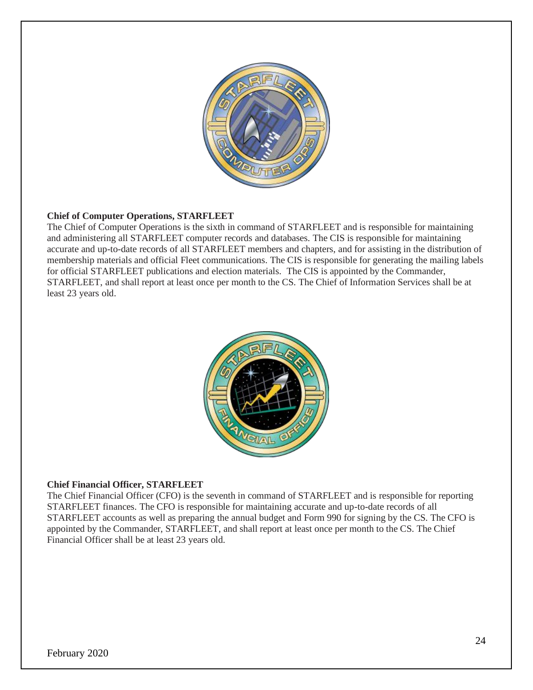

## **Chief of Computer Operations, STARFLEET**

The Chief of Computer Operations is the sixth in command of STARFLEET and is responsible for maintaining and administering all STARFLEET computer records and databases. The CIS is responsible for maintaining accurate and up-to-date records of all STARFLEET members and chapters, and for assisting in the distribution of membership materials and official Fleet communications. The CIS is responsible for generating the mailing labels for official STARFLEET publications and election materials. The CIS is appointed by the Commander, STARFLEET, and shall report at least once per month to the CS. The Chief of Information Services shall be at least 23 years old.



## **Chief Financial Officer, STARFLEET**

The Chief Financial Officer (CFO) is the seventh in command of STARFLEET and is responsible for reporting STARFLEET finances. The CFO is responsible for maintaining accurate and up-to-date records of all STARFLEET accounts as well as preparing the annual budget and Form 990 for signing by the CS. The CFO is appointed by the Commander, STARFLEET, and shall report at least once per month to the CS. The Chief Financial Officer shall be at least 23 years old.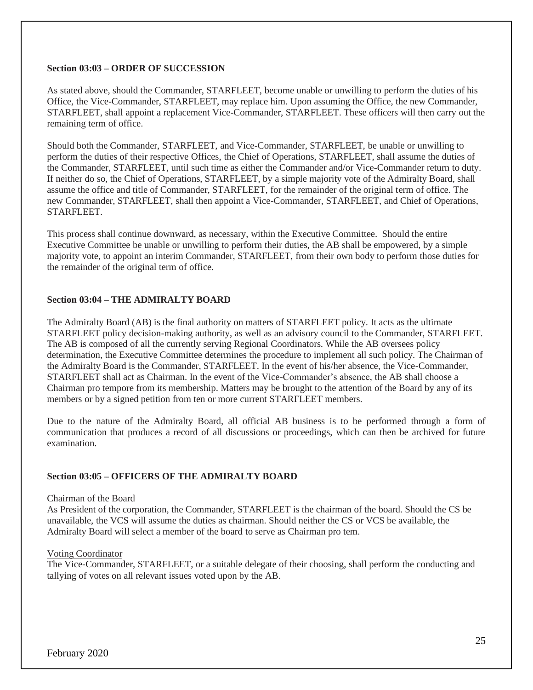#### **Section 03:03 – ORDER OF SUCCESSION**

As stated above, should the Commander, STARFLEET, become unable or unwilling to perform the duties of his Office, the Vice-Commander, STARFLEET, may replace him. Upon assuming the Office, the new Commander, STARFLEET, shall appoint a replacement Vice-Commander, STARFLEET. These officers will then carry out the remaining term of office.

Should both the Commander, STARFLEET, and Vice-Commander, STARFLEET, be unable or unwilling to perform the duties of their respective Offices, the Chief of Operations, STARFLEET, shall assume the duties of the Commander, STARFLEET, until such time as either the Commander and/or Vice-Commander return to duty. If neither do so, the Chief of Operations, STARFLEET, by a simple majority vote of the Admiralty Board, shall assume the office and title of Commander, STARFLEET, for the remainder of the original term of office. The new Commander, STARFLEET, shall then appoint a Vice-Commander, STARFLEET, and Chief of Operations, STARFLEET.

This process shall continue downward, as necessary, within the Executive Committee. Should the entire Executive Committee be unable or unwilling to perform their duties, the AB shall be empowered, by a simple majority vote, to appoint an interim Commander, STARFLEET, from their own body to perform those duties for the remainder of the original term of office.

## **Section 03:04 – THE ADMIRALTY BOARD**

The Admiralty Board (AB) is the final authority on matters of STARFLEET policy. It acts as the ultimate STARFLEET policy decision-making authority, as well as an advisory council to the Commander, STARFLEET. The AB is composed of all the currently serving Regional Coordinators. While the AB oversees policy determination, the Executive Committee determines the procedure to implement all such policy. The Chairman of the Admiralty Board is the Commander, STARFLEET. In the event of his/her absence, the Vice-Commander, STARFLEET shall act as Chairman. In the event of the Vice-Commander's absence, the AB shall choose a Chairman pro tempore from its membership. Matters may be brought to the attention of the Board by any of its members or by a signed petition from ten or more current STARFLEET members.

Due to the nature of the Admiralty Board, all official AB business is to be performed through a form of communication that produces a record of all discussions or proceedings, which can then be archived for future examination.

## **Section 03:05 – OFFICERS OF THE ADMIRALTY BOARD**

#### Chairman of the Board

As President of the corporation, the Commander, STARFLEET is the chairman of the board. Should the CS be unavailable, the VCS will assume the duties as chairman. Should neither the CS or VCS be available, the Admiralty Board will select a member of the board to serve as Chairman pro tem.

#### Voting Coordinator

The Vice-Commander, STARFLEET, or a suitable delegate of their choosing, shall perform the conducting and tallying of votes on all relevant issues voted upon by the AB.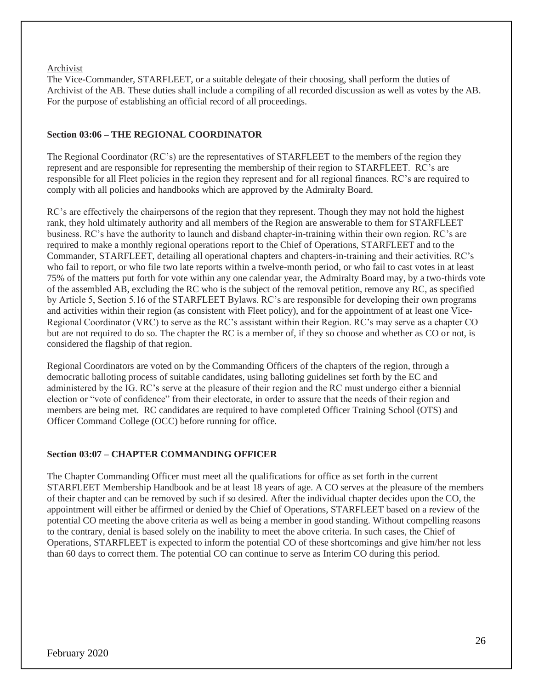#### Archivist

The Vice-Commander, STARFLEET, or a suitable delegate of their choosing, shall perform the duties of Archivist of the AB. These duties shall include a compiling of all recorded discussion as well as votes by the AB. For the purpose of establishing an official record of all proceedings.

## **Section 03:06 – THE REGIONAL COORDINATOR**

The Regional Coordinator (RC's) are the representatives of STARFLEET to the members of the region they represent and are responsible for representing the membership of their region to STARFLEET. RC's are responsible for all Fleet policies in the region they represent and for all regional finances. RC's are required to comply with all policies and handbooks which are approved by the Admiralty Board.

RC's are effectively the chairpersons of the region that they represent. Though they may not hold the highest rank, they hold ultimately authority and all members of the Region are answerable to them for STARFLEET business. RC's have the authority to launch and disband chapter-in-training within their own region. RC's are required to make a monthly regional operations report to the Chief of Operations, STARFLEET and to the Commander, STARFLEET, detailing all operational chapters and chapters-in-training and their activities. RC's who fail to report, or who file two late reports within a twelve-month period, or who fail to cast votes in at least 75% of the matters put forth for vote within any one calendar year, the Admiralty Board may, by a two-thirds vote of the assembled AB, excluding the RC who is the subject of the removal petition, remove any RC, as specified by Article 5, Section 5.16 of the STARFLEET Bylaws. RC's are responsible for developing their own programs and activities within their region (as consistent with Fleet policy), and for the appointment of at least one Vice-Regional Coordinator (VRC) to serve as the RC's assistant within their Region. RC's may serve as a chapter CO but are not required to do so. The chapter the RC is a member of, if they so choose and whether as CO or not, is considered the flagship of that region.

Regional Coordinators are voted on by the Commanding Officers of the chapters of the region, through a democratic balloting process of suitable candidates, using balloting guidelines set forth by the EC and administered by the IG. RC's serve at the pleasure of their region and the RC must undergo either a biennial election or "vote of confidence" from their electorate, in order to assure that the needs of their region and members are being met. RC candidates are required to have completed Officer Training School (OTS) and Officer Command College (OCC) before running for office.

## **Section 03:07 – CHAPTER COMMANDING OFFICER**

The Chapter Commanding Officer must meet all the qualifications for office as set forth in the current STARFLEET Membership Handbook and be at least 18 years of age. A CO serves at the pleasure of the members of their chapter and can be removed by such if so desired. After the individual chapter decides upon the CO, the appointment will either be affirmed or denied by the Chief of Operations, STARFLEET based on a review of the potential CO meeting the above criteria as well as being a member in good standing. Without compelling reasons to the contrary, denial is based solely on the inability to meet the above criteria. In such cases, the Chief of Operations, STARFLEET is expected to inform the potential CO of these shortcomings and give him/her not less than 60 days to correct them. The potential CO can continue to serve as Interim CO during this period.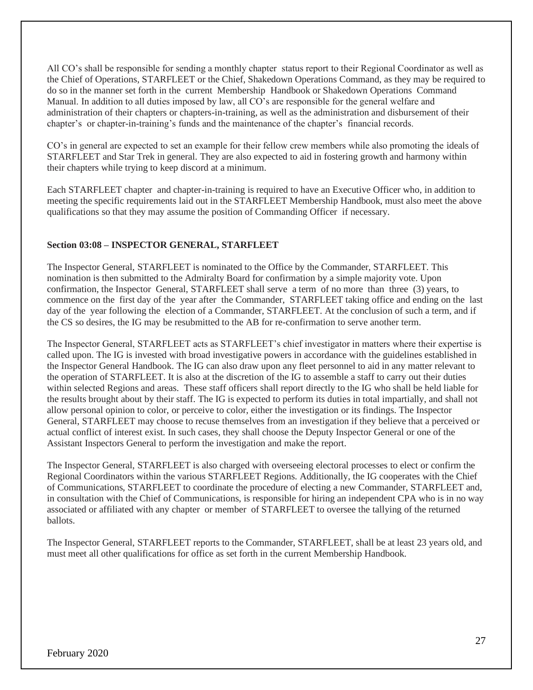All CO's shall be responsible for sending a monthly chapter status report to their Regional Coordinator as well as the Chief of Operations, STARFLEET or the Chief, Shakedown Operations Command, as they may be required to do so in the manner set forth in the current Membership Handbook or Shakedown Operations Command Manual. In addition to all duties imposed by law, all CO's are responsible for the general welfare and administration of their chapters or chapters-in-training, as well as the administration and disbursement of their chapter's or chapter-in-training's funds and the maintenance of the chapter's financial records.

CO's in general are expected to set an example for their fellow crew members while also promoting the ideals of STARFLEET and Star Trek in general. They are also expected to aid in fostering growth and harmony within their chapters while trying to keep discord at a minimum.

Each STARFLEET chapter and chapter-in-training is required to have an Executive Officer who, in addition to meeting the specific requirements laid out in the STARFLEET Membership Handbook, must also meet the above qualifications so that they may assume the position of Commanding Officer if necessary.

## **Section 03:08 – INSPECTOR GENERAL, STARFLEET**

The Inspector General, STARFLEET is nominated to the Office by the Commander, STARFLEET. This nomination is then submitted to the Admiralty Board for confirmation by a simple majority vote. Upon confirmation, the Inspector General, STARFLEET shall serve a term of no more than three (3) years, to commence on the first day of the year after the Commander, STARFLEET taking office and ending on the last day of the year following the election of a Commander, STARFLEET. At the conclusion of such a term, and if the CS so desires, the IG may be resubmitted to the AB for re-confirmation to serve another term.

The Inspector General, STARFLEET acts as STARFLEET's chief investigator in matters where their expertise is called upon. The IG is invested with broad investigative powers in accordance with the guidelines established in the Inspector General Handbook. The IG can also draw upon any fleet personnel to aid in any matter relevant to the operation of STARFLEET. It is also at the discretion of the IG to assemble a staff to carry out their duties within selected Regions and areas. These staff officers shall report directly to the IG who shall be held liable for the results brought about by their staff. The IG is expected to perform its duties in total impartially, and shall not allow personal opinion to color, or perceive to color, either the investigation or its findings. The Inspector General, STARFLEET may choose to recuse themselves from an investigation if they believe that a perceived or actual conflict of interest exist. In such cases, they shall choose the Deputy Inspector General or one of the Assistant Inspectors General to perform the investigation and make the report.

The Inspector General, STARFLEET is also charged with overseeing electoral processes to elect or confirm the Regional Coordinators within the various STARFLEET Regions. Additionally, the IG cooperates with the Chief of Communications, STARFLEET to coordinate the procedure of electing a new Commander, STARFLEET and, in consultation with the Chief of Communications, is responsible for hiring an independent CPA who is in no way associated or affiliated with any chapter or member of STARFLEET to oversee the tallying of the returned ballots.

The Inspector General, STARFLEET reports to the Commander, STARFLEET, shall be at least 23 years old, and must meet all other qualifications for office as set forth in the current Membership Handbook.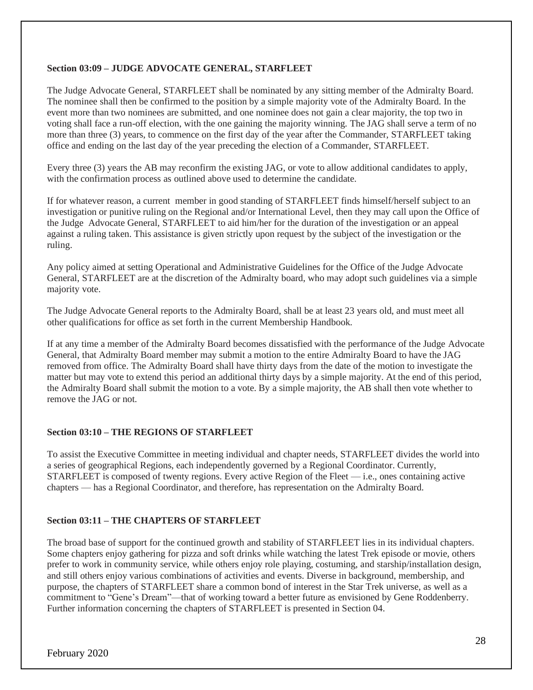### **Section 03:09 – JUDGE ADVOCATE GENERAL, STARFLEET**

The Judge Advocate General, STARFLEET shall be nominated by any sitting member of the Admiralty Board. The nominee shall then be confirmed to the position by a simple majority vote of the Admiralty Board. In the event more than two nominees are submitted, and one nominee does not gain a clear majority, the top two in voting shall face a run-off election, with the one gaining the majority winning. The JAG shall serve a term of no more than three (3) years, to commence on the first day of the year after the Commander, STARFLEET taking office and ending on the last day of the year preceding the election of a Commander, STARFLEET.

Every three (3) years the AB may reconfirm the existing JAG, or vote to allow additional candidates to apply, with the confirmation process as outlined above used to determine the candidate.

If for whatever reason, a current member in good standing of STARFLEET finds himself/herself subject to an investigation or punitive ruling on the Regional and/or International Level, then they may call upon the Office of the Judge Advocate General, STARFLEET to aid him/her for the duration of the investigation or an appeal against a ruling taken. This assistance is given strictly upon request by the subject of the investigation or the ruling.

Any policy aimed at setting Operational and Administrative Guidelines for the Office of the Judge Advocate General, STARFLEET are at the discretion of the Admiralty board, who may adopt such guidelines via a simple majority vote.

The Judge Advocate General reports to the Admiralty Board, shall be at least 23 years old, and must meet all other qualifications for office as set forth in the current Membership Handbook.

If at any time a member of the Admiralty Board becomes dissatisfied with the performance of the Judge Advocate General, that Admiralty Board member may submit a motion to the entire Admiralty Board to have the JAG removed from office. The Admiralty Board shall have thirty days from the date of the motion to investigate the matter but may vote to extend this period an additional thirty days by a simple majority. At the end of this period, the Admiralty Board shall submit the motion to a vote. By a simple majority, the AB shall then vote whether to remove the JAG or not.

## **Section 03:10 – THE REGIONS OF STARFLEET**

To assist the Executive Committee in meeting individual and chapter needs, STARFLEET divides the world into a series of geographical Regions, each independently governed by a Regional Coordinator. Currently, STARFLEET is composed of twenty regions. Every active Region of the Fleet — i.e., ones containing active chapters — has a Regional Coordinator, and therefore, has representation on the Admiralty Board.

#### **Section 03:11 – THE CHAPTERS OF STARFLEET**

The broad base of support for the continued growth and stability of STARFLEET lies in its individual chapters. Some chapters enjoy gathering for pizza and soft drinks while watching the latest Trek episode or movie, others prefer to work in community service, while others enjoy role playing, costuming, and starship/installation design, and still others enjoy various combinations of activities and events. Diverse in background, membership, and purpose, the chapters of STARFLEET share a common bond of interest in the Star Trek universe, as well as a commitment to "Gene's Dream"—that of working toward a better future as envisioned by Gene Roddenberry. Further information concerning the chapters of STARFLEET is presented in Section 04.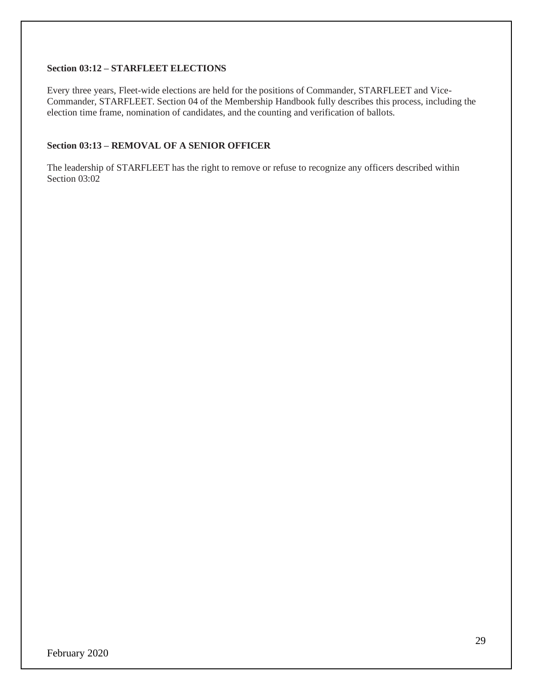## **Section 03:12 – STARFLEET ELECTIONS**

Every three years, Fleet-wide elections are held for the positions of Commander, STARFLEET and Vice-Commander, STARFLEET. Section 04 of the Membership Handbook fully describes this process, including the election time frame, nomination of candidates, and the counting and verification of ballots.

## **Section 03:13 – REMOVAL OF A SENIOR OFFICER**

The leadership of STARFLEET has the right to remove or refuse to recognize any officers described within Section 03:02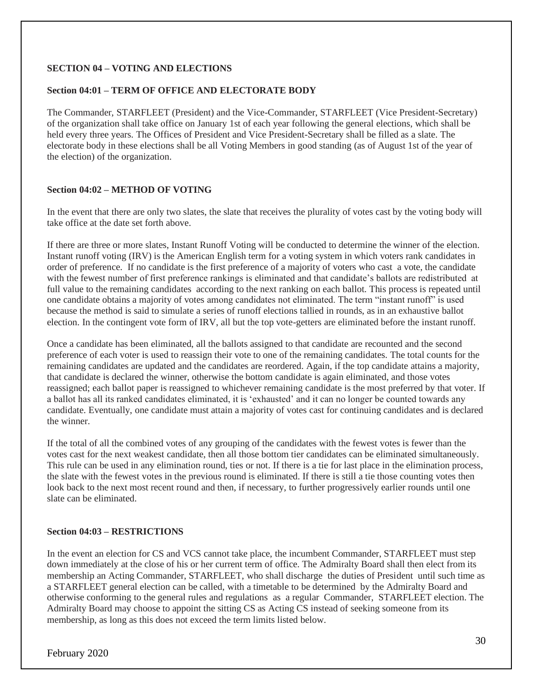## **SECTION 04 – VOTING AND ELECTIONS**

### **Section 04:01 – TERM OF OFFICE AND ELECTORATE BODY**

The Commander, STARFLEET (President) and the Vice-Commander, STARFLEET (Vice President-Secretary) of the organization shall take office on January 1st of each year following the general elections, which shall be held every three years. The Offices of President and Vice President-Secretary shall be filled as a slate. The electorate body in these elections shall be all Voting Members in good standing (as of August 1st of the year of the election) of the organization.

## **Section 04:02 – METHOD OF VOTING**

In the event that there are only two slates, the slate that receives the plurality of votes cast by the voting body will take office at the date set forth above.

If there are three or more slates, Instant Runoff Voting will be conducted to determine the winner of the election. Instant runoff voting (IRV) is the American English term for a voting system in which voters rank candidates in order of preference. If no candidate is the first preference of a majority of voters who cast a vote, the candidate with the fewest number of first preference rankings is eliminated and that candidate's ballots are redistributed at full value to the remaining candidates according to the next ranking on each ballot. This process is repeated until one candidate obtains a majority of votes among candidates not eliminated. The term "instant runoff" is used because the method is said to simulate a series of runoff elections tallied in rounds, as in an exhaustive ballot election. In the contingent vote form of IRV, all but the top vote-getters are eliminated before the instant runoff.

Once a candidate has been eliminated, all the ballots assigned to that candidate are recounted and the second preference of each voter is used to reassign their vote to one of the remaining candidates. The total counts for the remaining candidates are updated and the candidates are reordered. Again, if the top candidate attains a majority, that candidate is declared the winner, otherwise the bottom candidate is again eliminated, and those votes reassigned; each ballot paper is reassigned to whichever remaining candidate is the most preferred by that voter. If a ballot has all its ranked candidates eliminated, it is 'exhausted' and it can no longer be counted towards any candidate. Eventually, one candidate must attain a majority of votes cast for continuing candidates and is declared the winner.

If the total of all the combined votes of any grouping of the candidates with the fewest votes is fewer than the votes cast for the next weakest candidate, then all those bottom tier candidates can be eliminated simultaneously. This rule can be used in any elimination round, ties or not. If there is a tie for last place in the elimination process, the slate with the fewest votes in the previous round is eliminated. If there is still a tie those counting votes then look back to the next most recent round and then, if necessary, to further progressively earlier rounds until one slate can be eliminated.

## **Section 04:03 – RESTRICTIONS**

In the event an election for CS and VCS cannot take place, the incumbent Commander, STARFLEET must step down immediately at the close of his or her current term of office. The Admiralty Board shall then elect from its membership an Acting Commander, STARFLEET, who shall discharge the duties of President until such time as a STARFLEET general election can be called, with a timetable to be determined by the Admiralty Board and otherwise conforming to the general rules and regulations as a regular Commander, STARFLEET election. The Admiralty Board may choose to appoint the sitting CS as Acting CS instead of seeking someone from its membership, as long as this does not exceed the term limits listed below.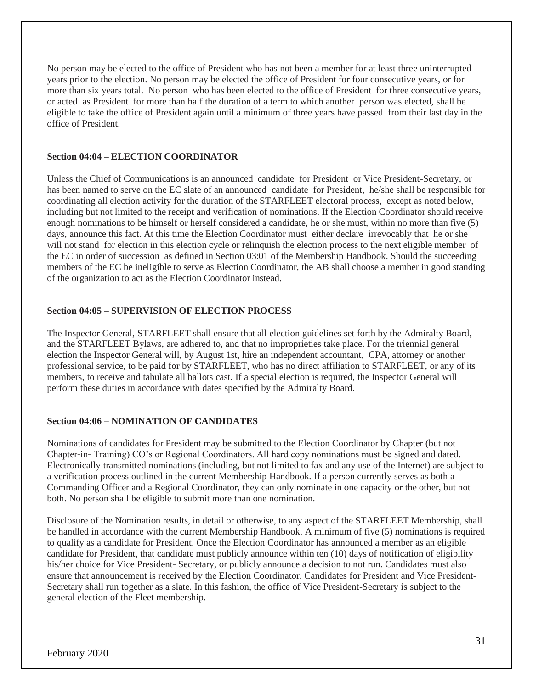No person may be elected to the office of President who has not been a member for at least three uninterrupted years prior to the election. No person may be elected the office of President for four consecutive years, or for more than six years total. No person who has been elected to the office of President for three consecutive years, or acted as President for more than half the duration of a term to which another person was elected, shall be eligible to take the office of President again until a minimum of three years have passed from their last day in the office of President.

#### **Section 04:04 – ELECTION COORDINATOR**

Unless the Chief of Communications is an announced candidate for President or Vice President-Secretary, or has been named to serve on the EC slate of an announced candidate for President, he/she shall be responsible for coordinating all election activity for the duration of the STARFLEET electoral process, except as noted below, including but not limited to the receipt and verification of nominations. If the Election Coordinator should receive enough nominations to be himself or herself considered a candidate, he or she must, within no more than five (5) days, announce this fact. At this time the Election Coordinator must either declare irrevocably that he or she will not stand for election in this election cycle or relinquish the election process to the next eligible member of the EC in order of succession as defined in Section 03:01 of the Membership Handbook. Should the succeeding members of the EC be ineligible to serve as Election Coordinator, the AB shall choose a member in good standing of the organization to act as the Election Coordinator instead.

## **Section 04:05 – SUPERVISION OF ELECTION PROCESS**

The Inspector General, STARFLEET shall ensure that all election guidelines set forth by the Admiralty Board, and the STARFLEET Bylaws, are adhered to, and that no improprieties take place. For the triennial general election the Inspector General will, by August 1st, hire an independent accountant, CPA, attorney or another professional service, to be paid for by STARFLEET, who has no direct affiliation to STARFLEET, or any of its members, to receive and tabulate all ballots cast. If a special election is required, the Inspector General will perform these duties in accordance with dates specified by the Admiralty Board.

## **Section 04:06 – NOMINATION OF CANDIDATES**

Nominations of candidates for President may be submitted to the Election Coordinator by Chapter (but not Chapter-in- Training) CO's or Regional Coordinators. All hard copy nominations must be signed and dated. Electronically transmitted nominations (including, but not limited to fax and any use of the Internet) are subject to a verification process outlined in the current Membership Handbook. If a person currently serves as both a Commanding Officer and a Regional Coordinator, they can only nominate in one capacity or the other, but not both. No person shall be eligible to submit more than one nomination.

Disclosure of the Nomination results, in detail or otherwise, to any aspect of the STARFLEET Membership, shall be handled in accordance with the current Membership Handbook. A minimum of five (5) nominations is required to qualify as a candidate for President. Once the Election Coordinator has announced a member as an eligible candidate for President, that candidate must publicly announce within ten (10) days of notification of eligibility his/her choice for Vice President- Secretary, or publicly announce a decision to not run. Candidates must also ensure that announcement is received by the Election Coordinator. Candidates for President and Vice President-Secretary shall run together as a slate. In this fashion, the office of Vice President-Secretary is subject to the general election of the Fleet membership.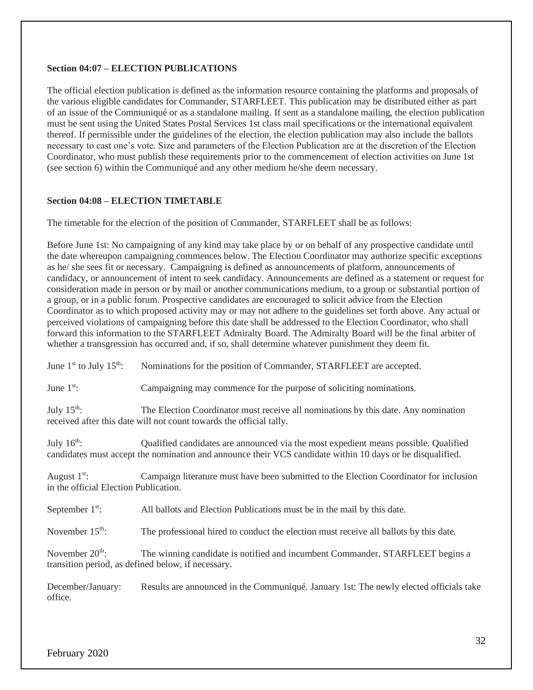### **Section 04:07 – ELECTION PUBLICATIONS**

The official election publication is defined as the information resource containing the platforms and proposals of the various eligible candidates for Commander, STARFLEET. This publication may be distributed either as part of an issue of the Communiqué or as a standalone mailing. If sent as a standalone mailing, the election publication must be sent using the United States Postal Services 1st class mail specifications or the international equivalent thereof. If permissible under the guidelines of the election, the election publication may also include the ballots necessary to cast one's vote. Size and parameters of the Election Publication are at the discretion of the Election Coordinator, who must publish these requirements prior to the commencement of election activities on June 1st (see section 6) within the Communiqué and any other medium he/she deem necessary.

## **Section 04:08 – ELECTION TIMETABLE**

The timetable for the election of the position of Commander, STARFLEET shall be as follows:

Before June 1st: No campaigning of any kind may take place by or on behalf of any prospective candidate until the date whereupon campaigning commences below. The Election Coordinator may authorize specific exceptions as he/ she sees fit or necessary. Campaigning is defined as announcements of platform, announcements of candidacy, or announcement of intent to seek candidacy. Announcements are defined as a statement or request for consideration made in person or by mail or another communications medium, to a group or substantial portion of a group, or in a public forum. Prospective candidates are encouraged to solicit advice from the Election Coordinator as to which proposed activity may or may not adhere to the guidelines set forth above. Any actual or perceived violations of campaigning before this date shall be addressed to the Election Coordinator, who shall forward this information to the STARFLEET Admiralty Board. The Admiralty Board will be the final arbiter of whether a transgression has occurred and, if so, shall determine whatever punishment they deem fit.

| June $1^{\text{st}}$ to July $15^{\text{th}}$ :                                                                                                                                      | Nominations for the position of Commander, STARFLEET are accepted.                                                                                                                               |  |  |
|--------------------------------------------------------------------------------------------------------------------------------------------------------------------------------------|--------------------------------------------------------------------------------------------------------------------------------------------------------------------------------------------------|--|--|
| June $1st$ :                                                                                                                                                                         | Campaigning may commence for the purpose of soliciting nominations.                                                                                                                              |  |  |
| July $15^{\text{th}}$ :<br>The Election Coordinator must receive all nominations by this date. Any nomination<br>received after this date will not count towards the official tally. |                                                                                                                                                                                                  |  |  |
| July $16^{\text{th}}$ :                                                                                                                                                              | Qualified candidates are announced via the most expedient means possible. Qualified<br>candidates must accept the nomination and announce their VCS candidate within 10 days or be disqualified. |  |  |
| August $1st$ :<br>in the official Election Publication.                                                                                                                              | Campaign literature must have been submitted to the Election Coordinator for inclusion                                                                                                           |  |  |
| September $1st$ :                                                                                                                                                                    | All ballots and Election Publications must be in the mail by this date.                                                                                                                          |  |  |
| November $15th$ :                                                                                                                                                                    | The professional hired to conduct the election must receive all ballots by this date.                                                                                                            |  |  |
| November $20th$ :                                                                                                                                                                    | The winning candidate is notified and incumbent Commander, STARFLEET begins a<br>transition period, as defined below, if necessary.                                                              |  |  |
| December/January:<br>office.                                                                                                                                                         | Results are announced in the Communiqué. January 1st: The newly elected officials take                                                                                                           |  |  |
|                                                                                                                                                                                      |                                                                                                                                                                                                  |  |  |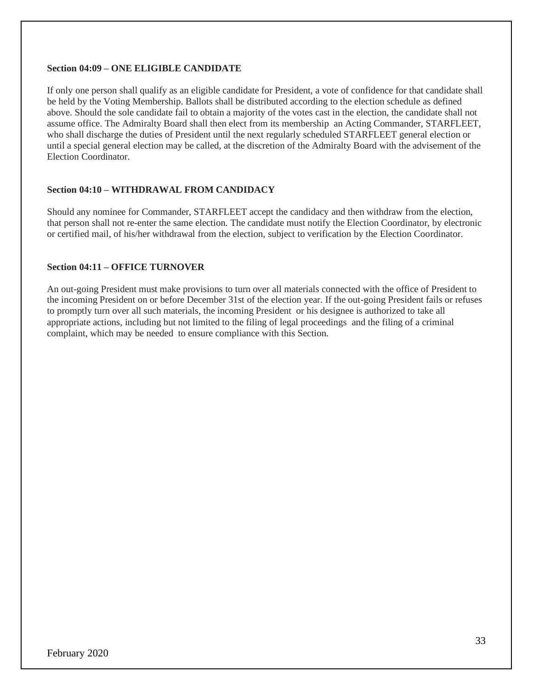#### **Section 04:09 – ONE ELIGIBLE CANDIDATE**

If only one person shall qualify as an eligible candidate for President, a vote of confidence for that candidate shall be held by the Voting Membership. Ballots shall be distributed according to the election schedule as defined above. Should the sole candidate fail to obtain a majority of the votes cast in the election, the candidate shall not assume office. The Admiralty Board shall then elect from its membership an Acting Commander, STARFLEET, who shall discharge the duties of President until the next regularly scheduled STARFLEET general election or until a special general election may be called, at the discretion of the Admiralty Board with the advisement of the Election Coordinator.

## **Section 04:10 – WITHDRAWAL FROM CANDIDACY**

Should any nominee for Commander, STARFLEET accept the candidacy and then withdraw from the election, that person shall not re-enter the same election. The candidate must notify the Election Coordinator, by electronic or certified mail, of his/her withdrawal from the election, subject to verification by the Election Coordinator.

## **Section 04:11 – OFFICE TURNOVER**

An out-going President must make provisions to turn over all materials connected with the office of President to the incoming President on or before December 31st of the election year. If the out-going President fails or refuses to promptly turn over all such materials, the incoming President or his designee is authorized to take all appropriate actions, including but not limited to the filing of legal proceedings and the filing of a criminal complaint, which may be needed to ensure compliance with this Section.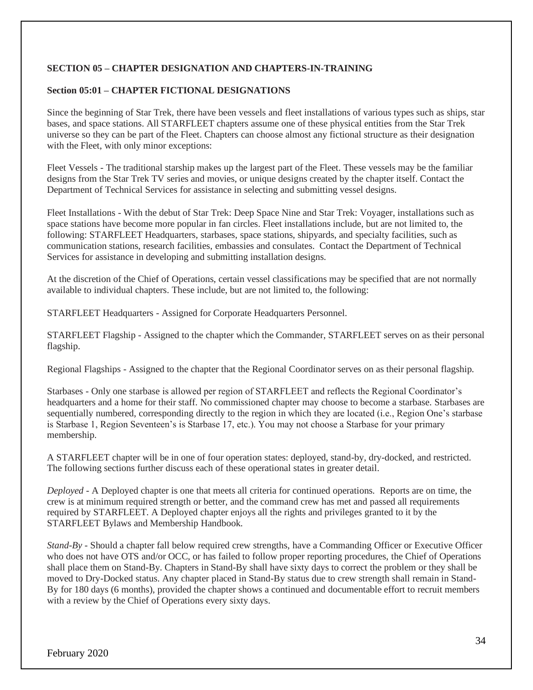## **SECTION 05 – CHAPTER DESIGNATION AND CHAPTERS-IN-TRAINING**

### **Section 05:01 – CHAPTER FICTIONAL DESIGNATIONS**

Since the beginning of Star Trek, there have been vessels and fleet installations of various types such as ships, star bases, and space stations. All STARFLEET chapters assume one of these physical entities from the Star Trek universe so they can be part of the Fleet. Chapters can choose almost any fictional structure as their designation with the Fleet, with only minor exceptions:

Fleet Vessels - The traditional starship makes up the largest part of the Fleet. These vessels may be the familiar designs from the Star Trek TV series and movies, or unique designs created by the chapter itself. Contact the Department of Technical Services for assistance in selecting and submitting vessel designs.

Fleet Installations - With the debut of Star Trek: Deep Space Nine and Star Trek: Voyager, installations such as space stations have become more popular in fan circles. Fleet installations include, but are not limited to, the following: STARFLEET Headquarters, starbases, space stations, shipyards, and specialty facilities, such as communication stations, research facilities, embassies and consulates. Contact the Department of Technical Services for assistance in developing and submitting installation designs.

At the discretion of the Chief of Operations, certain vessel classifications may be specified that are not normally available to individual chapters. These include, but are not limited to, the following:

STARFLEET Headquarters - Assigned for Corporate Headquarters Personnel.

STARFLEET Flagship - Assigned to the chapter which the Commander, STARFLEET serves on as their personal flagship.

Regional Flagships - Assigned to the chapter that the Regional Coordinator serves on as their personal flagship.

Starbases - Only one starbase is allowed per region of STARFLEET and reflects the Regional Coordinator's headquarters and a home for their staff. No commissioned chapter may choose to become a starbase. Starbases are sequentially numbered, corresponding directly to the region in which they are located (i.e., Region One's starbase is Starbase 1, Region Seventeen's is Starbase 17, etc.). You may not choose a Starbase for your primary membership.

A STARFLEET chapter will be in one of four operation states: deployed, stand-by, dry-docked, and restricted. The following sections further discuss each of these operational states in greater detail.

*Deployed* - A Deployed chapter is one that meets all criteria for continued operations. Reports are on time, the crew is at minimum required strength or better, and the command crew has met and passed all requirements required by STARFLEET. A Deployed chapter enjoys all the rights and privileges granted to it by the STARFLEET Bylaws and Membership Handbook.

*Stand-By* - Should a chapter fall below required crew strengths, have a Commanding Officer or Executive Officer who does not have OTS and/or OCC, or has failed to follow proper reporting procedures, the Chief of Operations shall place them on Stand-By. Chapters in Stand-By shall have sixty days to correct the problem or they shall be moved to Dry-Docked status. Any chapter placed in Stand-By status due to crew strength shall remain in Stand-By for 180 days (6 months), provided the chapter shows a continued and documentable effort to recruit members with a review by the Chief of Operations every sixty days.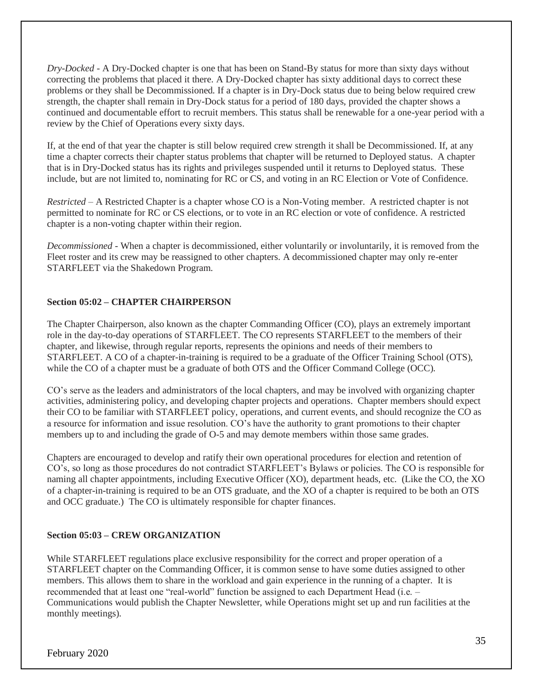*Dry-Docked* - A Dry-Docked chapter is one that has been on Stand-By status for more than sixty days without correcting the problems that placed it there. A Dry-Docked chapter has sixty additional days to correct these problems or they shall be Decommissioned. If a chapter is in Dry-Dock status due to being below required crew strength, the chapter shall remain in Dry-Dock status for a period of 180 days, provided the chapter shows a continued and documentable effort to recruit members. This status shall be renewable for a one-year period with a review by the Chief of Operations every sixty days.

If, at the end of that year the chapter is still below required crew strength it shall be Decommissioned. If, at any time a chapter corrects their chapter status problems that chapter will be returned to Deployed status. A chapter that is in Dry-Docked status has its rights and privileges suspended until it returns to Deployed status. These include, but are not limited to, nominating for RC or CS, and voting in an RC Election or Vote of Confidence.

*Restricted* – A Restricted Chapter is a chapter whose CO is a Non-Voting member. A restricted chapter is not permitted to nominate for RC or CS elections, or to vote in an RC election or vote of confidence. A restricted chapter is a non-voting chapter within their region.

*Decommissioned* - When a chapter is decommissioned, either voluntarily or involuntarily, it is removed from the Fleet roster and its crew may be reassigned to other chapters. A decommissioned chapter may only re-enter STARFLEET via the Shakedown Program.

## **Section 05:02 – CHAPTER CHAIRPERSON**

The Chapter Chairperson, also known as the chapter Commanding Officer (CO), plays an extremely important role in the day-to-day operations of STARFLEET. The CO represents STARFLEET to the members of their chapter, and likewise, through regular reports, represents the opinions and needs of their members to STARFLEET. A CO of a chapter-in-training is required to be a graduate of the Officer Training School (OTS), while the CO of a chapter must be a graduate of both OTS and the Officer Command College (OCC).

CO's serve as the leaders and administrators of the local chapters, and may be involved with organizing chapter activities, administering policy, and developing chapter projects and operations. Chapter members should expect their CO to be familiar with STARFLEET policy, operations, and current events, and should recognize the CO as a resource for information and issue resolution. CO's have the authority to grant promotions to their chapter members up to and including the grade of O-5 and may demote members within those same grades.

Chapters are encouraged to develop and ratify their own operational procedures for election and retention of CO's, so long as those procedures do not contradict STARFLEET's Bylaws or policies. The CO is responsible for naming all chapter appointments, including Executive Officer (XO), department heads, etc. (Like the CO, the XO of a chapter-in-training is required to be an OTS graduate, and the XO of a chapter is required to be both an OTS and OCC graduate.) The CO is ultimately responsible for chapter finances.

## **Section 05:03 – CREW ORGANIZATION**

While STARFLEET regulations place exclusive responsibility for the correct and proper operation of a STARFLEET chapter on the Commanding Officer, it is common sense to have some duties assigned to other members. This allows them to share in the workload and gain experience in the running of a chapter. It is recommended that at least one "real-world" function be assigned to each Department Head (i.e. – Communications would publish the Chapter Newsletter, while Operations might set up and run facilities at the monthly meetings).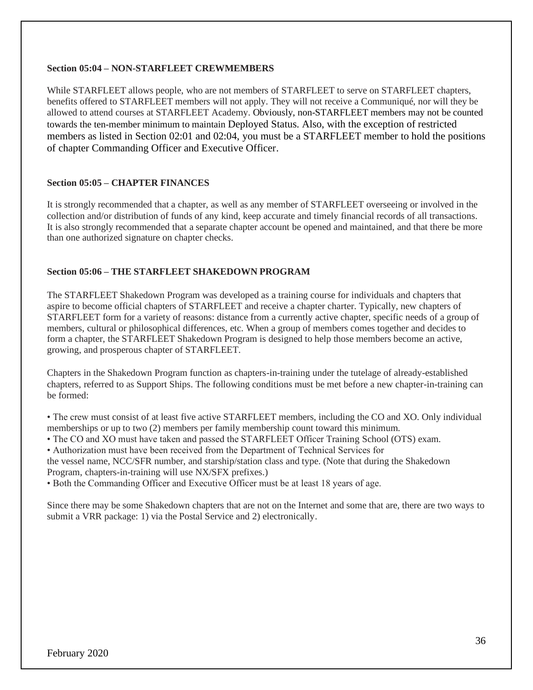### **Section 05:04 – NON-STARFLEET CREWMEMBERS**

While STARFLEET allows people, who are not members of STARFLEET to serve on STARFLEET chapters, benefits offered to STARFLEET members will not apply. They will not receive a Communiqué, nor will they be allowed to attend courses at STARFLEET Academy. Obviously, non-STARFLEET members may not be counted towards the ten-member minimum to maintain Deployed Status. Also, with the exception of restricted members as listed in Section 02:01 and 02:04, you must be a STARFLEET member to hold the positions of chapter Commanding Officer and Executive Officer.

### **Section 05:05 – CHAPTER FINANCES**

It is strongly recommended that a chapter, as well as any member of STARFLEET overseeing or involved in the collection and/or distribution of funds of any kind, keep accurate and timely financial records of all transactions. It is also strongly recommended that a separate chapter account be opened and maintained, and that there be more than one authorized signature on chapter checks.

#### **Section 05:06 – THE STARFLEET SHAKEDOWN PROGRAM**

The STARFLEET Shakedown Program was developed as a training course for individuals and chapters that aspire to become official chapters of STARFLEET and receive a chapter charter. Typically, new chapters of STARFLEET form for a variety of reasons: distance from a currently active chapter, specific needs of a group of members, cultural or philosophical differences, etc. When a group of members comes together and decides to form a chapter, the STARFLEET Shakedown Program is designed to help those members become an active, growing, and prosperous chapter of STARFLEET.

Chapters in the Shakedown Program function as chapters-in-training under the tutelage of already-established chapters, referred to as Support Ships. The following conditions must be met before a new chapter-in-training can be formed:

• The crew must consist of at least five active STARFLEET members, including the CO and XO. Only individual memberships or up to two (2) members per family membership count toward this minimum.

• The CO and XO must have taken and passed the STARFLEET Officer Training School (OTS) exam.

• Authorization must have been received from the Department of Technical Services for

the vessel name, NCC/SFR number, and starship/station class and type. (Note that during the Shakedown Program, chapters-in-training will use NX/SFX prefixes.)

• Both the Commanding Officer and Executive Officer must be at least 18 years of age.

Since there may be some Shakedown chapters that are not on the Internet and some that are, there are two ways to submit a VRR package: 1) via the Postal Service and 2) electronically.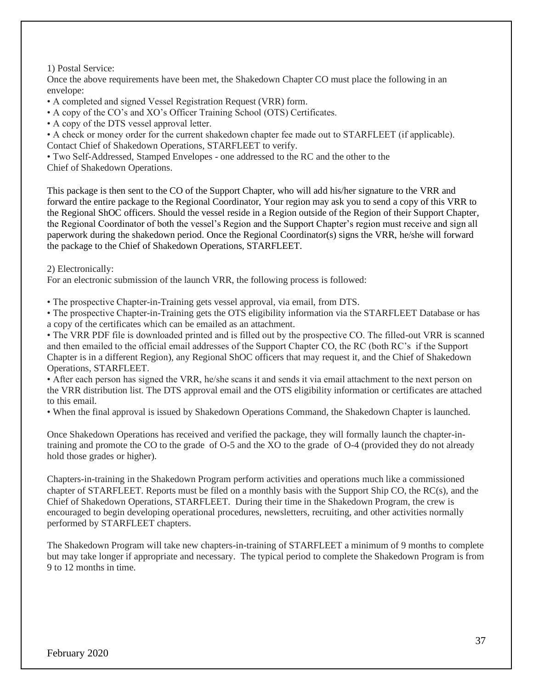1) Postal Service:

Once the above requirements have been met, the Shakedown Chapter CO must place the following in an envelope:

• A completed and signed Vessel Registration Request (VRR) form.

• A copy of the CO's and XO's Officer Training School (OTS) Certificates.

• A copy of the DTS vessel approval letter.

• A check or money order for the current shakedown chapter fee made out to STARFLEET (if applicable). Contact Chief of Shakedown Operations, STARFLEET to verify.

• Two Self-Addressed, Stamped Envelopes - one addressed to the RC and the other to the

Chief of Shakedown Operations.

This package is then sent to the CO of the Support Chapter, who will add his/her signature to the VRR and forward the entire package to the Regional Coordinator, Your region may ask you to send a copy of this VRR to the Regional ShOC officers. Should the vessel reside in a Region outside of the Region of their Support Chapter, the Regional Coordinator of both the vessel's Region and the Support Chapter's region must receive and sign all paperwork during the shakedown period. Once the Regional Coordinator(s) signs the VRR, he/she will forward the package to the Chief of Shakedown Operations, STARFLEET.

2) Electronically:

For an electronic submission of the launch VRR, the following process is followed:

• The prospective Chapter-in-Training gets vessel approval, via email, from DTS.

• The prospective Chapter-in-Training gets the OTS eligibility information via the STARFLEET Database or has a copy of the certificates which can be emailed as an attachment.

• The VRR PDF file is downloaded printed and is filled out by the prospective CO. The filled-out VRR is scanned and then emailed to the official email addresses of the Support Chapter CO, the RC (both RC's if the Support Chapter is in a different Region), any Regional ShOC officers that may request it, and the Chief of Shakedown Operations, STARFLEET.

• After each person has signed the VRR, he/she scans it and sends it via email attachment to the next person on the VRR distribution list. The DTS approval email and the OTS eligibility information or certificates are attached to this email.

• When the final approval is issued by Shakedown Operations Command, the Shakedown Chapter is launched.

Once Shakedown Operations has received and verified the package, they will formally launch the chapter-intraining and promote the CO to the grade of O-5 and the XO to the grade of O-4 (provided they do not already hold those grades or higher).

Chapters-in-training in the Shakedown Program perform activities and operations much like a commissioned chapter of STARFLEET. Reports must be filed on a monthly basis with the Support Ship CO, the RC(s), and the Chief of Shakedown Operations, STARFLEET. During their time in the Shakedown Program, the crew is encouraged to begin developing operational procedures, newsletters, recruiting, and other activities normally performed by STARFLEET chapters.

The Shakedown Program will take new chapters-in-training of STARFLEET a minimum of 9 months to complete but may take longer if appropriate and necessary. The typical period to complete the Shakedown Program is from 9 to 12 months in time.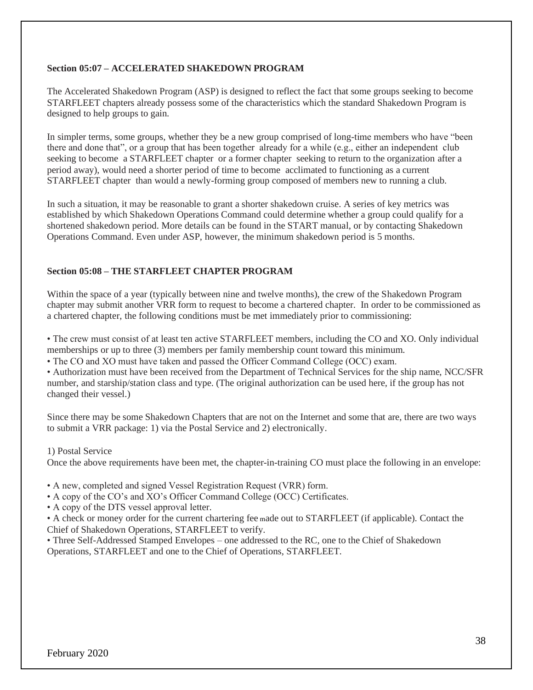### **Section 05:07 – ACCELERATED SHAKEDOWN PROGRAM**

The Accelerated Shakedown Program (ASP) is designed to reflect the fact that some groups seeking to become STARFLEET chapters already possess some of the characteristics which the standard Shakedown Program is designed to help groups to gain.

In simpler terms, some groups, whether they be a new group comprised of long-time members who have "been there and done that", or a group that has been together already for a while (e.g., either an independent club seeking to become a STARFLEET chapter or a former chapter seeking to return to the organization after a period away), would need a shorter period of time to become acclimated to functioning as a current STARFLEET chapter than would a newly-forming group composed of members new to running a club.

In such a situation, it may be reasonable to grant a shorter shakedown cruise. A series of key metrics was established by which Shakedown Operations Command could determine whether a group could qualify for a shortened shakedown period. More details can be found in the START manual, or by contacting Shakedown Operations Command. Even under ASP, however, the minimum shakedown period is 5 months.

## **Section 05:08 – THE STARFLEET CHAPTER PROGRAM**

Within the space of a year (typically between nine and twelve months), the crew of the Shakedown Program chapter may submit another VRR form to request to become a chartered chapter. In order to be commissioned as a chartered chapter, the following conditions must be met immediately prior to commissioning:

• The crew must consist of at least ten active STARFLEET members, including the CO and XO. Only individual memberships or up to three (3) members per family membership count toward this minimum.

• The CO and XO must have taken and passed the Officer Command College (OCC) exam.

• Authorization must have been received from the Department of Technical Services for the ship name, NCC/SFR number, and starship/station class and type. (The original authorization can be used here, if the group has not changed their vessel.)

Since there may be some Shakedown Chapters that are not on the Internet and some that are, there are two ways to submit a VRR package: 1) via the Postal Service and 2) electronically.

1) Postal Service

Once the above requirements have been met, the chapter-in-training CO must place the following in an envelope:

• A new, completed and signed Vessel Registration Request (VRR) form.

- A copy of the CO's and XO's Officer Command College (OCC) Certificates.
- A copy of the DTS vessel approval letter.

• A check or money order for the current chartering fee made out to STARFLEET (if applicable). Contact the Chief of Shakedown Operations, STARFLEET to verify.

• Three Self-Addressed Stamped Envelopes – one addressed to the RC, one to the Chief of Shakedown Operations, STARFLEET and one to the Chief of Operations, STARFLEET.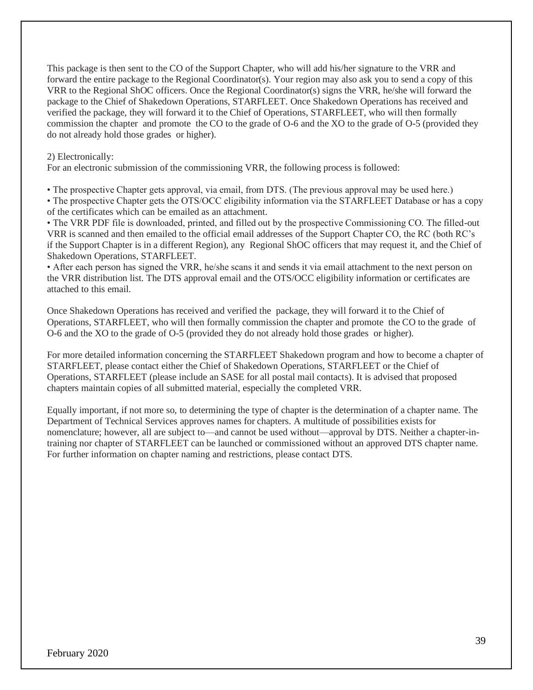This package is then sent to the CO of the Support Chapter, who will add his/her signature to the VRR and forward the entire package to the Regional Coordinator(s). Your region may also ask you to send a copy of this VRR to the Regional ShOC officers. Once the Regional Coordinator(s) signs the VRR, he/she will forward the package to the Chief of Shakedown Operations, STARFLEET. Once Shakedown Operations has received and verified the package, they will forward it to the Chief of Operations, STARFLEET, who will then formally commission the chapter and promote the CO to the grade of O-6 and the XO to the grade of O-5 (provided they do not already hold those grades or higher).

### 2) Electronically:

For an electronic submission of the commissioning VRR, the following process is followed:

• The prospective Chapter gets approval, via email, from DTS. (The previous approval may be used here.)

• The prospective Chapter gets the OTS/OCC eligibility information via the STARFLEET Database or has a copy of the certificates which can be emailed as an attachment.

• The VRR PDF file is downloaded, printed, and filled out by the prospective Commissioning CO. The filled-out VRR is scanned and then emailed to the official email addresses of the Support Chapter CO, the RC (both RC's if the Support Chapter is in a different Region), any Regional ShOC officers that may request it, and the Chief of Shakedown Operations, STARFLEET.

• After each person has signed the VRR, he/she scans it and sends it via email attachment to the next person on the VRR distribution list. The DTS approval email and the OTS/OCC eligibility information or certificates are attached to this email.

Once Shakedown Operations has received and verified the package, they will forward it to the Chief of Operations, STARFLEET, who will then formally commission the chapter and promote the CO to the grade of O-6 and the XO to the grade of O-5 (provided they do not already hold those grades or higher).

For more detailed information concerning the STARFLEET Shakedown program and how to become a chapter of STARFLEET, please contact either the Chief of Shakedown Operations, STARFLEET or the Chief of Operations, STARFLEET (please include an SASE for all postal mail contacts). It is advised that proposed chapters maintain copies of all submitted material, especially the completed VRR.

Equally important, if not more so, to determining the type of chapter is the determination of a chapter name. The Department of Technical Services approves names for chapters. A multitude of possibilities exists for nomenclature; however, all are subject to—and cannot be used without—approval by DTS. Neither a chapter-intraining nor chapter of STARFLEET can be launched or commissioned without an approved DTS chapter name. For further information on chapter naming and restrictions, please contact DTS.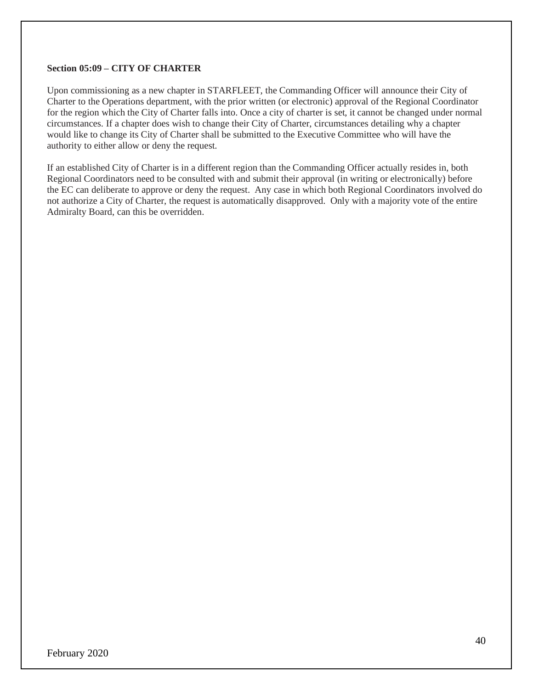### **Section 05:09 – CITY OF CHARTER**

Upon commissioning as a new chapter in STARFLEET, the Commanding Officer will announce their City of Charter to the Operations department, with the prior written (or electronic) approval of the Regional Coordinator for the region which the City of Charter falls into. Once a city of charter is set, it cannot be changed under normal circumstances. If a chapter does wish to change their City of Charter, circumstances detailing why a chapter would like to change its City of Charter shall be submitted to the Executive Committee who will have the authority to either allow or deny the request.

If an established City of Charter is in a different region than the Commanding Officer actually resides in, both Regional Coordinators need to be consulted with and submit their approval (in writing or electronically) before the EC can deliberate to approve or deny the request. Any case in which both Regional Coordinators involved do not authorize a City of Charter, the request is automatically disapproved. Only with a majority vote of the entire Admiralty Board, can this be overridden.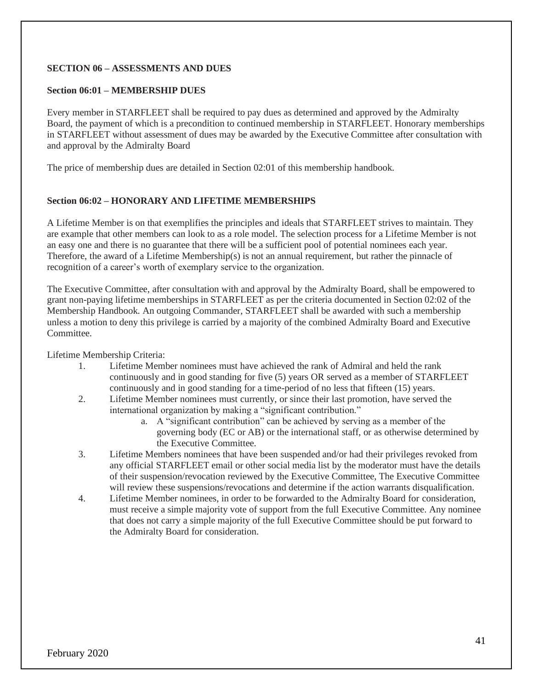## **SECTION 06 – ASSESSMENTS AND DUES**

### **Section 06:01 – MEMBERSHIP DUES**

Every member in STARFLEET shall be required to pay dues as determined and approved by the Admiralty Board, the payment of which is a precondition to continued membership in STARFLEET. Honorary memberships in STARFLEET without assessment of dues may be awarded by the Executive Committee after consultation with and approval by the Admiralty Board

The price of membership dues are detailed in Section 02:01 of this membership handbook.

## **Section 06:02 – HONORARY AND LIFETIME MEMBERSHIPS**

A Lifetime Member is on that exemplifies the principles and ideals that STARFLEET strives to maintain. They are example that other members can look to as a role model. The selection process for a Lifetime Member is not an easy one and there is no guarantee that there will be a sufficient pool of potential nominees each year. Therefore, the award of a Lifetime Membership(s) is not an annual requirement, but rather the pinnacle of recognition of a career's worth of exemplary service to the organization.

The Executive Committee, after consultation with and approval by the Admiralty Board, shall be empowered to grant non-paying lifetime memberships in STARFLEET as per the criteria documented in Section 02:02 of the Membership Handbook. An outgoing Commander, STARFLEET shall be awarded with such a membership unless a motion to deny this privilege is carried by a majority of the combined Admiralty Board and Executive Committee.

Lifetime Membership Criteria:

- 1. Lifetime Member nominees must have achieved the rank of Admiral and held the rank continuously and in good standing for five (5) years OR served as a member of STARFLEET continuously and in good standing for a time-period of no less that fifteen (15) years.
- 2. Lifetime Member nominees must currently, or since their last promotion, have served the international organization by making a "significant contribution."
	- a. A "significant contribution" can be achieved by serving as a member of the governing body (EC or AB) or the international staff, or as otherwise determined by the Executive Committee.
- 3. Lifetime Members nominees that have been suspended and/or had their privileges revoked from any official STARFLEET email or other social media list by the moderator must have the details of their suspension/revocation reviewed by the Executive Committee, The Executive Committee will review these suspensions/revocations and determine if the action warrants disqualification.
- 4. Lifetime Member nominees, in order to be forwarded to the Admiralty Board for consideration, must receive a simple majority vote of support from the full Executive Committee. Any nominee that does not carry a simple majority of the full Executive Committee should be put forward to the Admiralty Board for consideration.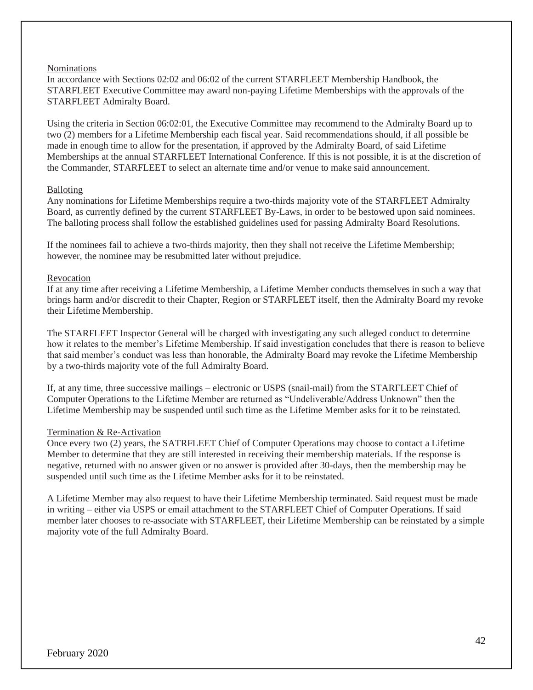#### Nominations

In accordance with Sections 02:02 and 06:02 of the current STARFLEET Membership Handbook, the STARFLEET Executive Committee may award non-paying Lifetime Memberships with the approvals of the STARFLEET Admiralty Board.

Using the criteria in Section 06:02:01, the Executive Committee may recommend to the Admiralty Board up to two (2) members for a Lifetime Membership each fiscal year. Said recommendations should, if all possible be made in enough time to allow for the presentation, if approved by the Admiralty Board, of said Lifetime Memberships at the annual STARFLEET International Conference. If this is not possible, it is at the discretion of the Commander, STARFLEET to select an alternate time and/or venue to make said announcement.

#### Balloting

Any nominations for Lifetime Memberships require a two-thirds majority vote of the STARFLEET Admiralty Board, as currently defined by the current STARFLEET By-Laws, in order to be bestowed upon said nominees. The balloting process shall follow the established guidelines used for passing Admiralty Board Resolutions.

If the nominees fail to achieve a two-thirds majority, then they shall not receive the Lifetime Membership; however, the nominee may be resubmitted later without prejudice.

#### Revocation

If at any time after receiving a Lifetime Membership, a Lifetime Member conducts themselves in such a way that brings harm and/or discredit to their Chapter, Region or STARFLEET itself, then the Admiralty Board my revoke their Lifetime Membership.

The STARFLEET Inspector General will be charged with investigating any such alleged conduct to determine how it relates to the member's Lifetime Membership. If said investigation concludes that there is reason to believe that said member's conduct was less than honorable, the Admiralty Board may revoke the Lifetime Membership by a two-thirds majority vote of the full Admiralty Board.

If, at any time, three successive mailings – electronic or USPS (snail-mail) from the STARFLEET Chief of Computer Operations to the Lifetime Member are returned as "Undeliverable/Address Unknown" then the Lifetime Membership may be suspended until such time as the Lifetime Member asks for it to be reinstated.

## Termination & Re-Activation

Once every two (2) years, the SATRFLEET Chief of Computer Operations may choose to contact a Lifetime Member to determine that they are still interested in receiving their membership materials. If the response is negative, returned with no answer given or no answer is provided after 30-days, then the membership may be suspended until such time as the Lifetime Member asks for it to be reinstated.

A Lifetime Member may also request to have their Lifetime Membership terminated. Said request must be made in writing – either via USPS or email attachment to the STARFLEET Chief of Computer Operations. If said member later chooses to re-associate with STARFLEET, their Lifetime Membership can be reinstated by a simple majority vote of the full Admiralty Board.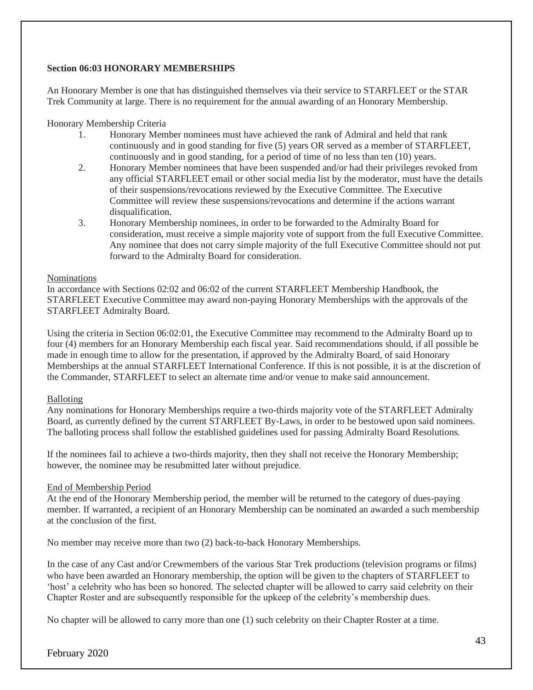## **Section 06:03 HONORARY MEMBERSHIPS**

An Honorary Member is one that has distinguished themselves via their service to STARFLEET or the STAR Trek Community at large. There is no requirement for the annual awarding of an Honorary Membership.

### Honorary Membership Criteria

- 1. Honorary Member nominees must have achieved the rank of Admiral and held that rank continuously and in good standing for five (5) years OR served as a member of STARFLEET, continuously and in good standing, for a period of time of no less than ten (10) years.
- 2. Honorary Member nominees that have been suspended and/or had their privileges revoked from any official STARFLEET email or other social media list by the moderator, must have the details of their suspensions/revocations reviewed by the Executive Committee. The Executive Committee will review these suspensions/revocations and determine if the actions warrant disqualification.
- 3. Honorary Membership nominees, in order to be forwarded to the Admiralty Board for consideration, must receive a simple majority vote of support from the full Executive Committee. Any nominee that does not carry simple majority of the full Executive Committee should not put forward to the Admiralty Board for consideration.

#### Nominations

In accordance with Sections 02:02 and 06:02 of the current STARFLEET Membership Handbook, the STARFLEET Executive Committee may award non-paying Honorary Memberships with the approvals of the STARFLEET Admiralty Board.

Using the criteria in Section 06:02:01, the Executive Committee may recommend to the Admiralty Board up to four (4) members for an Honorary Membership each fiscal year. Said recommendations should, if all possible be made in enough time to allow for the presentation, if approved by the Admiralty Board, of said Honorary Memberships at the annual STARFLEET International Conference. If this is not possible, it is at the discretion of the Commander, STARFLEET to select an alternate time and/or venue to make said announcement.

## Balloting

Any nominations for Honorary Memberships require a two-thirds majority vote of the STARFLEET Admiralty Board, as currently defined by the current STARFLEET By-Laws, in order to be bestowed upon said nominees. The balloting process shall follow the established guidelines used for passing Admiralty Board Resolutions.

If the nominees fail to achieve a two-thirds majority, then they shall not receive the Honorary Membership; however, the nominee may be resubmitted later without prejudice.

## End of Membership Period

At the end of the Honorary Membership period, the member will be returned to the category of dues-paying member. If warranted, a recipient of an Honorary Membership can be nominated an awarded a such membership at the conclusion of the first.

No member may receive more than two (2) back-to-back Honorary Memberships.

In the case of any Cast and/or Crewmembers of the various Star Trek productions (television programs or films) who have been awarded an Honorary membership, the option will be given to the chapters of STARFLEET to 'host' a celebrity who has been so honored. The selected chapter will be allowed to carry said celebrity on their Chapter Roster and are subsequently responsible for the upkeep of the celebrity's membership dues.

No chapter will be allowed to carry more than one (1) such celebrity on their Chapter Roster at a time.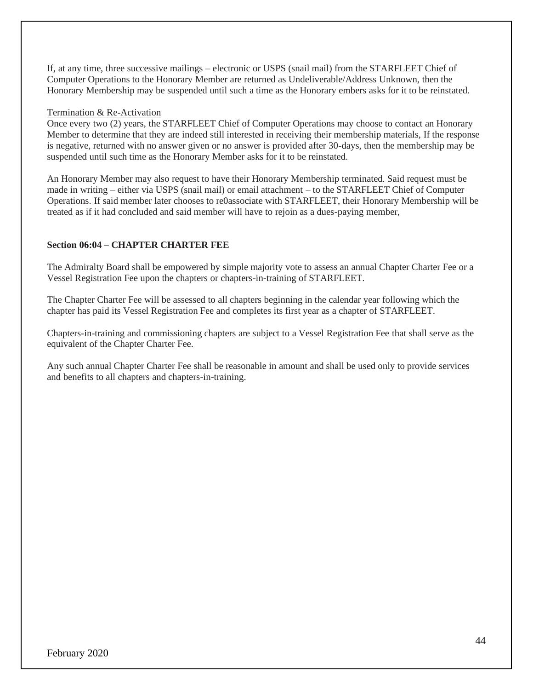If, at any time, three successive mailings – electronic or USPS (snail mail) from the STARFLEET Chief of Computer Operations to the Honorary Member are returned as Undeliverable/Address Unknown, then the Honorary Membership may be suspended until such a time as the Honorary embers asks for it to be reinstated.

#### Termination & Re-Activation

Once every two (2) years, the STARFLEET Chief of Computer Operations may choose to contact an Honorary Member to determine that they are indeed still interested in receiving their membership materials, If the response is negative, returned with no answer given or no answer is provided after 30-days, then the membership may be suspended until such time as the Honorary Member asks for it to be reinstated.

An Honorary Member may also request to have their Honorary Membership terminated. Said request must be made in writing – either via USPS (snail mail) or email attachment – to the STARFLEET Chief of Computer Operations. If said member later chooses to re0associate with STARFLEET, their Honorary Membership will be treated as if it had concluded and said member will have to rejoin as a dues-paying member,

## **Section 06:04 – CHAPTER CHARTER FEE**

The Admiralty Board shall be empowered by simple majority vote to assess an annual Chapter Charter Fee or a Vessel Registration Fee upon the chapters or chapters-in-training of STARFLEET.

The Chapter Charter Fee will be assessed to all chapters beginning in the calendar year following which the chapter has paid its Vessel Registration Fee and completes its first year as a chapter of STARFLEET.

Chapters-in-training and commissioning chapters are subject to a Vessel Registration Fee that shall serve as the equivalent of the Chapter Charter Fee.

Any such annual Chapter Charter Fee shall be reasonable in amount and shall be used only to provide services and benefits to all chapters and chapters-in-training.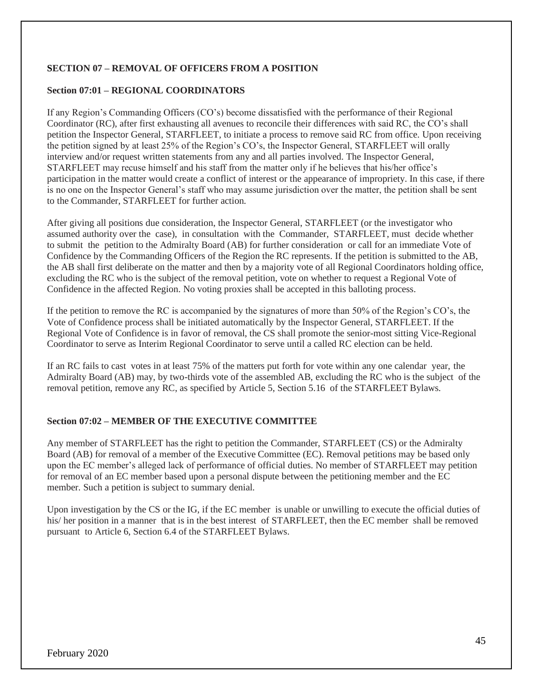## **SECTION 07 – REMOVAL OF OFFICERS FROM A POSITION**

### **Section 07:01 – REGIONAL COORDINATORS**

If any Region's Commanding Officers (CO's) become dissatisfied with the performance of their Regional Coordinator (RC), after first exhausting all avenues to reconcile their differences with said RC, the CO's shall petition the Inspector General, STARFLEET, to initiate a process to remove said RC from office. Upon receiving the petition signed by at least 25% of the Region's CO's, the Inspector General, STARFLEET will orally interview and/or request written statements from any and all parties involved. The Inspector General, STARFLEET may recuse himself and his staff from the matter only if he believes that his/her office's participation in the matter would create a conflict of interest or the appearance of impropriety. In this case, if there is no one on the Inspector General's staff who may assume jurisdiction over the matter, the petition shall be sent to the Commander, STARFLEET for further action.

After giving all positions due consideration, the Inspector General, STARFLEET (or the investigator who assumed authority over the case), in consultation with the Commander, STARFLEET, must decide whether to submit the petition to the Admiralty Board (AB) for further consideration or call for an immediate Vote of Confidence by the Commanding Officers of the Region the RC represents. If the petition is submitted to the AB, the AB shall first deliberate on the matter and then by a majority vote of all Regional Coordinators holding office, excluding the RC who is the subject of the removal petition, vote on whether to request a Regional Vote of Confidence in the affected Region. No voting proxies shall be accepted in this balloting process.

If the petition to remove the RC is accompanied by the signatures of more than 50% of the Region's CO's, the Vote of Confidence process shall be initiated automatically by the Inspector General, STARFLEET. If the Regional Vote of Confidence is in favor of removal, the CS shall promote the senior-most sitting Vice-Regional Coordinator to serve as Interim Regional Coordinator to serve until a called RC election can be held.

If an RC fails to cast votes in at least 75% of the matters put forth for vote within any one calendar year, the Admiralty Board (AB) may, by two-thirds vote of the assembled AB, excluding the RC who is the subject of the removal petition, remove any RC, as specified by Article 5, Section 5.16 of the STARFLEET Bylaws.

#### **Section 07:02 – MEMBER OF THE EXECUTIVE COMMITTEE**

Any member of STARFLEET has the right to petition the Commander, STARFLEET (CS) or the Admiralty Board (AB) for removal of a member of the Executive Committee (EC). Removal petitions may be based only upon the EC member's alleged lack of performance of official duties. No member of STARFLEET may petition for removal of an EC member based upon a personal dispute between the petitioning member and the EC member. Such a petition is subject to summary denial.

Upon investigation by the CS or the IG, if the EC member is unable or unwilling to execute the official duties of his/ her position in a manner that is in the best interest of STARFLEET, then the EC member shall be removed pursuant to Article 6, Section 6.4 of the STARFLEET Bylaws.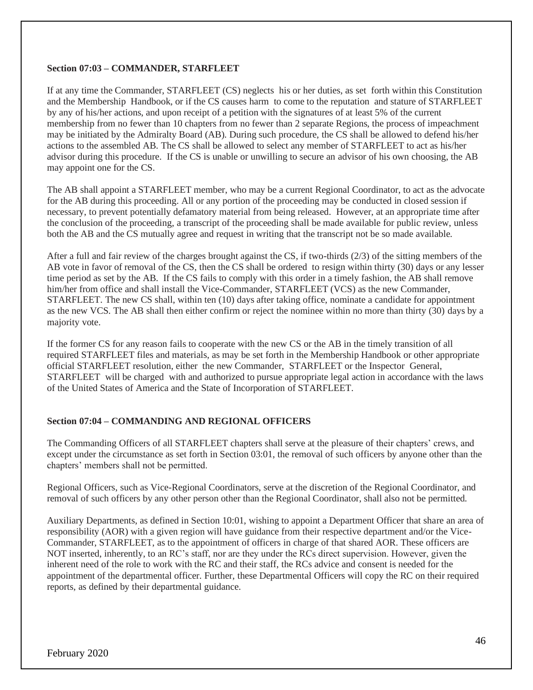#### **Section 07:03 – COMMANDER, STARFLEET**

If at any time the Commander, STARFLEET (CS) neglects his or her duties, as set forth within this Constitution and the Membership Handbook, or if the CS causes harm to come to the reputation and stature of STARFLEET by any of his/her actions, and upon receipt of a petition with the signatures of at least 5% of the current membership from no fewer than 10 chapters from no fewer than 2 separate Regions, the process of impeachment may be initiated by the Admiralty Board (AB). During such procedure, the CS shall be allowed to defend his/her actions to the assembled AB. The CS shall be allowed to select any member of STARFLEET to act as his/her advisor during this procedure. If the CS is unable or unwilling to secure an advisor of his own choosing, the AB may appoint one for the CS.

The AB shall appoint a STARFLEET member, who may be a current Regional Coordinator, to act as the advocate for the AB during this proceeding. All or any portion of the proceeding may be conducted in closed session if necessary, to prevent potentially defamatory material from being released. However, at an appropriate time after the conclusion of the proceeding, a transcript of the proceeding shall be made available for public review, unless both the AB and the CS mutually agree and request in writing that the transcript not be so made available.

After a full and fair review of the charges brought against the CS, if two-thirds (2/3) of the sitting members of the AB vote in favor of removal of the CS, then the CS shall be ordered to resign within thirty (30) days or any lesser time period as set by the AB. If the CS fails to comply with this order in a timely fashion, the AB shall remove him/her from office and shall install the Vice-Commander, STARFLEET (VCS) as the new Commander, STARFLEET. The new CS shall, within ten (10) days after taking office, nominate a candidate for appointment as the new VCS. The AB shall then either confirm or reject the nominee within no more than thirty (30) days by a majority vote.

If the former CS for any reason fails to cooperate with the new CS or the AB in the timely transition of all required STARFLEET files and materials, as may be set forth in the Membership Handbook or other appropriate official STARFLEET resolution, either the new Commander, STARFLEET or the Inspector General, STARFLEET will be charged with and authorized to pursue appropriate legal action in accordance with the laws of the United States of America and the State of Incorporation of STARFLEET.

## **Section 07:04 – COMMANDING AND REGIONAL OFFICERS**

The Commanding Officers of all STARFLEET chapters shall serve at the pleasure of their chapters' crews, and except under the circumstance as set forth in Section 03:01, the removal of such officers by anyone other than the chapters' members shall not be permitted.

Regional Officers, such as Vice-Regional Coordinators, serve at the discretion of the Regional Coordinator, and removal of such officers by any other person other than the Regional Coordinator, shall also not be permitted.

Auxiliary Departments, as defined in Section 10:01, wishing to appoint a Department Officer that share an area of responsibility (AOR) with a given region will have guidance from their respective department and/or the Vice-Commander, STARFLEET, as to the appointment of officers in charge of that shared AOR. These officers are NOT inserted, inherently, to an RC's staff, nor are they under the RCs direct supervision. However, given the inherent need of the role to work with the RC and their staff, the RCs advice and consent is needed for the appointment of the departmental officer. Further, these Departmental Officers will copy the RC on their required reports, as defined by their departmental guidance.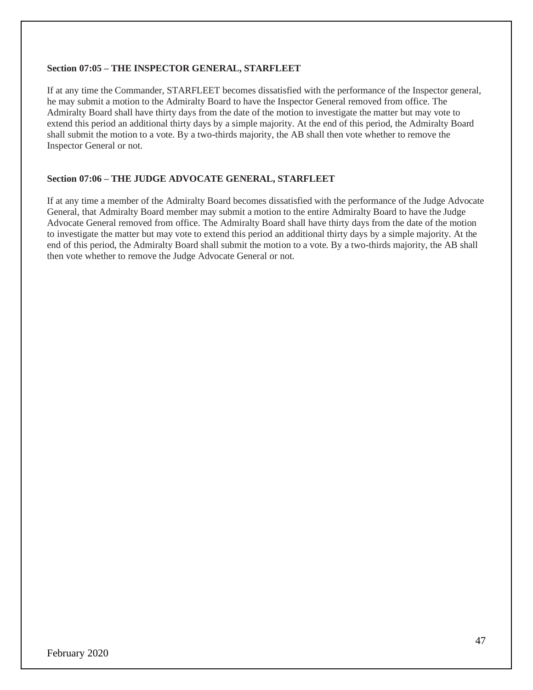#### **Section 07:05 – THE INSPECTOR GENERAL, STARFLEET**

If at any time the Commander, STARFLEET becomes dissatisfied with the performance of the Inspector general, he may submit a motion to the Admiralty Board to have the Inspector General removed from office. The Admiralty Board shall have thirty days from the date of the motion to investigate the matter but may vote to extend this period an additional thirty days by a simple majority. At the end of this period, the Admiralty Board shall submit the motion to a vote. By a two-thirds majority, the AB shall then vote whether to remove the Inspector General or not.

#### **Section 07:06 – THE JUDGE ADVOCATE GENERAL, STARFLEET**

If at any time a member of the Admiralty Board becomes dissatisfied with the performance of the Judge Advocate General, that Admiralty Board member may submit a motion to the entire Admiralty Board to have the Judge Advocate General removed from office. The Admiralty Board shall have thirty days from the date of the motion to investigate the matter but may vote to extend this period an additional thirty days by a simple majority. At the end of this period, the Admiralty Board shall submit the motion to a vote. By a two-thirds majority, the AB shall then vote whether to remove the Judge Advocate General or not.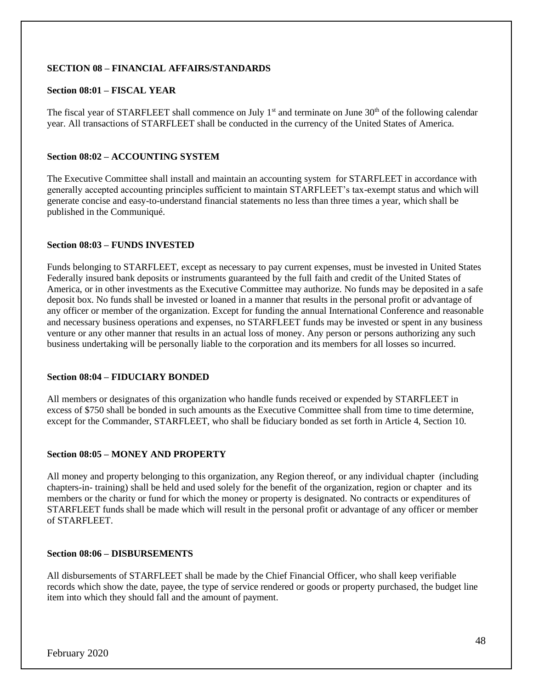## **SECTION 08 – FINANCIAL AFFAIRS/STANDARDS**

### **Section 08:01 – FISCAL YEAR**

The fiscal year of STARFLEET shall commence on July  $1<sup>st</sup>$  and terminate on June  $30<sup>th</sup>$  of the following calendar year. All transactions of STARFLEET shall be conducted in the currency of the United States of America.

### **Section 08:02 – ACCOUNTING SYSTEM**

The Executive Committee shall install and maintain an accounting system for STARFLEET in accordance with generally accepted accounting principles sufficient to maintain STARFLEET's tax-exempt status and which will generate concise and easy-to-understand financial statements no less than three times a year, which shall be published in the Communiqué.

#### **Section 08:03 – FUNDS INVESTED**

Funds belonging to STARFLEET, except as necessary to pay current expenses, must be invested in United States Federally insured bank deposits or instruments guaranteed by the full faith and credit of the United States of America, or in other investments as the Executive Committee may authorize. No funds may be deposited in a safe deposit box. No funds shall be invested or loaned in a manner that results in the personal profit or advantage of any officer or member of the organization. Except for funding the annual International Conference and reasonable and necessary business operations and expenses, no STARFLEET funds may be invested or spent in any business venture or any other manner that results in an actual loss of money. Any person or persons authorizing any such business undertaking will be personally liable to the corporation and its members for all losses so incurred.

#### **Section 08:04 – FIDUCIARY BONDED**

All members or designates of this organization who handle funds received or expended by STARFLEET in excess of \$750 shall be bonded in such amounts as the Executive Committee shall from time to time determine, except for the Commander, STARFLEET, who shall be fiduciary bonded as set forth in Article 4, Section 10.

#### **Section 08:05 – MONEY AND PROPERTY**

All money and property belonging to this organization, any Region thereof, or any individual chapter (including chapters-in- training) shall be held and used solely for the benefit of the organization, region or chapter and its members or the charity or fund for which the money or property is designated. No contracts or expenditures of STARFLEET funds shall be made which will result in the personal profit or advantage of any officer or member of STARFLEET.

#### **Section 08:06 – DISBURSEMENTS**

All disbursements of STARFLEET shall be made by the Chief Financial Officer, who shall keep verifiable records which show the date, payee, the type of service rendered or goods or property purchased, the budget line item into which they should fall and the amount of payment.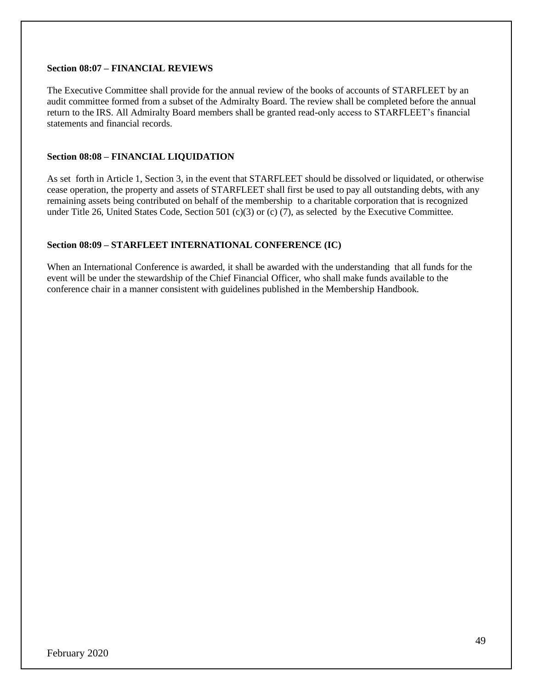#### **Section 08:07 – FINANCIAL REVIEWS**

The Executive Committee shall provide for the annual review of the books of accounts of STARFLEET by an audit committee formed from a subset of the Admiralty Board. The review shall be completed before the annual return to the IRS. All Admiralty Board members shall be granted read-only access to STARFLEET's financial statements and financial records.

## **Section 08:08 – FINANCIAL LIQUIDATION**

As set forth in Article 1, Section 3, in the event that STARFLEET should be dissolved or liquidated, or otherwise cease operation, the property and assets of STARFLEET shall first be used to pay all outstanding debts, with any remaining assets being contributed on behalf of the membership to a charitable corporation that is recognized under Title 26, United States Code, Section 501 (c)(3) or (c) (7), as selected by the Executive Committee.

## **Section 08:09 – STARFLEET INTERNATIONAL CONFERENCE (IC)**

When an International Conference is awarded, it shall be awarded with the understanding that all funds for the event will be under the stewardship of the Chief Financial Officer, who shall make funds available to the conference chair in a manner consistent with guidelines published in the Membership Handbook.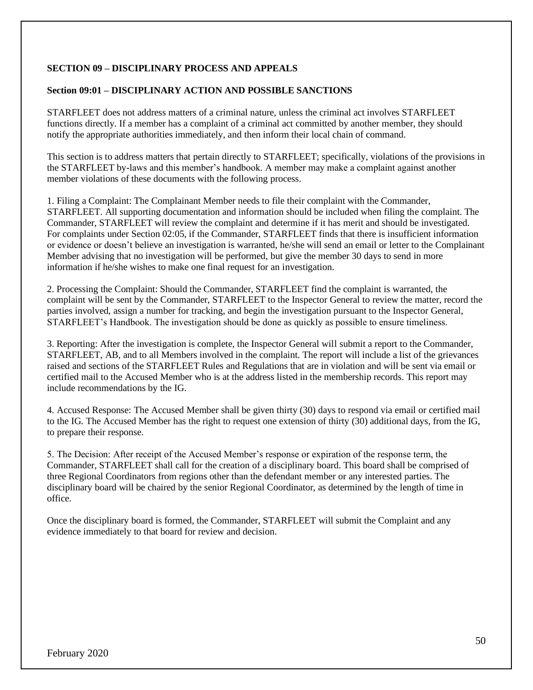## **SECTION 09 – DISCIPLINARY PROCESS AND APPEALS**

### **Section 09:01 – DISCIPLINARY ACTION AND POSSIBLE SANCTIONS**

STARFLEET does not address matters of a criminal nature, unless the criminal act involves STARFLEET functions directly. If a member has a complaint of a criminal act committed by another member, they should notify the appropriate authorities immediately, and then inform their local chain of command.

This section is to address matters that pertain directly to STARFLEET; specifically, violations of the provisions in the STARFLEET by-laws and this member's handbook. A member may make a complaint against another member violations of these documents with the following process.

1. Filing a Complaint: The Complainant Member needs to file their complaint with the Commander, STARFLEET. All supporting documentation and information should be included when filing the complaint. The Commander, STARFLEET will review the complaint and determine if it has merit and should be investigated. For complaints under Section 02:05, if the Commander, STARFLEET finds that there is insufficient information or evidence or doesn't believe an investigation is warranted, he/she will send an email or letter to the Complainant Member advising that no investigation will be performed, but give the member 30 days to send in more information if he/she wishes to make one final request for an investigation.

2. Processing the Complaint: Should the Commander, STARFLEET find the complaint is warranted, the complaint will be sent by the Commander, STARFLEET to the Inspector General to review the matter, record the parties involved, assign a number for tracking, and begin the investigation pursuant to the Inspector General, STARFLEET's Handbook. The investigation should be done as quickly as possible to ensure timeliness.

3. Reporting: After the investigation is complete, the Inspector General will submit a report to the Commander, STARFLEET, AB, and to all Members involved in the complaint. The report will include a list of the grievances raised and sections of the STARFLEET Rules and Regulations that are in violation and will be sent via email or certified mail to the Accused Member who is at the address listed in the membership records. This report may include recommendations by the IG.

4. Accused Response: The Accused Member shall be given thirty (30) days to respond via email or certified mail to the IG. The Accused Member has the right to request one extension of thirty (30) additional days, from the IG, to prepare their response.

5. The Decision: After receipt of the Accused Member's response or expiration of the response term, the Commander, STARFLEET shall call for the creation of a disciplinary board. This board shall be comprised of three Regional Coordinators from regions other than the defendant member or any interested parties. The disciplinary board will be chaired by the senior Regional Coordinator, as determined by the length of time in office.

Once the disciplinary board is formed, the Commander, STARFLEET will submit the Complaint and any evidence immediately to that board for review and decision.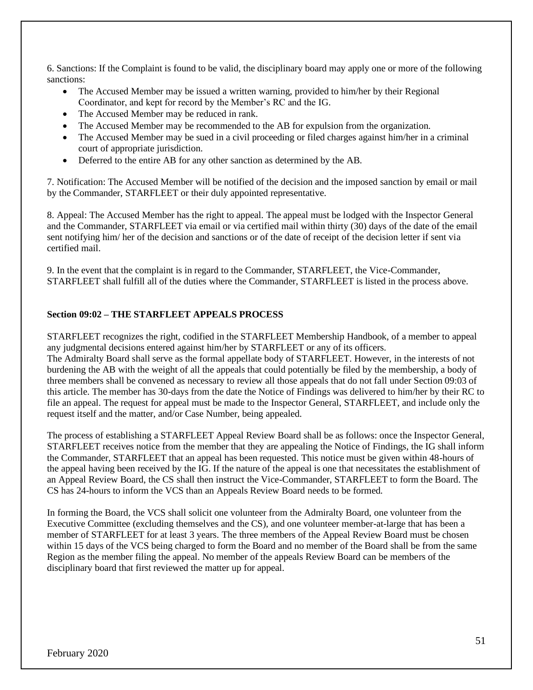6. Sanctions: If the Complaint is found to be valid, the disciplinary board may apply one or more of the following sanctions:

- The Accused Member may be issued a written warning, provided to him/her by their Regional Coordinator, and kept for record by the Member's RC and the IG.
- The Accused Member may be reduced in rank.
- The Accused Member may be recommended to the AB for expulsion from the organization.
- The Accused Member may be sued in a civil proceeding or filed charges against him/her in a criminal court of appropriate jurisdiction.
- Deferred to the entire AB for any other sanction as determined by the AB.

7. Notification: The Accused Member will be notified of the decision and the imposed sanction by email or mail by the Commander, STARFLEET or their duly appointed representative.

8. Appeal: The Accused Member has the right to appeal. The appeal must be lodged with the Inspector General and the Commander, STARFLEET via email or via certified mail within thirty (30) days of the date of the email sent notifying him/ her of the decision and sanctions or of the date of receipt of the decision letter if sent via certified mail.

9. In the event that the complaint is in regard to the Commander, STARFLEET, the Vice-Commander, STARFLEET shall fulfill all of the duties where the Commander, STARFLEET is listed in the process above.

## **Section 09:02 – THE STARFLEET APPEALS PROCESS**

STARFLEET recognizes the right, codified in the STARFLEET Membership Handbook, of a member to appeal any judgmental decisions entered against him/her by STARFLEET or any of its officers. The Admiralty Board shall serve as the formal appellate body of STARFLEET. However, in the interests of not burdening the AB with the weight of all the appeals that could potentially be filed by the membership, a body of three members shall be convened as necessary to review all those appeals that do not fall under Section 09:03 of this article. The member has 30-days from the date the Notice of Findings was delivered to him/her by their RC to file an appeal. The request for appeal must be made to the Inspector General, STARFLEET, and include only the request itself and the matter, and/or Case Number, being appealed.

The process of establishing a STARFLEET Appeal Review Board shall be as follows: once the Inspector General, STARFLEET receives notice from the member that they are appealing the Notice of Findings, the IG shall inform the Commander, STARFLEET that an appeal has been requested. This notice must be given within 48-hours of the appeal having been received by the IG. If the nature of the appeal is one that necessitates the establishment of an Appeal Review Board, the CS shall then instruct the Vice-Commander, STARFLEET to form the Board. The CS has 24-hours to inform the VCS than an Appeals Review Board needs to be formed.

In forming the Board, the VCS shall solicit one volunteer from the Admiralty Board, one volunteer from the Executive Committee (excluding themselves and the CS), and one volunteer member-at-large that has been a member of STARFLEET for at least 3 years. The three members of the Appeal Review Board must be chosen within 15 days of the VCS being charged to form the Board and no member of the Board shall be from the same Region as the member filing the appeal. No member of the appeals Review Board can be members of the disciplinary board that first reviewed the matter up for appeal.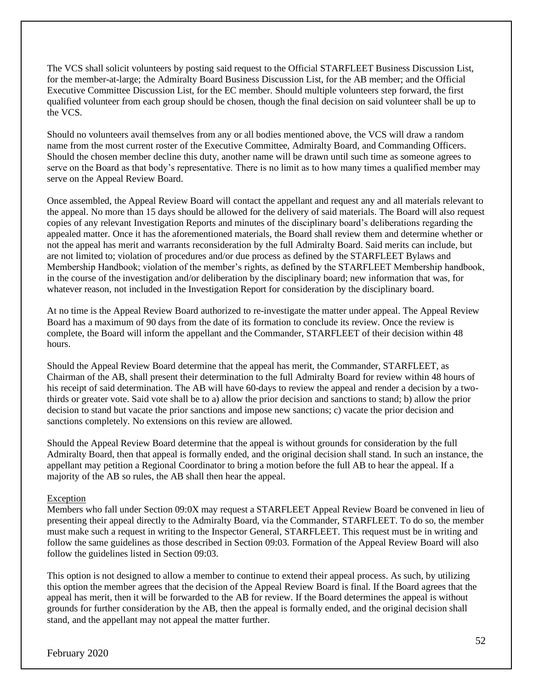The VCS shall solicit volunteers by posting said request to the Official STARFLEET Business Discussion List, for the member-at-large; the Admiralty Board Business Discussion List, for the AB member; and the Official Executive Committee Discussion List, for the EC member. Should multiple volunteers step forward, the first qualified volunteer from each group should be chosen, though the final decision on said volunteer shall be up to the VCS.

Should no volunteers avail themselves from any or all bodies mentioned above, the VCS will draw a random name from the most current roster of the Executive Committee, Admiralty Board, and Commanding Officers. Should the chosen member decline this duty, another name will be drawn until such time as someone agrees to serve on the Board as that body's representative. There is no limit as to how many times a qualified member may serve on the Appeal Review Board.

Once assembled, the Appeal Review Board will contact the appellant and request any and all materials relevant to the appeal. No more than 15 days should be allowed for the delivery of said materials. The Board will also request copies of any relevant Investigation Reports and minutes of the disciplinary board's deliberations regarding the appealed matter. Once it has the aforementioned materials, the Board shall review them and determine whether or not the appeal has merit and warrants reconsideration by the full Admiralty Board. Said merits can include, but are not limited to; violation of procedures and/or due process as defined by the STARFLEET Bylaws and Membership Handbook; violation of the member's rights, as defined by the STARFLEET Membership handbook, in the course of the investigation and/or deliberation by the disciplinary board; new information that was, for whatever reason, not included in the Investigation Report for consideration by the disciplinary board.

At no time is the Appeal Review Board authorized to re-investigate the matter under appeal. The Appeal Review Board has a maximum of 90 days from the date of its formation to conclude its review. Once the review is complete, the Board will inform the appellant and the Commander, STARFLEET of their decision within 48 hours.

Should the Appeal Review Board determine that the appeal has merit, the Commander, STARFLEET, as Chairman of the AB, shall present their determination to the full Admiralty Board for review within 48 hours of his receipt of said determination. The AB will have 60-days to review the appeal and render a decision by a twothirds or greater vote. Said vote shall be to a) allow the prior decision and sanctions to stand; b) allow the prior decision to stand but vacate the prior sanctions and impose new sanctions; c) vacate the prior decision and sanctions completely. No extensions on this review are allowed.

Should the Appeal Review Board determine that the appeal is without grounds for consideration by the full Admiralty Board, then that appeal is formally ended, and the original decision shall stand. In such an instance, the appellant may petition a Regional Coordinator to bring a motion before the full AB to hear the appeal. If a majority of the AB so rules, the AB shall then hear the appeal.

## Exception

Members who fall under Section 09:0X may request a STARFLEET Appeal Review Board be convened in lieu of presenting their appeal directly to the Admiralty Board, via the Commander, STARFLEET. To do so, the member must make such a request in writing to the Inspector General, STARFLEET. This request must be in writing and follow the same guidelines as those described in Section 09:03. Formation of the Appeal Review Board will also follow the guidelines listed in Section 09:03.

This option is not designed to allow a member to continue to extend their appeal process. As such, by utilizing this option the member agrees that the decision of the Appeal Review Board is final. If the Board agrees that the appeal has merit, then it will be forwarded to the AB for review. If the Board determines the appeal is without grounds for further consideration by the AB, then the appeal is formally ended, and the original decision shall stand, and the appellant may not appeal the matter further.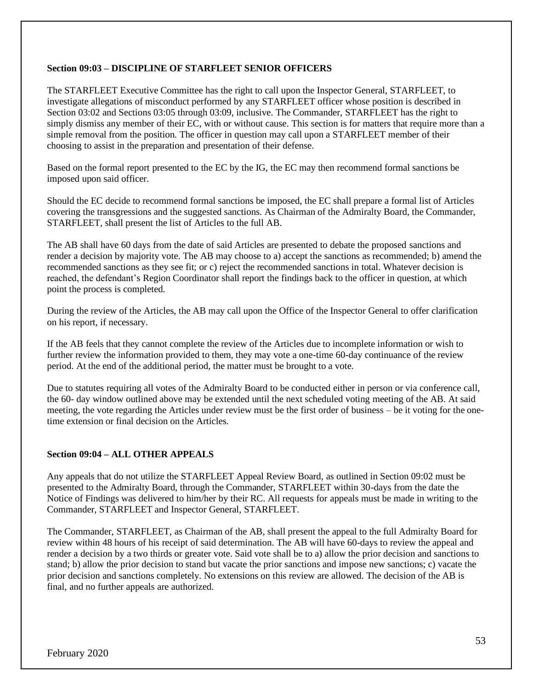### **Section 09:03 – DISCIPLINE OF STARFLEET SENIOR OFFICERS**

The STARFLEET Executive Committee has the right to call upon the Inspector General, STARFLEET, to investigate allegations of misconduct performed by any STARFLEET officer whose position is described in Section 03:02 and Sections 03:05 through 03:09, inclusive. The Commander, STARFLEET has the right to simply dismiss any member of their EC, with or without cause. This section is for matters that require more than a simple removal from the position. The officer in question may call upon a STARFLEET member of their choosing to assist in the preparation and presentation of their defense.

Based on the formal report presented to the EC by the IG, the EC may then recommend formal sanctions be imposed upon said officer.

Should the EC decide to recommend formal sanctions be imposed, the EC shall prepare a formal list of Articles covering the transgressions and the suggested sanctions. As Chairman of the Admiralty Board, the Commander, STARFLEET, shall present the list of Articles to the full AB.

The AB shall have 60 days from the date of said Articles are presented to debate the proposed sanctions and render a decision by majority vote. The AB may choose to a) accept the sanctions as recommended; b) amend the recommended sanctions as they see fit; or c) reject the recommended sanctions in total. Whatever decision is reached, the defendant's Region Coordinator shall report the findings back to the officer in question, at which point the process is completed.

During the review of the Articles, the AB may call upon the Office of the Inspector General to offer clarification on his report, if necessary.

If the AB feels that they cannot complete the review of the Articles due to incomplete information or wish to further review the information provided to them, they may vote a one-time 60-day continuance of the review period. At the end of the additional period, the matter must be brought to a vote.

Due to statutes requiring all votes of the Admiralty Board to be conducted either in person or via conference call, the 60- day window outlined above may be extended until the next scheduled voting meeting of the AB. At said meeting, the vote regarding the Articles under review must be the first order of business – be it voting for the onetime extension or final decision on the Articles.

#### **Section 09:04 – ALL OTHER APPEALS**

Any appeals that do not utilize the STARFLEET Appeal Review Board, as outlined in Section 09:02 must be presented to the Admiralty Board, through the Commander, STARFLEET within 30-days from the date the Notice of Findings was delivered to him/her by their RC. All requests for appeals must be made in writing to the Commander, STARFLEET and Inspector General, STARFLEET.

The Commander, STARFLEET, as Chairman of the AB, shall present the appeal to the full Admiralty Board for review within 48 hours of his receipt of said determination. The AB will have 60-days to review the appeal and render a decision by a two thirds or greater vote. Said vote shall be to a) allow the prior decision and sanctions to stand; b) allow the prior decision to stand but vacate the prior sanctions and impose new sanctions; c) vacate the prior decision and sanctions completely. No extensions on this review are allowed. The decision of the AB is final, and no further appeals are authorized.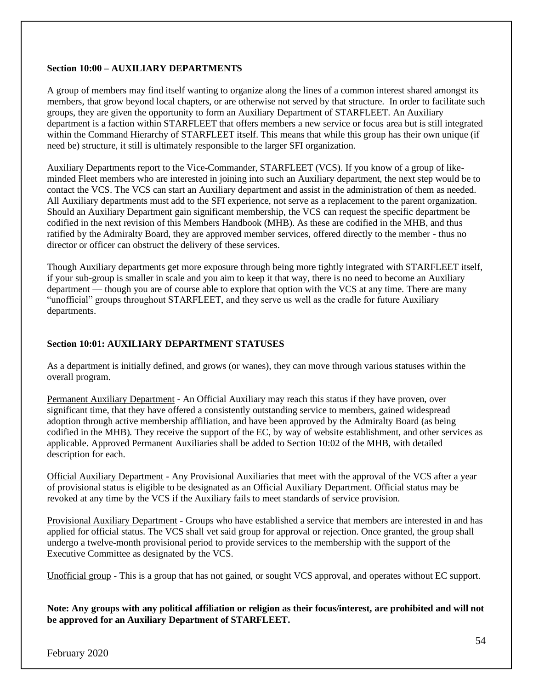### **Section 10:00 – AUXILIARY DEPARTMENTS**

A group of members may find itself wanting to organize along the lines of a common interest shared amongst its members, that grow beyond local chapters, or are otherwise not served by that structure. In order to facilitate such groups, they are given the opportunity to form an Auxiliary Department of STARFLEET. An Auxiliary department is a faction within STARFLEET that offers members a new service or focus area but is still integrated within the Command Hierarchy of STARFLEET itself. This means that while this group has their own unique (if need be) structure, it still is ultimately responsible to the larger SFI organization.

Auxiliary Departments report to the Vice-Commander, STARFLEET (VCS). If you know of a group of likeminded Fleet members who are interested in joining into such an Auxiliary department, the next step would be to contact the VCS. The VCS can start an Auxiliary department and assist in the administration of them as needed. All Auxiliary departments must add to the SFI experience, not serve as a replacement to the parent organization. Should an Auxiliary Department gain significant membership, the VCS can request the specific department be codified in the next revision of this Members Handbook (MHB). As these are codified in the MHB, and thus ratified by the Admiralty Board, they are approved member services, offered directly to the member - thus no director or officer can obstruct the delivery of these services.

Though Auxiliary departments get more exposure through being more tightly integrated with STARFLEET itself, if your sub-group is smaller in scale and you aim to keep it that way, there is no need to become an Auxiliary department — though you are of course able to explore that option with the VCS at any time. There are many "unofficial" groups throughout STARFLEET, and they serve us well as the cradle for future Auxiliary departments.

## **Section 10:01: AUXILIARY DEPARTMENT STATUSES**

As a department is initially defined, and grows (or wanes), they can move through various statuses within the overall program.

Permanent Auxiliary Department - An Official Auxiliary may reach this status if they have proven, over significant time, that they have offered a consistently outstanding service to members, gained widespread adoption through active membership affiliation, and have been approved by the Admiralty Board (as being codified in the MHB). They receive the support of the EC, by way of website establishment, and other services as applicable. Approved Permanent Auxiliaries shall be added to Section 10:02 of the MHB, with detailed description for each.

Official Auxiliary Department - Any Provisional Auxiliaries that meet with the approval of the VCS after a year of provisional status is eligible to be designated as an Official Auxiliary Department. Official status may be revoked at any time by the VCS if the Auxiliary fails to meet standards of service provision.

Provisional Auxiliary Department - Groups who have established a service that members are interested in and has applied for official status. The VCS shall vet said group for approval or rejection. Once granted, the group shall undergo a twelve-month provisional period to provide services to the membership with the support of the Executive Committee as designated by the VCS.

Unofficial group - This is a group that has not gained, or sought VCS approval, and operates without EC support.

**Note: Any groups with any political affiliation or religion as their focus/interest, are prohibited and will not be approved for an Auxiliary Department of STARFLEET.**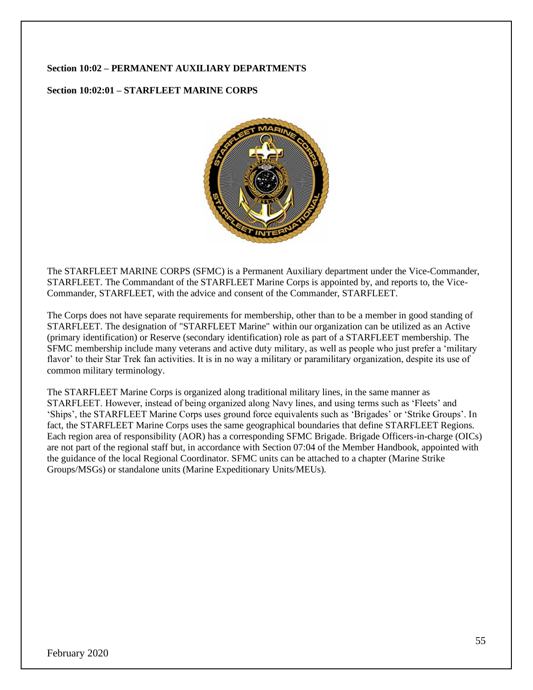### **Section 10:02 – PERMANENT AUXILIARY DEPARTMENTS**

### **Section 10:02:01 – STARFLEET MARINE CORPS**



The STARFLEET MARINE CORPS (SFMC) is a Permanent Auxiliary department under the Vice-Commander, STARFLEET. The Commandant of the STARFLEET Marine Corps is appointed by, and reports to, the Vice-Commander, STARFLEET, with the advice and consent of the Commander, STARFLEET.

The Corps does not have separate requirements for membership, other than to be a member in good standing of STARFLEET. The designation of "STARFLEET Marine" within our organization can be utilized as an Active (primary identification) or Reserve (secondary identification) role as part of a STARFLEET membership. The SFMC membership include many veterans and active duty military, as well as people who just prefer a 'military flavor' to their Star Trek fan activities. It is in no way a military or paramilitary organization, despite its use of common military terminology.

The STARFLEET Marine Corps is organized along traditional military lines, in the same manner as STARFLEET. However, instead of being organized along Navy lines, and using terms such as 'Fleets' and 'Ships', the STARFLEET Marine Corps uses ground force equivalents such as 'Brigades' or 'Strike Groups'. In fact, the STARFLEET Marine Corps uses the same geographical boundaries that define STARFLEET Regions. Each region area of responsibility (AOR) has a corresponding SFMC Brigade. Brigade Officers-in-charge (OICs) are not part of the regional staff but, in accordance with Section 07:04 of the Member Handbook, appointed with the guidance of the local Regional Coordinator. SFMC units can be attached to a chapter (Marine Strike Groups/MSGs) or standalone units (Marine Expeditionary Units/MEUs).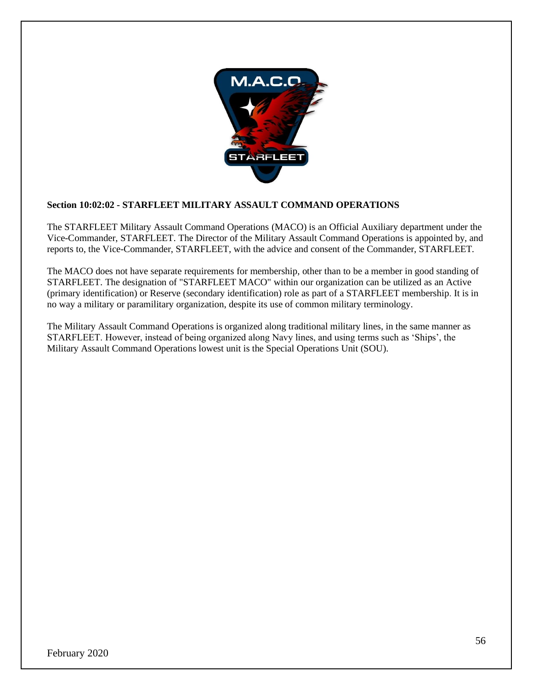

## **Section 10:02:02 - STARFLEET MILITARY ASSAULT COMMAND OPERATIONS**

The STARFLEET Military Assault Command Operations (MACO) is an Official Auxiliary department under the Vice-Commander, STARFLEET. The Director of the Military Assault Command Operations is appointed by, and reports to, the Vice-Commander, STARFLEET, with the advice and consent of the Commander, STARFLEET.

The MACO does not have separate requirements for membership, other than to be a member in good standing of STARFLEET. The designation of "STARFLEET MACO" within our organization can be utilized as an Active (primary identification) or Reserve (secondary identification) role as part of a STARFLEET membership. It is in no way a military or paramilitary organization, despite its use of common military terminology.

The Military Assault Command Operations is organized along traditional military lines, in the same manner as STARFLEET. However, instead of being organized along Navy lines, and using terms such as 'Ships', the Military Assault Command Operations lowest unit is the Special Operations Unit (SOU).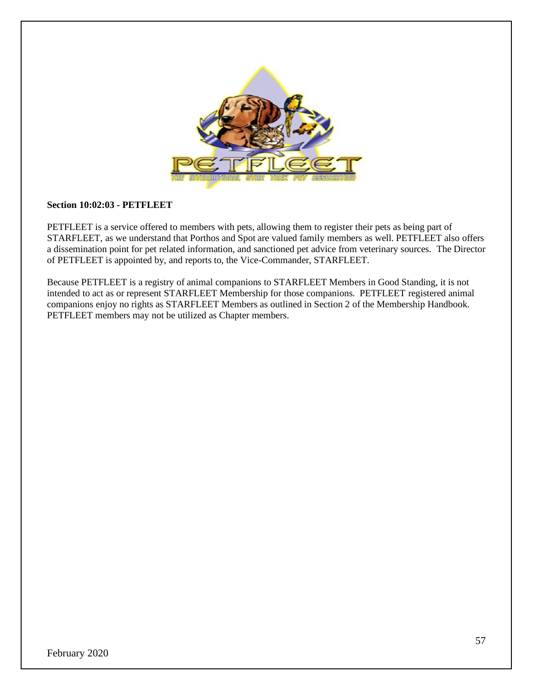

#### **Section 10:02:03 - PETFLEET**

PETFLEET is a service offered to members with pets, allowing them to register their pets as being part of STARFLEET, as we understand that Porthos and Spot are valued family members as well. PETFLEET also offers a dissemination point for pet related information, and sanctioned pet advice from veterinary sources. The Director of PETFLEET is appointed by, and reports to, the Vice-Commander, STARFLEET.

Because PETFLEET is a registry of animal companions to STARFLEET Members in Good Standing, it is not intended to act as or represent STARFLEET Membership for those companions. PETFLEET registered animal companions enjoy no rights as STARFLEET Members as outlined in Section 2 of the Membership Handbook. PETFLEET members may not be utilized as Chapter members.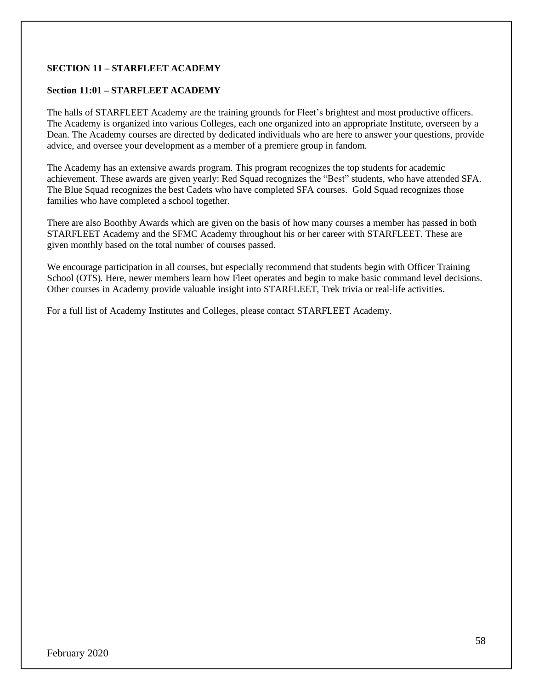## **SECTION 11 – STARFLEET ACADEMY**

## **Section 11:01 – STARFLEET ACADEMY**

The halls of STARFLEET Academy are the training grounds for Fleet's brightest and most productive officers. The Academy is organized into various Colleges, each one organized into an appropriate Institute, overseen by a Dean. The Academy courses are directed by dedicated individuals who are here to answer your questions, provide advice, and oversee your development as a member of a premiere group in fandom.

The Academy has an extensive awards program. This program recognizes the top students for academic achievement. These awards are given yearly: Red Squad recognizes the "Best" students, who have attended SFA. The Blue Squad recognizes the best Cadets who have completed SFA courses. Gold Squad recognizes those families who have completed a school together.

There are also Boothby Awards which are given on the basis of how many courses a member has passed in both STARFLEET Academy and the SFMC Academy throughout his or her career with STARFLEET. These are given monthly based on the total number of courses passed.

We encourage participation in all courses, but especially recommend that students begin with Officer Training School (OTS). Here, newer members learn how Fleet operates and begin to make basic command level decisions. Other courses in Academy provide valuable insight into STARFLEET, Trek trivia or real-life activities.

For a full list of Academy Institutes and Colleges, please contact STARFLEET Academy.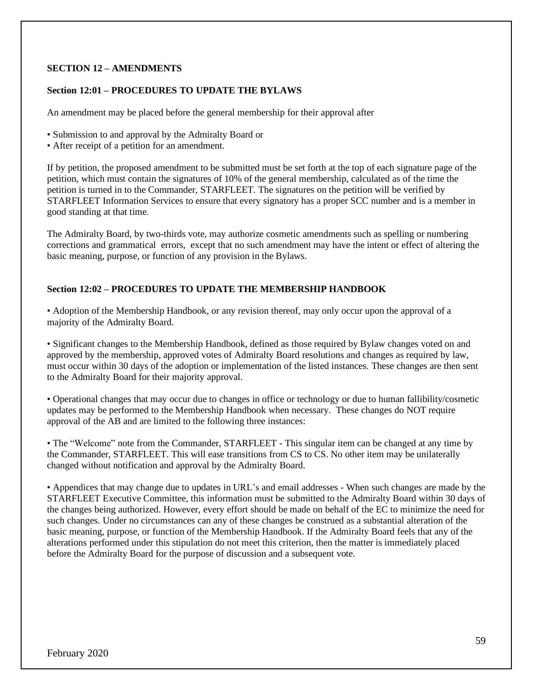## **SECTION 12 – AMENDMENTS**

#### **Section 12:01 – PROCEDURES TO UPDATE THE BYLAWS**

An amendment may be placed before the general membership for their approval after

- Submission to and approval by the Admiralty Board or
- After receipt of a petition for an amendment.

If by petition, the proposed amendment to be submitted must be set forth at the top of each signature page of the petition, which must contain the signatures of 10% of the general membership, calculated as of the time the petition is turned in to the Commander, STARFLEET. The signatures on the petition will be verified by STARFLEET Information Services to ensure that every signatory has a proper SCC number and is a member in good standing at that time.

The Admiralty Board, by two-thirds vote, may authorize cosmetic amendments such as spelling or numbering corrections and grammatical errors, except that no such amendment may have the intent or effect of altering the basic meaning, purpose, or function of any provision in the Bylaws.

## **Section 12:02 – PROCEDURES TO UPDATE THE MEMBERSHIP HANDBOOK**

• Adoption of the Membership Handbook, or any revision thereof, may only occur upon the approval of a majority of the Admiralty Board.

• Significant changes to the Membership Handbook, defined as those required by Bylaw changes voted on and approved by the membership, approved votes of Admiralty Board resolutions and changes as required by law, must occur within 30 days of the adoption or implementation of the listed instances. These changes are then sent to the Admiralty Board for their majority approval.

• Operational changes that may occur due to changes in office or technology or due to human fallibility/cosmetic updates may be performed to the Membership Handbook when necessary. These changes do NOT require approval of the AB and are limited to the following three instances:

• The "Welcome" note from the Commander, STARFLEET - This singular item can be changed at any time by the Commander, STARFLEET. This will ease transitions from CS to CS. No other item may be unilaterally changed without notification and approval by the Admiralty Board.

• Appendices that may change due to updates in URL's and email addresses - When such changes are made by the STARFLEET Executive Committee, this information must be submitted to the Admiralty Board within 30 days of the changes being authorized. However, every effort should be made on behalf of the EC to minimize the need for such changes. Under no circumstances can any of these changes be construed as a substantial alteration of the basic meaning, purpose, or function of the Membership Handbook. If the Admiralty Board feels that any of the alterations performed under this stipulation do not meet this criterion, then the matter is immediately placed before the Admiralty Board for the purpose of discussion and a subsequent vote.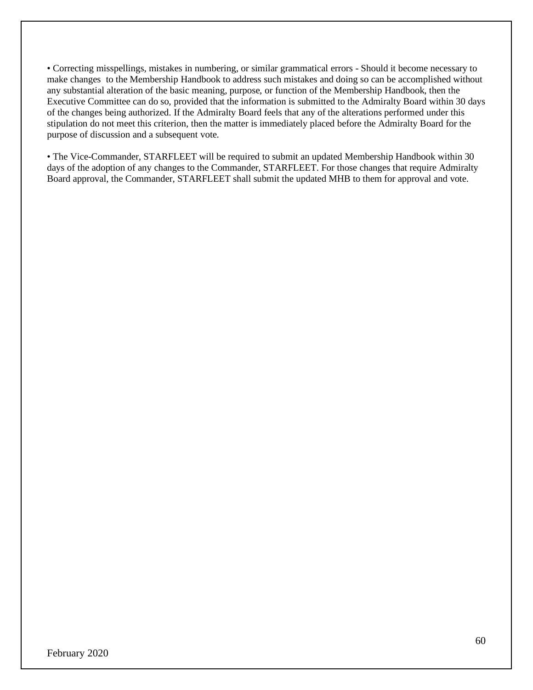• Correcting misspellings, mistakes in numbering, or similar grammatical errors - Should it become necessary to make changes to the Membership Handbook to address such mistakes and doing so can be accomplished without any substantial alteration of the basic meaning, purpose, or function of the Membership Handbook, then the Executive Committee can do so, provided that the information is submitted to the Admiralty Board within 30 days of the changes being authorized. If the Admiralty Board feels that any of the alterations performed under this stipulation do not meet this criterion, then the matter is immediately placed before the Admiralty Board for the purpose of discussion and a subsequent vote.

• The Vice-Commander, STARFLEET will be required to submit an updated Membership Handbook within 30 days of the adoption of any changes to the Commander, STARFLEET. For those changes that require Admiralty Board approval, the Commander, STARFLEET shall submit the updated MHB to them for approval and vote.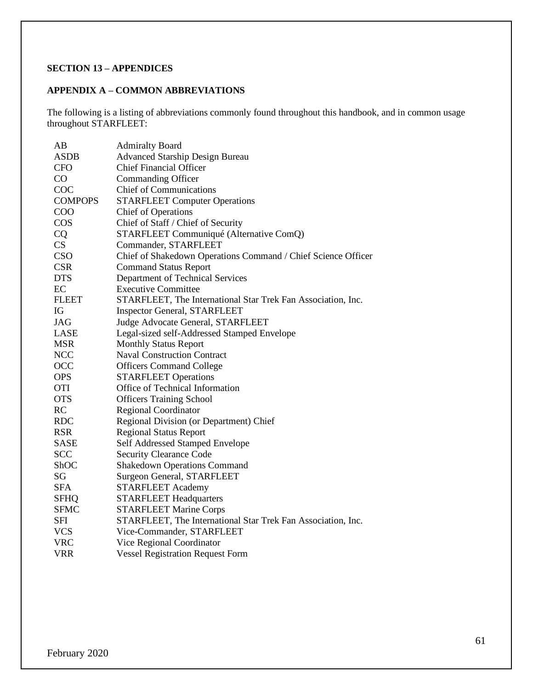## **SECTION 13 – APPENDICES**

### **APPENDIX A – COMMON ABBREVIATIONS**

The following is a listing of abbreviations commonly found throughout this handbook, and in common usage throughout STARFLEET:

| AB             | <b>Admiralty Board</b>                                        |
|----------------|---------------------------------------------------------------|
| <b>ASDB</b>    | <b>Advanced Starship Design Bureau</b>                        |
| <b>CFO</b>     | <b>Chief Financial Officer</b>                                |
| CO             | Commanding Officer                                            |
| COC            | <b>Chief of Communications</b>                                |
| <b>COMPOPS</b> | <b>STARFLEET Computer Operations</b>                          |
| COO            | <b>Chief of Operations</b>                                    |
| COS            | Chief of Staff / Chief of Security                            |
| <b>CQ</b>      | STARFLEET Communiqué (Alternative ComQ)                       |
| CS             | Commander, STARFLEET                                          |
| CSO            | Chief of Shakedown Operations Command / Chief Science Officer |
| <b>CSR</b>     | <b>Command Status Report</b>                                  |
| <b>DTS</b>     | Department of Technical Services                              |
| EC             | <b>Executive Committee</b>                                    |
| <b>FLEET</b>   | STARFLEET, The International Star Trek Fan Association, Inc.  |
| IG             | <b>Inspector General, STARFLEET</b>                           |
| JAG            | Judge Advocate General, STARFLEET                             |
| LASE           | Legal-sized self-Addressed Stamped Envelope                   |
| <b>MSR</b>     | <b>Monthly Status Report</b>                                  |
| <b>NCC</b>     | <b>Naval Construction Contract</b>                            |
| <b>OCC</b>     | <b>Officers Command College</b>                               |
| <b>OPS</b>     | <b>STARFLEET Operations</b>                                   |
| <b>OTI</b>     | Office of Technical Information                               |
| <b>OTS</b>     | <b>Officers Training School</b>                               |
| RC             | <b>Regional Coordinator</b>                                   |
| <b>RDC</b>     | Regional Division (or Department) Chief                       |
| <b>RSR</b>     | <b>Regional Status Report</b>                                 |
| <b>SASE</b>    | Self Addressed Stamped Envelope                               |
| <b>SCC</b>     | <b>Security Clearance Code</b>                                |
| ShOC           | <b>Shakedown Operations Command</b>                           |
| SG             | Surgeon General, STARFLEET                                    |
| <b>SFA</b>     | <b>STARFLEET Academy</b>                                      |
| <b>SFHQ</b>    | <b>STARFLEET Headquarters</b>                                 |
| <b>SFMC</b>    | <b>STARFLEET Marine Corps</b>                                 |
| SFI            | STARFLEET, The International Star Trek Fan Association, Inc.  |
| <b>VCS</b>     | Vice-Commander, STARFLEET                                     |
| <b>VRC</b>     | Vice Regional Coordinator                                     |
| <b>VRR</b>     | <b>Vessel Registration Request Form</b>                       |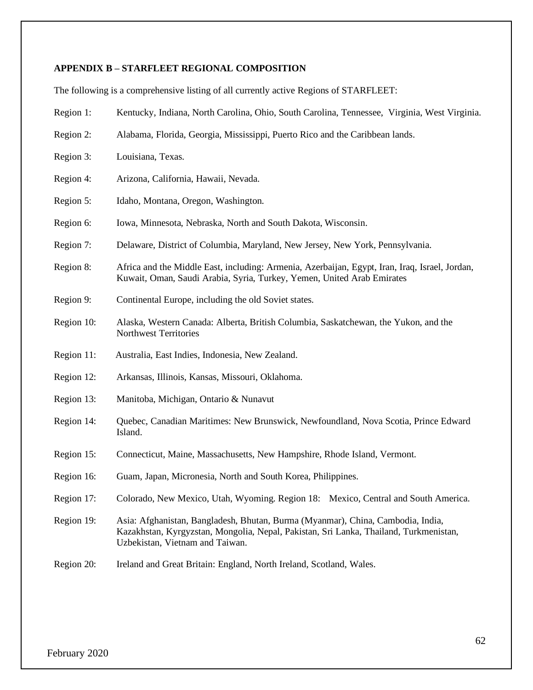# **APPENDIX B – STARFLEET REGIONAL COMPOSITION**

The following is a comprehensive listing of all currently active Regions of STARFLEET:

| Region 1:  | Kentucky, Indiana, North Carolina, Ohio, South Carolina, Tennessee, Virginia, West Virginia.                                                                                                                |
|------------|-------------------------------------------------------------------------------------------------------------------------------------------------------------------------------------------------------------|
| Region 2:  | Alabama, Florida, Georgia, Mississippi, Puerto Rico and the Caribbean lands.                                                                                                                                |
| Region 3:  | Louisiana, Texas.                                                                                                                                                                                           |
| Region 4:  | Arizona, California, Hawaii, Nevada.                                                                                                                                                                        |
| Region 5:  | Idaho, Montana, Oregon, Washington.                                                                                                                                                                         |
| Region 6:  | Iowa, Minnesota, Nebraska, North and South Dakota, Wisconsin.                                                                                                                                               |
| Region 7:  | Delaware, District of Columbia, Maryland, New Jersey, New York, Pennsylvania.                                                                                                                               |
| Region 8:  | Africa and the Middle East, including: Armenia, Azerbaijan, Egypt, Iran, Iraq, Israel, Jordan,<br>Kuwait, Oman, Saudi Arabia, Syria, Turkey, Yemen, United Arab Emirates                                    |
| Region 9:  | Continental Europe, including the old Soviet states.                                                                                                                                                        |
| Region 10: | Alaska, Western Canada: Alberta, British Columbia, Saskatchewan, the Yukon, and the<br>Northwest Territories                                                                                                |
| Region 11: | Australia, East Indies, Indonesia, New Zealand.                                                                                                                                                             |
| Region 12: | Arkansas, Illinois, Kansas, Missouri, Oklahoma.                                                                                                                                                             |
| Region 13: | Manitoba, Michigan, Ontario & Nunavut                                                                                                                                                                       |
| Region 14: | Quebec, Canadian Maritimes: New Brunswick, Newfoundland, Nova Scotia, Prince Edward<br>Island.                                                                                                              |
| Region 15: | Connecticut, Maine, Massachusetts, New Hampshire, Rhode Island, Vermont.                                                                                                                                    |
| Region 16: | Guam, Japan, Micronesia, North and South Korea, Philippines.                                                                                                                                                |
| Region 17: | Colorado, New Mexico, Utah, Wyoming. Region 18: Mexico, Central and South America.                                                                                                                          |
| Region 19: | Asia: Afghanistan, Bangladesh, Bhutan, Burma (Myanmar), China, Cambodia, India,<br>Kazakhstan, Kyrgyzstan, Mongolia, Nepal, Pakistan, Sri Lanka, Thailand, Turkmenistan,<br>Uzbekistan, Vietnam and Taiwan. |
| Region 20: | Ireland and Great Britain: England, North Ireland, Scotland, Wales.                                                                                                                                         |
|            |                                                                                                                                                                                                             |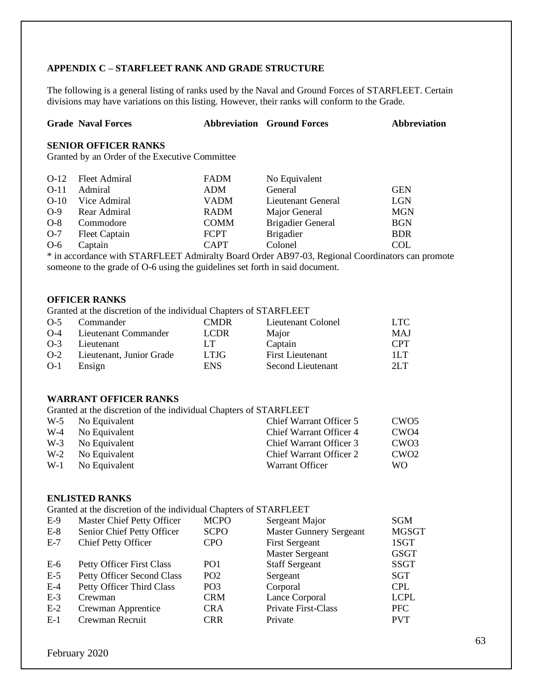## **APPENDIX C – STARFLEET RANK AND GRADE STRUCTURE**

The following is a general listing of ranks used by the Naval and Ground Forces of STARFLEET. Certain divisions may have variations on this listing. However, their ranks will conform to the Grade.

| <b>Abbreviation</b> |
|---------------------|
|                     |

### **SENIOR OFFICER RANKS**

Granted by an Order of the Executive Committee

|        | O-12 Fleet Admiral | <b>FADM</b> | No Equivalent            |            |
|--------|--------------------|-------------|--------------------------|------------|
| $O-11$ | Admiral            | ADM         | General                  | <b>GEN</b> |
| $O-10$ | Vice Admiral       | <b>VADM</b> | Lieutenant General       | <b>LGN</b> |
| $O-9$  | Rear Admiral       | <b>RADM</b> | Major General            | <b>MGN</b> |
| $O-8$  | Commodore          | <b>COMM</b> | <b>Brigadier General</b> | <b>BGN</b> |
| $O-7$  | Fleet Captain      | <b>FCPT</b> | <b>Brigadier</b>         | <b>BDR</b> |
| $O-6$  | Captain            | <b>CAPT</b> | Colonel                  | <b>COL</b> |

\* in accordance with STARFLEET Admiralty Board Order AB97-03, Regional Coordinators can promote someone to the grade of O-6 using the guidelines set forth in said document.

#### **OFFICER RANKS**

Granted at the discretion of the individual Chapters of STARFLEET

| $O-5$ | Commander                | <b>CMDR</b> | Lieutenant Colonel      | LTC -      |
|-------|--------------------------|-------------|-------------------------|------------|
| $O-4$ | Lieutenant Commander     | <b>LCDR</b> | Major                   | MAJ        |
| $O-3$ | Lieutenant               | LT          | Captain                 | <b>CPT</b> |
| $O-2$ | Lieutenant, Junior Grade | <b>LTJG</b> | <b>First Lieutenant</b> | 1L.T       |
| $O-1$ | Ensign                   | <b>ENS</b>  | Second Lieutenant       | 2LT        |

## **WARRANT OFFICER RANKS**

Granted at the discretion of the individual Chapters of STARFLEET

| W-5 No Equivalent | Chief Warrant Officer 5        | CWO <sub>5</sub> |
|-------------------|--------------------------------|------------------|
| W-4 No Equivalent | Chief Warrant Officer 4        | CWO <sub>4</sub> |
| W-3 No Equivalent | Chief Warrant Officer 3        | CWO <sub>3</sub> |
| W-2 No Equivalent | <b>Chief Warrant Officer 2</b> | CWO <sub>2</sub> |
| W-1 No Equivalent | Warrant Officer                | WO.              |
|                   |                                |                  |

## **ENLISTED RANKS**

Granted at the discretion of the individual Chapters of STARFLEET

| $E-9$ | Master Chief Petty Officer        | <b>MCPO</b>     | Sergeant Major                 | <b>SGM</b>   |
|-------|-----------------------------------|-----------------|--------------------------------|--------------|
| $E-8$ | Senior Chief Petty Officer        | <b>SCPO</b>     | <b>Master Gunnery Sergeant</b> | <b>MGSGT</b> |
| $E-7$ | <b>Chief Petty Officer</b>        | <b>CPO</b>      | <b>First Sergeant</b>          | 1SGT         |
|       |                                   |                 | <b>Master Sergeant</b>         | <b>GSGT</b>  |
| $E-6$ | <b>Petty Officer First Class</b>  | PO <sub>1</sub> | <b>Staff Sergeant</b>          | <b>SSGT</b>  |
| $E-5$ | <b>Petty Officer Second Class</b> | PO <sub>2</sub> | Sergeant                       | SGT          |
| $E-4$ | Petty Officer Third Class         | PO <sub>3</sub> | Corporal                       | <b>CPL</b>   |
| $E-3$ | Crewman                           | <b>CRM</b>      | Lance Corporal                 | <b>LCPL</b>  |
| $E-2$ | Crewman Apprentice                | <b>CRA</b>      | <b>Private First-Class</b>     | <b>PFC</b>   |
| $E-1$ | Crewman Recruit                   | <b>CRR</b>      | Private                        | <b>PVT</b>   |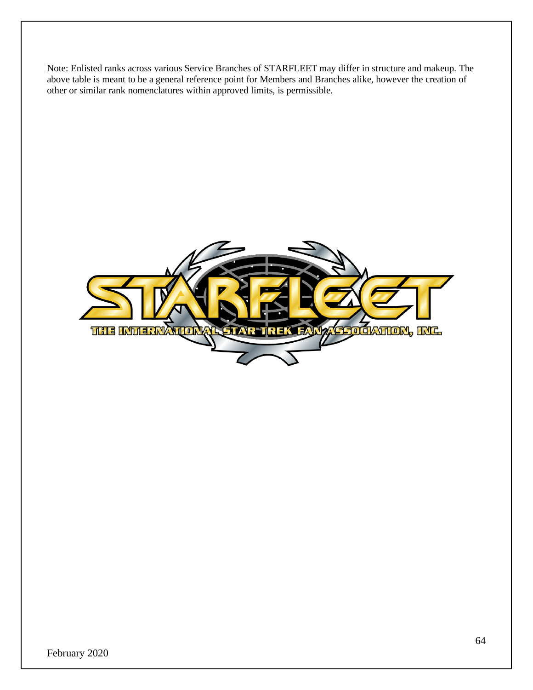Note: Enlisted ranks across various Service Branches of STARFLEET may differ in structure and makeup. The above table is meant to be a general reference point for Members and Branches alike, however the creation of other or similar rank nomenclatures within approved limits, is permissible.